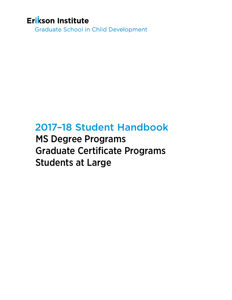# Erikson Institute

**Graduate School in Child Development** 

# 2017–18 Student Handbook

MS Degree Programs Graduate Certificate Programs Students at Large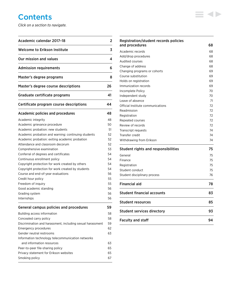# **Contents**

*Click on a section to navigate.*

| Academic calendar 2017-18                                  | 2        |
|------------------------------------------------------------|----------|
| <b>Welcome to Erikson Institute</b>                        | 3        |
| Our mission and values                                     | 4        |
| <b>Admission requirements</b>                              | 6        |
| Master's degree programs                                   | 8        |
| Master's degree course descriptions                        | 26       |
| Graduate certificate programs                              | 41       |
| Certificate program course descriptions                    | 44       |
| <b>Academic policies and procedures</b>                    | 48       |
| Academic integrity                                         | 48       |
| Academic grievance procedure                               | 50       |
| Academic probation: new students                           | 51       |
| Academic probation and warning: continuing students        | 52       |
| Academic probation: exiting academic probation             | 52       |
| Attendance and classroom decorum                           | 52       |
| Comprehensive examination                                  | 53       |
| Conferral of degrees and certificates                      | 54       |
| Continuous enrollment policy                               | 54       |
| Copyright protection for work created by others            | 54       |
| Copyright protection for work created by students          | 54       |
| Course and end-of-year evaluations                         | 56       |
| Credit hour policy                                         | 55       |
| Freedom of inquiry                                         | 55       |
| Good academic standing                                     | 56<br>56 |
| Grading system<br>Internships                              | 56       |
| <b>General campus policies and procedures</b>              | 59       |
| Building access information                                | 58       |
| Concealed carry policy                                     | 58       |
| Discrimination and harassment, including sexual harassment | 59       |
| Emergency procedures                                       | 62       |
| Gender neutral restrooms                                   | 63       |
| Information technology telecommunication networks          |          |
| and information resources                                  | 63       |
| Peer-to-peer file-sharing policy                           | 65       |
| Privacy statement for Erikson websites                     | 65       |
| Smoking policy                                             | 67       |

| Registration/student records policies<br>and procedures | 68       |
|---------------------------------------------------------|----------|
|                                                         |          |
| Academic records                                        | 68<br>68 |
| Add/drop procedures<br><b>Audited courses</b>           | 68       |
|                                                         |          |
| Change of address                                       | 68<br>69 |
| Changing programs or cohorts                            | 69       |
| Course substitution                                     |          |
| Holds on registration                                   | 69<br>69 |
| Immunization records                                    |          |
| Incomplete Policy                                       | 70       |
| Independent study<br>Leave of absence                   | 70<br>71 |
|                                                         | 72       |
| Official Institute communications                       | 72       |
| Readmission                                             | 72       |
| Registration                                            | 72       |
| Repeated courses                                        | 72       |
| Review of records                                       | 74       |
| Transcript requests<br>Transfer credit                  | 74       |
| Withdrawing from Erikson                                | 74       |
|                                                         |          |
| <b>Student rights and responsibilities</b>              | 75       |
| General                                                 | 75       |
| Finance                                                 | 75       |
| Registration                                            | 75       |
| Student conduct                                         | 75       |
| Student disciplinary process                            | 76       |
| Financial aid                                           | 78       |
| Student financial accounts                              | 83       |
| <b>Student resources</b>                                | 85       |
| <b>Student services directory</b>                       | 93       |
| <b>Faculty and staff</b>                                | 94       |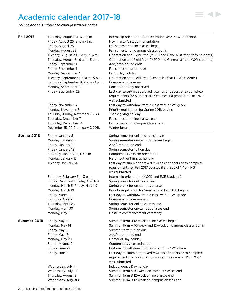# <span id="page-2-0"></span>Academic calendar 2017–18



| <b>Fall 2017</b> | Thursday, August 24, 6-8 p.m.        | Internship orientation (Concentration year MSW Students)                                                                                         |  |  |
|------------------|--------------------------------------|--------------------------------------------------------------------------------------------------------------------------------------------------|--|--|
|                  | Friday, August 25, 9 a.m. - 5 p.m.   | New master's student orientation                                                                                                                 |  |  |
|                  | Friday, August 25                    | Fall semester online classes begin                                                                                                               |  |  |
|                  | Monday, August 28                    | Fall semester on-campus classes begin                                                                                                            |  |  |
|                  | Tuesday, August 29, 9 a.m. - 5 p.m.  | Orientation and Field Prep (MSCD and Generalist Year MSW students)                                                                               |  |  |
|                  | Thursday, August 31, 9 a.m. - 5 p.m. | Orientation and Field Prep (MSCD and Generalist Year MSW students)                                                                               |  |  |
|                  | Friday, September 1                  | Add/drop period ends<br>Fall semester tuition due                                                                                                |  |  |
|                  | Friday, September 1                  |                                                                                                                                                  |  |  |
|                  | Monday, September 4                  | Labor Day holiday                                                                                                                                |  |  |
|                  | Tuesday, September 5, 9 a.m.-5 p.m.  | Orientation and Field Prep (Generalist Year MSW students)                                                                                        |  |  |
|                  | Saturday, September 9, 9 a.m.-3 p.m. | Comprehensive exam                                                                                                                               |  |  |
|                  | Monday, September 18                 | Constitution Day observed                                                                                                                        |  |  |
|                  | Friday, September 29                 | Last day to submit approved rewrites of papers or to complete<br>requirements for Summer 2017 courses if a grade of "I" or "NG"<br>was submitted |  |  |
|                  | Friday, November 3                   | Last day to withdraw from a class with a "W" grade                                                                                               |  |  |
|                  | Monday, November 6                   | Priority registration for Spring 2018 begins                                                                                                     |  |  |
|                  | Thursday-Friday, November 23-24      | Thanksgiving holiday                                                                                                                             |  |  |
|                  | Thursday, December 7                 | Fall semester online classes end                                                                                                                 |  |  |
|                  | Thursday, December 14                | Fall semester on-campus classes end                                                                                                              |  |  |
|                  | December 15, 2017-January 7, 2018    | Winter break                                                                                                                                     |  |  |
| Spring 2018      | Friday, January 5                    | Spring semester online classes begin                                                                                                             |  |  |
|                  | Monday, January 8                    | Spring semester on-campus classes begin                                                                                                          |  |  |
|                  | Friday, January 12                   | Add/drop period ends                                                                                                                             |  |  |
|                  | Friday, January 12                   | Spring semester tuition due                                                                                                                      |  |  |
|                  | Saturday, January 13, 1-3 p.m.       | Comprehensive exam orientation                                                                                                                   |  |  |
|                  | Monday, January 15                   | Martin Luther King, Jr. holiday                                                                                                                  |  |  |
|                  | Tuesday, January 30                  | Last day to submit approved rewrites of papers or to complete<br>requirements for Fall 2017 courses if a grade of "I" or "NG"                    |  |  |
|                  |                                      | was submitted                                                                                                                                    |  |  |
|                  | Saturday, February 3, 1-3 p.m.       | Internship orientation (MSCD and ECE Students)                                                                                                   |  |  |
|                  | Friday, March 2-Thursday, March 8    | Spring break for online courses                                                                                                                  |  |  |
|                  | Monday, March 5-Friday, March 9      | Spring break for on-campus courses                                                                                                               |  |  |
|                  | Monday, March 19                     | Priority registration for Summer and Fall 2018 begins                                                                                            |  |  |
|                  | Friday, March 23                     | Last day to withdraw from a class with a "W" grade                                                                                               |  |  |
|                  | Saturday, April 7                    | Comprehensive examination                                                                                                                        |  |  |
|                  | Thursday, April 26                   | Spring semester online classes end                                                                                                               |  |  |
|                  | Monday, April 30                     | Spring semester on-campus classes end                                                                                                            |  |  |
|                  | Monday, May 7                        | Master's commencement ceremony                                                                                                                   |  |  |
| Summer 2018      | Friday, May 11                       | Summer Term B 12-week online classes begin                                                                                                       |  |  |
|                  | Monday, May 14                       | Summer Term A 10-week and 12-week on-campus classes begin                                                                                        |  |  |
|                  | Friday, May 18                       | Summer term tuition due                                                                                                                          |  |  |
|                  | Friday, May 18                       | Add/drop period ends                                                                                                                             |  |  |
|                  | Monday, May 29                       | Memorial Day holiday                                                                                                                             |  |  |
|                  | Saturday, June 9                     | Comprehensive examination                                                                                                                        |  |  |
|                  | Friday, June 22                      | Last day to withdraw from a class with a "W" grade                                                                                               |  |  |
|                  | Friday, June 29                      | Last day to submit approved rewrites of papers or to complete<br>requirements for Spring 2018 courses if a grade of "I" or "NG"                  |  |  |
|                  | Wednesday, July 4                    | was submitted<br>Independence Day holiday                                                                                                        |  |  |
|                  | Wednesday, July 25                   | Summer Term A 10-week on-campus classes end                                                                                                      |  |  |
|                  | Thursday, August 2                   | Summer Term B 12-week online classes end                                                                                                         |  |  |
|                  | Wednesday, August 8                  | Summer Term B 12-week on-campus classes end                                                                                                      |  |  |

 $\equiv$  4>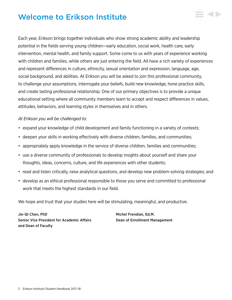# <span id="page-3-0"></span>Welcome to Erikson Institute

Each year, Erikson brings together individuals who show strong academic ability and leadership potential in the fields serving young children—early education, social work, health care, early intervention, mental health, and family support. Some come to us with years of experience working with children and families, while others are just entering the field. All have a rich variety of experiences and represent differences in culture, ethnicity, sexual orientation and expression, language, age, social background, and abilities. At Erikson you will be asked to join this professional community, to challenge your assumptions, interrogate your beliefs, build new knowledge, hone practice skills, and create lasting professional relationship. One of our primary objectives is to provide a unique educational setting where all community members learn to accept and respect differences in values, attitudes, behaviors, and learning styles in themselves and in others.

# *At Erikson you will be challenged to:*

- expand your knowledge of child development and family functioning in a variety of contexts;
- deepen your skills in working effectively with diverse children, families, and communities;
- appropriately apply knowledge in the service of diverse children, families and communities;
- use a diverse community of professionals to develop insights about yourself and share your thoughts, ideas, concerns, culture, and life experiences with other students;
- read and listen critically, raise analytical questions, and develop new problem-solving strategies; and
- develop as an ethical professional responsible to those you serve and committed to professional work that meets the highest standards in our field.

We hope and trust that your studies here will be stimulating, meaningful, and productive.

Jie-Qi Chen, PhD **Michel Frendian, Ed.M.** Michel Frendian, Ed.M. Senior Vice President for Academic Affairs Dean of Enrollment Management and Dean of Faculty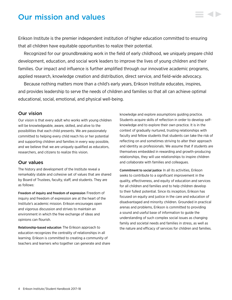# <span id="page-4-0"></span>Our mission and values

Erikson Institute is the premier independent institution of higher education committed to ensuring that all children have equitable opportunities to realize their potential.

Recognized for our groundbreaking work in the field of early childhood, we uniquely prepare child development, education, and social work leaders to improve the lives of young children and their families. Our impact and influence is further amplified through our innovative academic programs, applied research, knowledge creation and distribution, direct service, and field-wide advocacy.

Because nothing matters more than a child's early years, Erikson Institute educates, inspires, and provides leadership to serve the needs of children and families so that all can achieve optimal educational, social, emotional, and physical well-being.

# Our vision

Our vision is that every adult who works with young children will be knowledgeable, aware, skilled, and alive to the possibilities that each child presents. We are passionately committed to helping every child reach his or her potential and supporting children and families in every way possible, and we believe that we are uniquely qualified as educators, researchers, and citizens to realize this vision.

# Our values

The history and development of the Institute reveal a remarkably stable and cohesive set of values that are shared by Board of Trustees, faculty, staff, and students. They are as follows:

Freedom of inquiry and freedom of expression Freedom of inquiry and freedom of expression are at the heart of the Institute's academic mission. Erikson encourages open and vigorous discussion and strives to maintain an environment in which the free exchange of ideas and opinions can flourish.

Relationship-based education The Erikson approach to education recognizes the centrality of relationships in all learning. Erikson is committed to creating a community of teachers and learners who together can generate and share knowledge and explore assumptions guiding practice. Students acquire skills of reflection in order to develop selfknowledge and to explore their own practice. It is in the context of gradually nurtured, trusting relationships with faculty and fellow students that students can take the risk of reflecting on and sometimes striving to alter their approach and identity as professionals. We assume that if students are themselves embedded in rewarding and growth-producing relationships, they will use relationships to inspire children and collaborate with families and colleagues.

Commitment to social justice In all its activities, Erikson seeks to contribute to a significant improvement in the quality, effectiveness, and equity of education and services for all children and families and to help children develop to their fullest potential. Since its inception, Erikson has focused on equity and justice in the care and education of disadvantaged and minority children. Grounded in practical arenas and problems, Erikson is committed to providing a sound and useful base of information to guide the understanding of such complex social issues as changing family and societal needs and families in stress, as well as the nature and efficacy of services for children and families.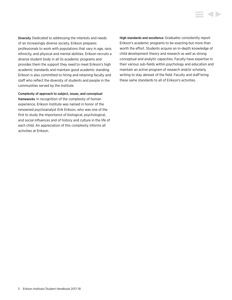Diversity Dedicated to addressing the interests and needs of an increasingly diverse society, Erikson prepares professionals to work with populations that vary in age, race, ethnicity, and physical and mental abilities. Erikson recruits a diverse student body in all its academic programs and provides them the support they need to meet Erikson's high academic standards and maintain good academic standing. Erikson is also committed to hiring and retaining faculty and staff who reflect the diversity of students and people in the communities served by the Institute.

Complexity of approach to subject, issues, and conceptual frameworks In recognition of the complexity of human experience, Erikson Institute was named in honor of the renowned psychoanalyst Erik Erikson, who was one of the first to study the importance of biological, psychological, and social influences and of history and culture in the life of each child. An appreciation of this complexity informs all activities at Erikson.

High standards and excellence Graduates consistently report Erikson's academic programs to be exacting but more than worth the effort. Students acquire an in-depth knowledge of child development theory and research as well as strong conceptual and analytic capacities. Faculty have expertise in their various sub-fields within psychology and education and maintain an active program of research and/or scholarly writing to stay abreast of the field. Faculty and staff bring these same standards to all of Erikson's activities.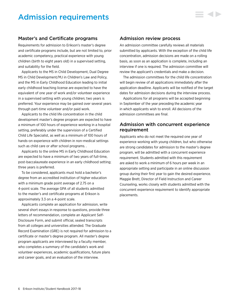# <span id="page-6-0"></span>Admission requirements

# Master's and Certificate programs

Requirements for admission to Erikson's master's degree and certificate programs include, but are not limited to, prior academic competency, practical experience with young children (birth to eight years old) in a supervised setting, and suitability for the field.

Applicants to the MS in Child Development, Dual Degree MS in Child Development/MJ in Children's Law and Policy, and the MS in Early Childhood Education leading to initial early childhood teaching license are expected to have the equivalent of one year of work and/or volunteer experience in a supervised setting with young children; two years is preferred. Your experience may be gained over several years through part-time volunteer and/or paid work.

Applicants to the child life concentration in the child development master's degree program are expected to have a minimum of 100 hours of experience working in a hospital setting, preferably under the supervision of a Certified Child Life Specialist, as well as a minimum of 100 hours of hands-on experience with children in non-medical settings such as child care or after school programs. .

Applicants to the online MS in Early Childhood Education are expected to have a minimum of two years of full-time, post-baccalaureate experience in an early childhood setting; three years is preferred.

To be considered, applicants must hold a bachelor's degree from an accredited institution of higher education with a minimum grade point average of 2.75 on a 4-point scale. The average GPA of all students admitted to the master's and certificate programs at Erikson is approximately 3.3 on a 4-point scale.

Applicants complete an application for admission, write several short essays in response to questions, provide three letters of recommendation, complete an Applicant Self-Disclosure Form, and submit official, sealed transcripts from all colleges and universities attended. The Graduate Record Examination (GRE) is not required for admission to a certificate or master's degree program. All master's degree program applicants are interviewed by a faculty member, who completes a summary of the candidate's work and volunteer experiences, academic qualifications, future plans and career goals, and an evaluation of the interview.

# Admission review process

An admission committee carefully reviews all materials submitted by applicants. With the exception of the child life concentration, admission decisions are made on a rolling basis, as soon as an application is complete, including an interview if one is required. The admission committee will review the applicant's credentials and make a decision.

The admission committees for the child life concentration will begin review of all applications immediately after the application deadline. Applicants will be notified of the target dates for admission decisions during the interview process.

Applications for all programs will be accepted beginning in September of the year preceding the academic year in which applicants wish to enroll. All decisions of the admission committees are final.

# Admission with concurrent experience requirement

Applicants who do not meet the required one year of experience working with young children, but who otherwise are strong candidates for admission to the master's degree program, will be admitted with a concurrent experience requirement. Students admitted with this requirement are asked to work a minimum of 6 hours per week in an appropriate setting and participate in an online discussion group during their first year to gain the desired experience. Maggie Brett, Director of Field Instruction and Career Counseling, works closely with students admitted with the concurrent experience requirement to identify appropriate placements.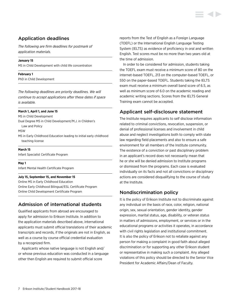# Application deadlines

*The following are firm deadlines for postmark of application materials.*

#### **January 15**

MS in Child Development with child life concentration

#### **February 1**

PhD in Child Development

*The following deadlines are priority deadlines. We will continue to accept applications after these dates if space is available.*

#### **March 1, April 1, and June 15**

MS in Child Development Dual Degree MS in Child Development/M.J. in Children's

Law and Policy

MSW

MS in Early Childhood Education leading to initial early childhood teaching license

#### **March 15**

Infant Specialist Certificate Program

#### **May 1**

Infant Mental Health Certificate Program

#### **July 15, September 15, and November 15**

Online MS in Early Childhood Education Online Early Childhood Bilingual/ESL Certificate Program Online Child Development Certificate Program

# Admission of international students

Qualified applicants from abroad are encouraged to apply for admission to Erikson Institute. In addition to the application materials described above, international applicants must submit official translations of their academic transcripts and records, if the originals are not in English, as well as a course by course official credential evaluation by a recognized firm.

Applicants whose native language is not English and/ or whose previous education was conducted in a language other then English are required to submit official score

reports from the Test of English as a Foreign Language (TOEFL) or the International English Language Testing System (IELTS) as evidence of proficiency in oral and written English. Test scores must be no more than two years old at the time of admission.

In order to be considered for admission, students taking the TOEFL exam must receive a minimum score of 80 on the internet-based TOEFL, 213 on the computer-based TOEFL, or 550 on the paper-based TOEFL. Students taking the IELTS exam must receive a minimum overall band score of 6.5, as well as minimum score of 6.0 on the academic reading and academic writing sections. Scores from the IELTS General Training exam cannot be accepted.

# Applicant self-disclosure statement

The Institute requires applicants to self disclose information related to criminal convictions, revocation, suspension, or denial of professional licenses and involvement in child abuse and neglect investigations both to comply with state law regarding field placements and also to ensure a safe environment for all members of the Institute community. The existence of a conviction or past disciplinary problem in an applicant's record does not necessarily mean that he or she will be denied admission to Institute programs or dismissed from the programs. Each case is evaluated individually on its facts and not all convictions or disciplinary actions are considered disqualifying to the course of study at the Institute.

# Nondiscrimination policy

It is the policy of Erikson Institute not to discriminate against any individual on the basis of race, color, religion, national origin, sex, sexual orientation, gender identity, gender expression, marital status, age, disability, or veteran status in matters of admissions, employment, or services or in the educational programs or activities it operates, in accordance with civil rights legislation and institutional commitment. It is also the policy of Erikson not to retaliate against any person for making a complaint in good faith about alleged discrimination or for supporting any other Erikson student or representative in making such a complaint. Any alleged violations of this policy should be directed to the Senior Vice President for Academic Affairs/Dean of Faculty.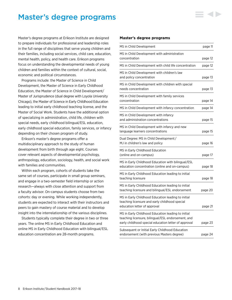# <span id="page-8-0"></span>Master's degree programs

Master's degree programs at Erikson Institute are designed to prepare individuals for professional and leadership roles in the full range of disciplines that serve young children and their families, including social services, child care, education, mental health, policy, and health care. Erikson programs focus on understanding the developmental needs of young children and families within the context of cultural, social, economic and political circumstances.

Programs include: the Master of Science in Child Development, the Master of Science in Early Childhood Education, the Master of Science in Child Development/ Master of Jurisprudence (dual degree with Loyola University Chicago), the Master of Science in Early Childhood Education leading to initial early childhood teaching license, and the Master of Social Work. Students have the additional option of specializing in administration, child life, children with special needs, early childhood bilingual/ESL education, early childhood special education, family services, or infancy depending on their chosen program of study.

Erikson's master's degree programs offer a multidisciplinary approach to the study of human development from birth through age eight. Courses cover relevant aspects of developmental psychology, anthropology, education, sociology, health, and social work with families and communities.

Within each program, cohorts of students take the same set of courses, participate in small group seminars, and engage in a two-semester field internship or action research—always with close attention and support from a faculty advisor. On-campus students choose from two cohorts: day or evening. While working independently, students are expected to interact with their instructors and peers to gain mastery of course material and to develop insight into the interrelationship of the various disciplines.

Students typically complete their degree in two or three years. The online MS in Early Childhood Education and online MS in Early Childhood Education with bilingual/ESL education concentration are 28-month programs.

#### **Master's degree programs**

| MS in Child Development                                                                                                                                          | page 11 |
|------------------------------------------------------------------------------------------------------------------------------------------------------------------|---------|
| MS in Child Development with administration<br>concentration                                                                                                     | page 12 |
| MS in Child Development with child life concentration                                                                                                            | page 12 |
| MS in Child Development with children's law<br>and policy concentration                                                                                          | page 13 |
| MS in Child Development with children with special<br>needs concentration                                                                                        | page 13 |
| MS in Child Development with family services<br>concentration                                                                                                    | page 14 |
| MS in Child Development with infancy concentration                                                                                                               | page 14 |
| MS in Child Development with infancy<br>and administration concentrations                                                                                        | page 15 |
| MS in Child Development with infancy and new<br>language learners concentrations                                                                                 | page 15 |
| Dual Degree: MS in Child Development/<br>MJ in children's law and policy                                                                                         | page 16 |
| MS in Early Childhood Education<br>(online and on-campus)                                                                                                        | page 17 |
| MS in Early Childhood Education with bilingual/ESL<br>education concentration (online and on-campus)                                                             | page 18 |
| MS in Early Childhood Education leading to initial<br>teaching licensure                                                                                         | page 18 |
| MS in Early Childhood Education leading to initial<br>teaching licensure and bilingual/ESL endorsement                                                           | page 20 |
| MS in Early Childhood Education leading to initial<br>teaching licensure and early childhood special<br>education letter of approval                             | page 21 |
| MS in Early Childhood Education leading to initial<br>teaching licensure, bilingual/ESL endorsement, and<br>early childhood special education letter of approval | page 23 |
| Subsequent or Initial Early Childhood Education<br>endorsement (with previous Masters degree)                                                                    | page 24 |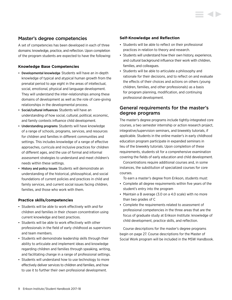# Master's degree competencies

A set of competencies has been developed in each of three domains: knowledge, practice, and reflection. Upon completion of the program students are expected to have the following:

# **Knowledge Base Competencies**

- Developmental knowledge Students will have an in-depth knowledge of typical and atypical human growth from the prenatal period to age eight in the areas of intellectual, social, emotional, physical and language development. They will understand the inter-relationships among these domains of development as well as the role of care-giving relationships in the developmental process.
- Social/cultural influences Students will have an understanding of how social, cultural, political, economic, and family contexts influence child development.
- Understanding programs Students will have knowledge of a range of schools, programs, services, and resources for children and families in different communities and settings. This includes knowledge of a range of effective approaches, curricula and inclusive practices for children of different ages, and the use of formal and informal assessment strategies to understand and meet children's needs within these settings.
- History and policy issues Students will demonstrate an understanding of the historical, philosophical, and social foundations of current policies and practices in child and family services, and current social issues facing children, families, and those who work with them.

### **Practice skills/competencies**

- Students will be able to work effectively with and for children and families in their chosen concentration using current knowledge and best practices.
- Students will be able to work effectively with other professionals in the field of early childhood as supervisors and team members.
- Students will demonstrate leadership skills through their ability to articulate and implement ideas and knowledge regarding children and families through speaking, writing, and facilitating change in a range of professional settings.
- Students will understand how to use technology to more effectively deliver services to children and families, and how to use it to further their own professional development.

### **Self-Knowledge and Reflection**

- Students will be able to reflect on their professional practices in relation to theory and research.
- Students will understand how their own history, experience, and cultural background influence their work with children, families, and colleagues.
- Students will be able to articulate a philosophy and rationale for their decisions, and to reflect on and evaluate the effects of their choices and actions on others (young children, families, and other professionals) as a basis for program planning, modification, and continuing professional development.

# General requirements for the master's degree programs

The master's degree programs include tightly-integrated core courses, a two semester internship or action research project, integrative/supervision seminars, and biweekly tutorials, if applicable. Students in the online master's in early childhood education program participate in expanded seminars in lieu of the biweekly tutorials. Upon completion of these requirements, students sit for a comprehensive examination covering the fields of early education and child development.

Concentrations require additional courses and, in some instances, the substitution of specialized courses for core courses.

To earn a master's degree from Erikson, students must:

- Complete all degree requirements within five years of the student's entry into the program
- Maintain a B average (3.0 on a 4.0 scale) with no more than two grades of C
- Complete the requirements related to assessment of professional competencies in the three areas that are the focus of graduate study at Erikson Institute: knowledge of child development, practice skills, and reflection.

Course descriptions for the master's degree programs begin on page 27. Course descriptions for the Master of Social Work program will be included in the MSW Handbook.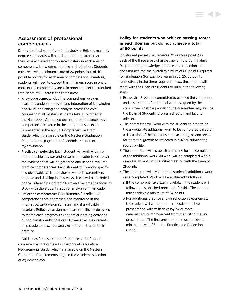# Assessment of professional competencies

During the final year of graduate study at Erikson, master's degree candidates will be asked to demonstrate that they have achieved appropriate mastery in each area of competency: knowledge, practice and reflection. Students must receive a minimum score of 20 points (out of 40 possible points) for each area of competency. Therefore, students will need to exceed this minimum score in one or more of the competency areas in order to meet the required total score of 80 across the three areas.

- Knowledge competencies The comprehensive exam evaluates understanding of and integration of knowledge and skills in thinking and analysis across the core courses that all master's students take as outlined in the Handbook. A detailed description of the knowledge competencies covered in the comprehensive exam is presented in the annual Comprehensive Exam Guide, which is available on the Master's Graduation Requirements page in the Academics section of *my.erikson.edu.*
- Practice competencies Each student will work with his/ her internship advisor and/or seminar leader to establish the evidence that will be gathered and used to evaluate practice competencies. Each student will identify specific and observable skills that she/he wants to strengthen, improve and develop in new ways. These will be recorded on the "Internship Contract" form and become the focus of study with the student's advisor and/or seminar leader.
- Reflection competencies Requirements for reflection competencies are addressed and monitored in the integrative/supervision seminars, and if applicable, in tutorials. Reflective assignments are specifically designed to match each program's experiential learning activities during the student's final year. However, all assignments help students describe, analyze and reflect upon their practice.

Guidelines for assessment of practice and reflection competencies are outlined in the annual Graduation Requirements Guide, which is available on the Master's Graduation Requirements page in the Academics section of *my.erikson.edu.*

# **Policy for students who achieve passing scores in each domain but do not achieve a total of 80 points**

If a student passes (i.e., receives 20 or more points) in each of the three areas of assessment in the Culminating Requirements, knowledge, practice, and reflection, but does not achieve the overall minimum of 80 points required for graduation (for example, earning 25, 25, 25 points respectively in the three required areas), the student will meet with the Dean of Students to pursue the following steps:

- 1. Establish a 3-person committee to oversee the completion and assessment of additional work assigned by the committee. Possible people on the committee may include the Dean of Students, program director, and faculty adviser.
- 2. The committee will work with the student to determine the appropriate additional work to be completed based on a discussion of the student's relative strengths and areas for potential growth as reflected in his/her culminating scores profile.
- 3. The committee will establish a timeline for the completion of the additional work. All work will be completed within one year, at most, of the initial meeting with the Dean of Students.
- 4. The committee will evaluate the student's additional work, once completed. Work will be evaluated as follows:
	- a. If the comprehensive exam is retaken, the student will follow the established procedure for this. The student must achieve a minimum of 24 points.
	- b. For additional practice and/or reflection experiences, the student will complete the reflective practice presentation with written essay twice more, demonstrating improvement from the first to the 2nd presentation. The first presentation must achieve a minimum level of 3 on the Practice and Reflection rubrics.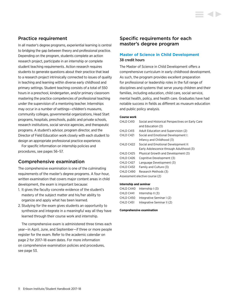# Practice requirement

In all master's degree programs, experiential learning is central to bridging the gap between theory and professional practice. Depending on the program, students complete an action research project, participate in an internship or complete student teaching requirements. Action research requires students to generate questions about their practice that lead to a research project intrinsically connected to issues of quality in teaching and learning within diverse early childhood and primary settings. Student teaching consists of a total of 550 hours in a preschool, kindergarten, and/or primary classroom mastering the practice competencies of professional teaching under the supervision of a mentoring teacher. Internships may occur in a number of settings—children's museums, community colleges, governmental organizations, Head Start programs, hospitals, preschools, public and private schools, research institutions, social service agencies, and therapeutic programs. A student's advisor, program director, and the Director of Field Education work closely with each student to design an appropriate professional practice experience.

For specific information on internship policies and procedures, see pages 56–57.

# Comprehensive examination

The comprehensive examination is one of the culminating requirements of the master's degree programs. A four-hour, written examination that covers major content areas in child development, the exam is important because:

- 1. It gives the faculty concrete evidence of the student's mastery of the subject matter and his/her ability to organize and apply what has been learned.
- 2. Studying for the exam gives students an opportunity to synthesize and integrate in a meaningful way all they have learned through their course work and internship.

The comprehensive exam is administered three times each year—in April, June, and September—if three or more people register for the exam. Refer to the academic calendar on page 2 for 2017–18 exam dates. For more information on comprehensive examination policies and procedures, see page 53.

# Specific requirements for each master's degree program

# **Master of Science in Child Development** 38 credit hours

The Master of Science in Child Development offers a comprehensive curriculum in early childhood development. As such, the program provides excellent preparation for professional or leadership roles in the full range of disciplines and systems that serve young children and their families, including education, child care, social service, mental health, policy, and health care. Graduates have had notable success in fields as different as museum education and public policy analysis.

#### **Course work**

| CHLD C410  | Social and Historical Perspectives on Early Care |
|------------|--------------------------------------------------|
|            | and Education (3)                                |
| CHI D C413 | Adult Education and Supervision (2)              |
| CHLD C421  | Social and Emotional Development I:              |
|            | Infancy and Childhood (3)                        |
| CHLD C422  | Social and Emotional Development II:             |
|            | Early Adolescence through Adulthood (3)          |
| CHLD C425  | Physical Growth and Development (3)              |
| CHLD C426  | Cognitive Development (3)                        |
| CHLD C427  | Language Development (3)                         |
| CHLD C432  | Family and Culture (3)                           |
| CHLD C490  | Research Methods (3)                             |
|            | Assessment elective course (2)                   |

#### **Internship and seminar**

| CHLD C440 | Internship $(3)$           |
|-----------|----------------------------|
| CHLD C441 | Internship II (3)          |
| CHLD C450 | Integrative Seminar I (2)  |
| CHLD C451 | Integrative Seminar II (2) |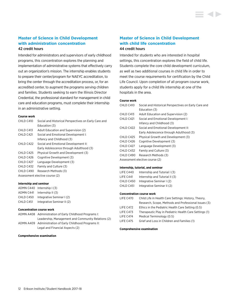### **Master of Science in Child Development with administration concentration** 42 credit hours

Intended for administrators and supervisors of early childhood programs, this concentration explores the planning and implementation of administrative systems that effectively carry out an organization's mission. The internship enables students to prepare their center/program for NAEYC accreditation, to bring the center through the accreditation process, or, for an accredited center, to augment the programs serving children and families. Students seeking to earn the Illinois Director Credential, the professional standard for management in child care and education programs, must complete their internship in an administrative setting.

#### **Course work**

| CHLD C410 | Social and Historical Perspectives on Early Care and |
|-----------|------------------------------------------------------|
|           | Education (3)                                        |
| CHLD C413 | Adult Education and Supervision (2)                  |
| CHLD C421 | Social and Emotional Development I:                  |
|           | Infancy and Childhood (3)                            |
| CHLD C422 | Social and Emotional Development II:                 |
|           | Early Adolescence through Adulthood (3)              |
| CHLD C425 | Physical Growth and Development (3)                  |
| CHLD C426 | Cognitive Development (3)                            |
| CHLD C427 | Language Development (3)                             |
| CHLD C432 | Family and Culture (3)                               |
| CHLD C490 | Research Methods (3)                                 |
|           | Assessment elective course (2)                       |
|           |                                                      |

#### **Internship and seminar**

|           | ADMN C440 Internship (3)    |
|-----------|-----------------------------|
|           | ADMN C441 Internship II (3) |
| CHLD C450 | Integrative Seminar I (2)   |
| CHLD C451 | Integrative Seminar II (2)  |

#### **Concentration course work**

| ADMN A408 Administration of Early Childhood Programs I:  |
|----------------------------------------------------------|
| Leadership, Management and Community Relations (2)       |
| ADMN A409 Administration of Early Childhood Programs II: |
| Legal and Financial Aspects (2)                          |

#### **Comprehensive examination**

# **Master of Science in Child Development with child life concentration**

### 44 credit hours

Intended for students who are interested in hospital settings, this concentration explores the field of child life. Students complete the core child development curriculum, as well as two additional courses in child life in order to meet the course requirements for certification by the Child Life Council. Upon completion of all program course work, students apply for a child life internship at one of the hospitals in the area.

#### **Course work**

| CHLD C410 | Social and Historical Perspectives on Early Care and |
|-----------|------------------------------------------------------|
|           | Education (3)                                        |
| CHLD C413 | Adult Education and Supervision (2)                  |
| CHLD C421 | Social and Emotional Development I:                  |
|           | Infancy and Childhood (3)                            |
| CHLD C422 | Social and Emotional Development II:                 |
|           | Early Adolescence through Adulthood (3)              |
| CHLD C425 | Physical Growth and Development (3)                  |
| CHLD C426 | Cognitive Development (3)                            |
| CHLD C427 | Language Development (3)                             |
| CHLD C432 | Family and Culture (3)                               |
| CHLD C490 | Research Methods (3)                                 |
|           | Assessment elective course (2)                       |
|           |                                                      |

#### **Internship, tutorial, and seminar**

| LIFE C440 | Internship and Tutorial I (3)  |
|-----------|--------------------------------|
| LIFE C441 | Internship and Tutorial II (3) |
| CHLD C450 | Integrative Seminar I (2)      |
| CHLD C451 | Integrative Seminar II (2)     |

#### **Concentration course work**

| LIFE C470 | Child Life in Health Care Settings: History, Theory,   |
|-----------|--------------------------------------------------------|
|           | Research, Scope, Methods and Professional Issues (3)   |
| LIFE C472 | Ethics in the Pediatric Health Care Setting (0.5)      |
| LIFE C473 | Therapeutic Play in Pediatric Health Care Settings (1) |
| LIFE C474 | Medical Terminology (0.5)                              |
| LIFE C475 | Grief and Loss in Children and Families (1)            |
|           |                                                        |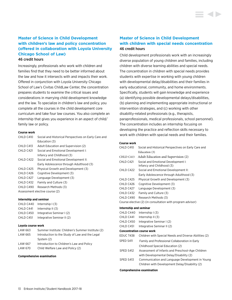# **Master of Science in Child Development with children's law and policy concentration (offered in collaboration with Loyola University Chicago School of Law)**

#### 46 credit hours

Increasingly, professionals who work with children and families find that they need to be better informed about the law and how it intersects with and impacts their work. Offered in conjunction with Loyola University Chicago School of Law's Civitas ChildLaw Center, the concentration prepares students to examine the critical issues and considerations in marrying child development knowledge and the law. To specialize in children's law and policy, you complete all the courses in the child development core curriculum and take four law courses. You also complete an internship that gives you experience in an aspect of child/ family law or policy.

#### **Course work**

| CHLD C410  | Social and Historical Perspectives on Early Care and |
|------------|------------------------------------------------------|
|            | Education (3)                                        |
| CHI D C413 | Adult Education and Supervision (2)                  |
| CHI D C421 | Social and Emotional Development I:                  |
|            | Infancy and Childhood (3)                            |
| CHI D C422 | Social and Emotional Development II:                 |
|            | Early Adolescence through Adulthood (3)              |
| CHLD C425  | Physical Growth and Development (3)                  |
| CHLD C426  | Cognitive Development (3)                            |
| CHLD C427  | Language Development (3)                             |
| CHLD C432  | Family and Culture (3)                               |
| CHLD C490  | Research Methods (3)                                 |
|            | Assessment elective course (2)                       |
|            |                                                      |

#### **Internship and seminar**

| CHLD C440 | Internship $(3)$           |
|-----------|----------------------------|
| CHLD C441 | Internship $   (3)$        |
| CHLD C450 | Integrative Seminar I (2)  |
| CHLD C451 | Integrative Seminar II (2) |

#### **Loyola course work**

| LAW 663 | Summer Institute: Children's Summer Institute (2) |
|---------|---------------------------------------------------|
| LAW 665 | Introduction to the Study of Law and the Legal    |
|         | System (2)                                        |
| LAW 667 | Introduction to Children's Law and Policy         |
| LAW 670 | Child Welfare Law and Policy (2)                  |

#### **Comprehensive examination**

# **Master of Science in Child Development with children with special needs concentration** 46 credit hours

Child development professionals work with an increasingly diverse population of young children and families, including children with diverse learning abilities and special needs. The concentration in children with special needs provides students with expertise in working with young children with developmental delay/disabilities and their families in early educational, community, and home environments. Specifically, students will gain knowledge and experience (a) identifying possible developmental delays/disabilities, (b) planning and implementing appropriate instructional or intervention strategies, and (c) working with other disability-related professionals (e.g., therapists, paraprofessionals, medical professionals, school personnel). The concentration includes an internship focusing on developing the practice and reflection skills necessary to work with children with special needs and their families.

#### **Course work**

| CHLD C410              | Social and Historical Perspectives on Early Care and             |
|------------------------|------------------------------------------------------------------|
|                        | Education (3)                                                    |
| CHLD C413              | Adult Education and Supervision (2)                              |
| CHLD C421              | Social and Emotional Development I:<br>Infancy and Childhood (3) |
| CHLD C422              | Social and Emotional Development II:                             |
|                        | Early Adolescence through Adulthood (3)                          |
| CHLD C425              | Physical Growth and Development (3)                              |
| CHLD C426              | Cognitive Development (3)                                        |
| CHLD C427              | Language Development (3)                                         |
| CHLD C432              | Family and Culture (3)                                           |
| CHLD C490              | Research Methods (3)                                             |
|                        | Course elective (2) (in consultation with program advisor)       |
| Internship and seminar |                                                                  |
| CHLD C440              | Internship $(3)$                                                 |
| CHLD C441              | Internship $II(3)$                                               |
| CHLD C450              | Integrative Seminar I (2)                                        |
| CHLD C451              | Integrative Seminar II (2)                                       |
|                        | <b>Concentration course work</b>                                 |
| EDUC T438              | Children with Special Needs and Diverse Abilities (2)            |
|                        |                                                                  |

- SPED S411 Family and Professional Collaboration in Early Childhood Special Education (2)
- SPED S412 Assessment of Infants and Preschool-Age Children with Developmental Delay/Disability (2) SPED S413 Communication and Language Development in Young
- Children with Development Delay/Disability (2)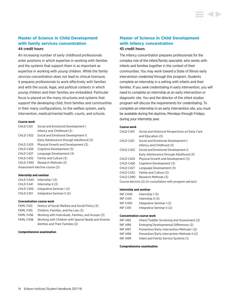### **Master of Science in Child Development with family services concentration** 44 credit hours

An increasing number of early childhood professionals enter positions in which expertise in working with families and the systems that support them is as important as expertise in working with young children. While the family services concentration does not lead to clinical licensure, it prepares professionals to work effectively with families and with the social, legal, and political contexts in which young children and their families are embedded. Particular focus is placed on the many structures and systems that support the developing child, from families and communities in their many configurations, to the welfare system, early intervention, medical/mental health, courts, and schools.

#### **Course work**

| CHLD C421                      | Social and Emotional Development I:     |
|--------------------------------|-----------------------------------------|
|                                | Infancy and Childhood (3)               |
| CHLD C422                      | Social and Emotional Development II:    |
|                                | Early Adolescence through Adulthood (3) |
| CHLD C425                      | Physical Growth and Development (3)     |
| CHI D C426                     | Cognitive Development (3)               |
| CHLD C427                      | Language Development (3)                |
| CHLD C432                      | Family and Culture (3)                  |
| CHLD C490                      | Research Methods (3)                    |
| Assessment elective course (2) |                                         |

#### **Internship and seminar**

| CHLD C440 | Internship $(3)$           |
|-----------|----------------------------|
| CHLD C441 | Internship $   (3)$        |
| CHLD C450 | Integrative Seminar I (2)  |
| CHLD C451 | Integrative Seminar II (2) |

#### **Concentration course work**

| FAML F412 | History of Social Welfare and Social Policy (3)      |
|-----------|------------------------------------------------------|
| FAML F415 | Children, Families, and the Law (3)                  |
| FAML F436 | Working with Individuals, Families, and Groups (3)   |
| FAML F438 | Working with Children with Special Needs and Diverse |
|           | Abilities and Their Families (2)                     |

#### **Comprehensive examination**

# **Master of Science in Child Development with infancy concentration** 45 credit hours

The infancy concentration prepares professionals for the complex role of the infant/family specialist, who works with infants and families together in the context of their communities. You may work toward a State of Illinois early intervention credential through this program. Students complete an internship in a setting with infants and their families. If you seek credentialing in early intervention, you will need to complete an internship at an early intervention or diagnostic site. You and the director of the infant studies program will discuss the requirements for credentialing. To complete an internship in an early intervention site, you must be available during the daytime, Mondays through Fridays, during your internship year.

#### **Course work**

| CHLD C410 | Social and Historical Perspectives on Early Care           |
|-----------|------------------------------------------------------------|
|           | and Education (3)                                          |
| CHLD C421 | Social and Emotional Development I:                        |
|           | Infancy and Childhood (3)                                  |
| CHLD C422 | Social and Emotional Development II:                       |
|           | Early Adolescence through Adulthood (3)                    |
| CHLD C425 | Physical Growth and Development (3)                        |
| CHLD C426 | Cognitive Development (3)                                  |
| CHLD C427 | Language Development (3)                                   |
| CHLD C432 | Family and Culture (3)                                     |
| CHLD C490 | Research Methods (3)                                       |
|           | Course elective (2) (in consultation with program advisor) |

#### **Internship and seminar**

| INF C440        | Internship $(3)$           |
|-----------------|----------------------------|
| <b>INF C441</b> | Internship $II(3)$         |
| <b>INF C450</b> | Integrative Seminar I (2)  |
| INF C451        | Integrative Seminar II (2) |

#### **Concentration course work**

| <b>INF 1492</b> | Infant/Toddler Screening and Assessment (2)  |
|-----------------|----------------------------------------------|
| <b>INF 1496</b> | Emerging Developmental Differences (2)       |
| <b>INF 1497</b> | Prevention/Early Intervention Methods I (2)  |
| <b>INF 1498</b> | Prevention/Early Intervention Methods II (2) |
| <b>INF1499</b>  | Infant and Family Service Systems (1)        |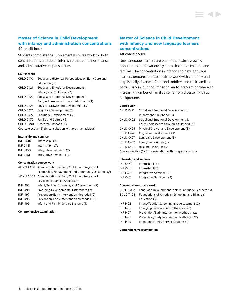# **Master of Science in Child Development with infancy and administration concentrations** 49 credit hours

Students complete the supplemental course work for both concentrations and do an internship that combines infancy and administrative responsibilities.

#### **Course work**

| CHLD C410  | Social and Historical Perspectives on Early Care and       |
|------------|------------------------------------------------------------|
|            | Education (3)                                              |
| CHLD C421  | Social and Emotional Development I:                        |
|            | Infancy and Childhood (3)                                  |
| CHLD C422  | Social and Emotional Development II:                       |
|            | Early Adolescence through Adulthood (3)                    |
| CHLD C425  | Physical Growth and Development (3)                        |
| CHLD C426  | Cognitive Development (3)                                  |
| CHI D C427 | Language Development (3)                                   |
| CHLD C432  | Family and Culture (3)                                     |
| CHLD C490  | Research Methods (3)                                       |
|            | Course elective (2) (in consultation with program advisor) |

#### **Internship and seminar**

| <b>INF C440</b> | Internship $(3)$           |
|-----------------|----------------------------|
| <b>INF C441</b> | Internship $II(3)$         |
| <b>INF C450</b> | Integrative Seminar I (2)  |
| <b>INF C451</b> | Integrative Seminar II (2) |

#### **Concentration course work**

|                 | ADMN A408 Administration of Early Childhood Programs I:  |
|-----------------|----------------------------------------------------------|
|                 | Leadership, Management and Community Relations (2)       |
|                 | ADMN A409 Administration of Early Childhood Programs II: |
|                 | Legal and Financial Aspects (2)                          |
| <b>INF 1492</b> | Infant/Toddler Screening and Assessment (2)              |
| <b>INF1496</b>  | Emerging Developmental Differences (2)                   |
| <b>INF 1497</b> | Prevention/Early Intervention Methods I (2)              |
| <b>INF 1498</b> | Prevention/Early Intervention Methods II (2)             |
| <b>INF 1499</b> | Infant and Family Service Systems (1)                    |
|                 |                                                          |

#### **Comprehensive examination**

# **Master of Science in Child Development with infancy and new language learners concentrations** 48 credit hours

New language learners are one of the fastest growing populations in the various systems that serve children and families. The concentration in infancy and new language learners prepares professionals to work with culturally and linguistically diverse infants and toddlers and their families, particularly in, but not limited to, early intervention where an increasing number of families come from diverse linguistic backgrounds.

#### **Course work**

| CHLD C421                                                  | Social and Emotional Development I:     |
|------------------------------------------------------------|-----------------------------------------|
|                                                            | Infancy and Childhood (3)               |
| CHLD C422                                                  | Social and Emotional Development II:    |
|                                                            | Early Adolescence through Adulthood (3) |
| CHLD C425                                                  | Physical Growth and Development (3)     |
| CHLD C426                                                  | Cognitive Development (3)               |
| CHLD C427                                                  | Language Development (3)                |
| CHLD C432                                                  | Family and Culture (3)                  |
| CHLD C490                                                  | Research Methods (3)                    |
| Course elective (2) (in consultation with program advisor) |                                         |

#### **Internship and seminar**

| INF C440        | Internship $(3)$           |
|-----------------|----------------------------|
| <b>INF C441</b> | Internship $II(3)$         |
| <b>INF C450</b> | Integrative Seminar I (2)  |
| <b>INF C451</b> | Integrative Seminar II (2) |

#### **Concentration course work**

| BESL B402      | Language Development in New Language Learners (3) |
|----------------|---------------------------------------------------|
| EDUC T408      | Foundations of American Schooling and Bilingual   |
|                | Education (3)                                     |
| <b>INF1492</b> | Infant/Toddler Screening and Assessment (2)       |
| <b>INF1496</b> | Emerging Development Differences (2)              |
| <b>INF1497</b> | Prevention/Early Intervention Methods I (2)       |
| <b>INF1498</b> | Prevention/Early Intervention Methods II (2)      |
| <b>INF1499</b> | Infant and Family Service Systems (1)             |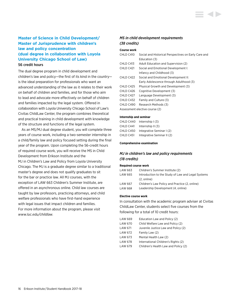# **Master of Science in Child Development/ Master of Jurisprudence with children's law and policy concentration (dual degree in collaboration with Loyola University Chicago School of Law)** 56 credit hours

The dual degree program in child development and children's law and policy—the first of its kind in the country is the ideal preparation for professionals who want an advanced understanding of the law as it relates to their work on behalf of children and families, and for those who aim to lead and advocate more effectively on behalf of children and families impacted by the legal system. Offered in collaboration with Loyola University Chicago School of Law's Civitas ChildLaw Center, the program combines theoretical and practical training in child development with knowledge of the structure and functions of the legal system.

As an MS/MJ dual degree student, you will complete three years of course work, including a two-semester internship in a child/family law and policy focused setting during the final year of the program. Upon completing the 56-credit hours of required course work, you will receive the MS in Child Development from Erikson Institute and the MJ in Children's Law and Policy from Loyola University Chicago. The MJ is a graduate degree similar to a traditional master's degree and does not qualify graduates to sit for the bar or practice law. All MJ courses, with the exception of LAW 663 Children's Summer Institute, are offered in an asynchronous online. Child law courses are taught by law professors, practicing attorneys, and child welfare professionals who have first-hand experience with legal issues that impact children and families. For more information about the program, please visit *<www.luc.edu/childlaw>*.

### *MS in child development requirements (38 credits)*

#### **Course work**

| CHLD C410 | Social and Historical Perspectives on Early Care and |
|-----------|------------------------------------------------------|
|           | Education (3)                                        |
| CHLD C413 | Adult Education and Supervision (2)                  |
| CHLD C421 | Social and Emotional Development I:                  |
|           | Infancy and Childhood (3)                            |
| CHLD C422 | Social and Emotional Development II:                 |
|           | Early Adolescence through Adulthood (3)              |
| CHLD C425 | Physical Growth and Development (3)                  |
| CHLD C426 | Cognitive Development (3)                            |
| CHLD C427 | Language Development (3)                             |
| CHLD C432 | Family and Culture (3)                               |
| CHLD C490 | Research Methods (3)                                 |
|           | Assessment elective course (2)                       |
|           |                                                      |

#### **Internship and seminar**

| CHLD C440 | Internship $(3)$           |
|-----------|----------------------------|
| CHLD C441 | Internship $   (3)$        |
| CHLD C450 | Integrative Seminar I (2)  |
| CHLD C451 | Integrative Seminar II (2) |

#### **Comprehensive examination**

### *MJ in children's law and policy requirements (18 credits)*

#### **Required course work**

| LAW 663 | Children's Summer Institute (2)                    |
|---------|----------------------------------------------------|
| LAW 665 | Introduction to the Study of Law and Legal Systems |
|         | $(2.$ online)                                      |
| LAW 667 | Children's Law Policy and Practice (2, online)     |
| LAW 668 | Leadership Development (4, online)                 |

#### **Elective course work**

In consultation with the academic program adviser at Civitas ChildLaw Center, students select five courses from the following for a total of 10 credit hours:

| LAW 669 | Education Law and Policy (2)         |
|---------|--------------------------------------|
| LAW 670 | Child Welfare Law and Policy (2)     |
| LAW 671 | Juvenile Justice Law and Policy (2)  |
| LAW 672 | Family Law (2)                       |
| LAW 673 | Mental Health Law (2)                |
| LAW 678 | International Children's Rights (2)  |
| LAW 679 | Children's Health Law and Policy (2) |
|         |                                      |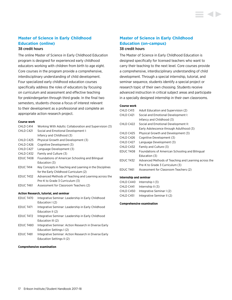# **Master of Science in Early Childhood Education (online)**

#### 38 credit hours

The online Master of Science in Early Childhood Education program is designed for experienced early childhood educators working with children from birth to age eight. Core courses in the program provide a comprehensive, interdisciplinary understanding of child development. Four specialized early childhood education courses specifically address the roles of educators by focusing on curriculum and assessment and effective teaching for prekindergarten through third grade. In the final two semesters, students choose a focus of interest relevant to their development as a professional and complete an appropriate action research project.

#### **Course work**

| CHLD C414                                     | Working With Adults: Collaboration and Supervision (3)   |
|-----------------------------------------------|----------------------------------------------------------|
| CHLD C421                                     | Social and Emotional Development I:                      |
|                                               | Infancy and Childhood (3)                                |
| CHLD C425                                     | Physical Growth and Development (3)                      |
| CHLD C426                                     | Cognitive Development (3)                                |
| CHLD C427                                     | Language Development (3)                                 |
| CHLD C432                                     | Family and Culture (3)                                   |
| <b>EDUC T408</b>                              | Foundations of American Schooling and Bilingual          |
|                                               | Education (3)                                            |
| EDUC T414                                     | Key Concepts in Teaching and Learning in the Disciplines |
|                                               | for the Early Childhood Curriculum (2)                   |
| <b>EDUC T432</b>                              | Advanced Methods of Teaching and Learning across the     |
|                                               | Pre-K to Grade 3 Curriculum (3)                          |
| EDUC T461                                     | Assessment for Classroom Teachers (2)                    |
| <b>Action Research, tutorial, and seminar</b> |                                                          |

```
EDUC T470 Integrative Seminar: Leadership in Early Childhood 
             Education I (2)
EDUC T471 Integrative Seminar: Leadership in Early Childhood 
             Education II (2)
EDUC T472 Integrative Seminar: Leadership in Early Childhood 
             Education III (2)
EDUC T480 Integrative Seminar: Action Research in Diverse Early 
              Education Settings I (2)
EDUC T481 Integrative Seminar: Action Research in Diverse Early 
             Education Settings II (2)
```
#### **Comprehensive examination**

# **Master of Science in Early Childhood Education (on-campus)**

### 38 credit hours

The Master of Science in Early Childhood Education is designed specifically for licensed teachers who want to carry their teaching to the next level. Core courses provide a comprehensive, interdisciplinary understanding of child development. Through a special internship, tutorial, and seminar sequence, students identify a special project or research topic of their own choosing. Students receive advanced instruction in critical subject areas and participate in a specially designed internship in their own classrooms.

#### **Course work**

| CHLD C413        | Adult Education and Supervision (2)                  |
|------------------|------------------------------------------------------|
| CHLD C421        | Social and Emotional Development I:                  |
|                  | Infancy and Childhood (3)                            |
| CHLD C422        | Social and Emotional Development II:                 |
|                  | Early Adolescence through Adulthood (3)              |
| CHLD C425        | Physical Growth and Development (3)                  |
| CHLD C426        | Cognitive Development (3)                            |
| CHLD C427        | Language Development (3)                             |
| CHLD C432        | Family and Culture (3)                               |
| EDUC T408        | Foundations of American Schooling and Bilingual      |
|                  | Education (3)                                        |
| <b>EDUC T432</b> | Advanced Methods of Teaching and Learning across the |
|                  | Pre-K to Grade 3 Curriculum (3)                      |
| EDUC T461        | Assessment for Classroom Teachers (2)                |

#### **Internship and seminar**

| Internship $(3)$           |
|----------------------------|
| Internship $II(3)$         |
| Integrative Seminar I (2)  |
| Integrative Seminar II (2) |
|                            |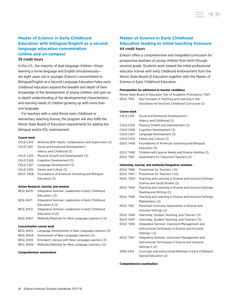# **Master of Science in Early Childhood Education with bilingual/English as a second language education concentration (online and on-campus)**

#### 39 credit hours

In the U.S., the majority of dual language children—those learning a home language and English simultaneously are eight years old or younger. Erikson's concentration in Bilingual/English as a Second Language Education helps early childhood educators expand the breadth and depth of their knowledge of the development of young children, and gain an in-depth understanding of the developmental characteristics and learning needs of children growing up with more than one language.

For teachers with a valid Illinois early childhood or elementary teaching license, the program will also fulfill the Illinois State Board of Education requirements for adding the bilingual and/or ESL endorsement.

#### **Course work**

| CHLD C414 | Working With Adults: Collaboration and Supervision (3) |
|-----------|--------------------------------------------------------|
| CHLD C421 | Social and Emotional Development I:                    |
|           | Infancy and Childhood (3)                              |
| CHLD C425 | Physical Growth and Development (3)                    |
| CHLD C426 | Cognitive Development (3)                              |
| CHLD C427 | Language Development (3)                               |
| CHLD C432 | Family and Culture (3)                                 |
| EDUC T408 | Foundations of American Schooling and Bilingual        |
|           | Education (3)                                          |
|           |                                                        |
|           |                                                        |

#### **Action Research, tutorial, and seminar**

| BESL B470 | Integrative Seminar: Leadership in Early Childhood |
|-----------|----------------------------------------------------|
|           | Education $(2)$                                    |
| BESL B471 | Integrative Seminar: Leadership in Early Childhood |
|           | Education II (2)                                   |
| BESL B472 | Integrative Seminar: Leadership in Early Childhood |
|           | Education III (2)                                  |
| BESL B407 | Methods/Materials for New Language Learners II (2) |

#### **Concentration course work**

| BESL B402 | Language Development in New Language Learners (3) |
|-----------|---------------------------------------------------|
| BESL B404 | Assessment of New Language Learners (2)           |
| BESL B405 | Emergent Literacy with New Language Learners (3)  |
| BESL B406 | Methods/Materials for New Language Learners I (2) |
|           |                                                   |

#### **Comprehensive examination**

# **Master of Science in Early Childhood Education leading to initial teaching licensure** 44 credit hours

Erikson offers a comprehensive and integrated curriculum for prospective teachers of young children from birth through secpmd grade. Students work toward the initial professional educator license with early childhood endorsement from the Illinois State Board of Education together with the Master of Science in Early Childhood Education.

#### **Prerequisites for admission to teacher candidacy**

Illinois State Board of Education Test of Academic Proficiency (TAP) EDUC T414 Key Concepts in Teaching and Learning in the

| Disciplines for the Early Childhood Curriculum (2) |
|----------------------------------------------------|
|----------------------------------------------------|

#### **Course work**

| CHLD C421        | Social and Emotional Development I:                      |
|------------------|----------------------------------------------------------|
|                  | Infancy and Childhood (3)                                |
| CHLD C425        | Physical Growth and Development (3)                      |
| CHLD C426        | Cognitive Development (3)                                |
| CHLD C427        | Language Development (3)                                 |
| CHLD C432        | Family and Culture (3)                                   |
| EDUC T408        | Foundations of American Schooling and Bilingual          |
|                  | Education (3)                                            |
| EDUC T438        | Children with Special Needs and Diverse Abilities (2)    |
| EDUC T461        | Assessment for Classroom Teachers (2)                    |
|                  | Internship, tutorial, and methods/integrative seminars   |
| EDUC T466        | Proseminar for Teachers I (0)                            |
| EDUC T467        | Proseminar for Teachers II (0)                           |
| EDUC T404        | Teaching and Learning in Diverse and Inclusive Settings: |
|                  | Science and Social Studies (2)                           |
| EDUC T405        | Teaching and Learning in Diverse and Inclusive Settings: |
|                  | Reading and Writing (2)                                  |
| EDUC T406        | Teaching and Learning in Diverse and Inclusive Settings: |
|                  | Mathematics (2)                                          |
| <b>EDUC T412</b> | Preschool Curricular Approaches in Diverse and           |
|                  | Inclusive Settings (2)                                   |
| <b>EDUC T446</b> | Internship, Student Teaching, and Tutorial I (3)         |
| EDUC T447        | Internship, Student Teaching, and Tutorial II (3)        |
| <b>EDUC T456</b> | Integrative Seminar: Classroom Management and            |
|                  | Instructional Techniques in Diverse and Inclusive        |
|                  | Settings I (2)                                           |
| EDUC T457        | Integrative Seminar: Classroom Management and            |
|                  | Instructional Techniques in Diverse and Inclusive        |
|                  | Settings II (2)                                          |
| SPED S410        | Curricular and Instructional Methods in Early Childhood  |
|                  | Special Education (2)                                    |
|                  |                                                          |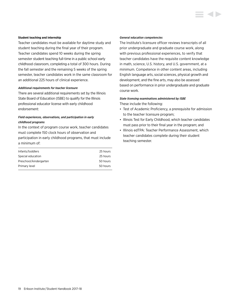#### **Student teaching and internship**

Teacher candidates must be available for daytime study and student teaching during the final year of their program. Teacher candidates spend 10 weeks during the spring semester student teaching full-time in a public school early childhood classroom, completing a total of 300 hours. During the fall semester and the remaining 5 weeks of the spring semester, teacher candidates work in the same classroom for an additional 225 hours of clinical experience.

#### *Additional requirements for teacher licensure*

There are several additional requirements set by the Illinois State Board of Education (ISBE) to qualify for the Illinois professional educator license with early childhood endorsement:

#### *Field experiences, observations, and participation in early childhood programs*

In the context of program course work, teacher candidates must complete 150 clock hours of observation and participation in early childhood programs, that must include a minimum of:

| 25 hours |
|----------|
|          |
| 25 hours |
| 50 hours |
| 50 hours |
|          |

#### *General education competencies*

The Institute's licensure officer reviews transcripts of all prior undergraduate and graduate course work, along with previous professional experiences, to verify that teacher candidates have the requisite content knowledge in math, science, U.S. history, and U.S. government, at a minimum. Competence in other content areas, including English language arts, social sciences, physical growth and development, and the fine arts, may also be assessed based on performance in prior undergraduate and graduate course work.

#### *State licensing examinations administered by ISBE*

These include the following:

- Test of Academic Proficiency, a prerequisite for admission to the teacher licensure program;
- Illinois Test for Early Childhood, which teacher candidates must pass prior to their final year in the program; and
- Illinois edTPA: Teacher Performance Assessment, which teacher candidates complete during their student teaching semester.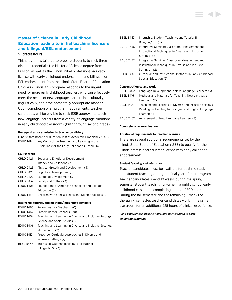# **Master of Science in Early Childhood Education leading to initial teaching licensure and bilingual/ESL endorsement** 51 credit hours

This program is tailored to prepare students to seek three distinct credentials: the Master of Science degree from Erikson, as well as the Illinois initial professional educator license with early childhood endorsement and bilingual or ESL endorsement from the Illinois State Board of Education. Unique in Illinois, this program responds to the urgent need for more early childhood teachers who can effectively meet the needs of new language learners in a culturally, linguistically, and developmentally appropriate manner. Upon completion of all program requirements, teacher candidates will be eligible to seek ISBE approval to teach new language learners from a variety of language traditions in early childhood classrooms (birth through second grade).

#### **Prerequisites for admission to teacher candidacy**

Illinois State Board of Education Test of Academic Proficiency (TAP) EDUC T414 Key Concepts in Teaching and Learning in the Disciplines for the Early Childhood Curriculum (2)

#### **Course work**

| CHLD C421 | Social and Emotional Development I:                   |
|-----------|-------------------------------------------------------|
|           | Infancy and Childhood (3)                             |
| CHLD C425 | Physical Growth and Development (3)                   |
| CHLD C426 | Cognitive Development (3)                             |
| CHLD C427 | Language Development (3)                              |
| CHLD C432 | Family and Culture (3)                                |
| EDUC T408 | Foundations of American Schooling and Bilingual       |
|           | Education (3)                                         |
| EDUC T438 | Children with Special Needs and Diverse Abilities (2) |

#### **Internship, tutorial, and methods/integrative seminars**

| EDUC T466 | Proseminar for Teachers I (0)                            |
|-----------|----------------------------------------------------------|
| EDUC T467 | Proseminar for Teachers II (0)                           |
| EDUC T404 | Teaching and Learning in Diverse and Inclusive Settings: |
|           | Science and Social Studies (2)                           |
| EDUC T406 | Teaching and Learning in Diverse and Inclusive Settings: |
|           | Mathematics (2)                                          |
| EDUC T412 | Preschool Curricular Approaches in Diverse and           |
|           | Inclusive Settings (2)                                   |
| BESL B446 | Internship, Student Teaching, and Tutorial I:            |
|           | Bilingual/ESL (3)                                        |

| BESL B447        | Internship, Student Teaching, and Tutorial II:          |
|------------------|---------------------------------------------------------|
|                  | Bilingual/ESL (3)                                       |
| <b>EDUC T456</b> | Integrative Seminar: Classroom Management and           |
|                  | Instructional Techniques in Diverse and Inclusive       |
|                  | Settings I (2)                                          |
| EDUC T457        | Integrative Seminar: Classroom Management and           |
|                  | Instructional Techniques in Diverse and Inclusive       |
|                  | Settings II (2)                                         |
| SPED S410        | Curricular and Instructional Methods in Early Childhood |
|                  | Special Education (2)                                   |
|                  |                                                         |
|                  | <b>Concentration course work</b>                        |
| RESI R402        | Language Development in New Language Learners (3)       |

| BESL B402 | Language Development in New Language Learners (3) |
|-----------|---------------------------------------------------|
| BESL B416 | Methods and Materials for Teaching New Language   |
|           | Learners $(2)$                                    |
|           |                                                   |

- BESL T409 Teaching and Learning in Diverse and Inclusive Settings: Reading and Writing for Bilingual and English Language Learners (3)
- EDUC T462 Assessment of New Language Learners (3)

#### **Comprehensive examination**

#### **Additional requirements for teacher licensure**

There are several additional requirements set by the Illinois State Board of Education (ISBE) to qualify for the Illinois professional educator license with early childhood endorsement:

#### *Student teaching and internship*

Teacher candidates must be available for daytime study and student teaching during the final year of their program. Teacher candidates spend 10 weeks during the spring semester student teaching full-time in a public school early childhood classroom, completing a total of 300 hours. During the fall semester and the remaining 5 weeks of the spring semester, teacher candidates work in the same classroom for an additional 225 hours of clinical experience.

### *Field experiences, observations, and participation in early childhood programs*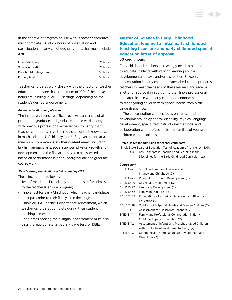In the context of program course work, teacher candidates must complete 150 clock hours of observation and participation in early childhood programs, that must include a minimum of:

| Infants/toddlers       | 25 hours |
|------------------------|----------|
| Special education      | 25 hours |
| Preschool/kindergarten | 50 hours |
| Primary level          | 50 hours |

Teacher candidates work closely with the director of teacher education to ensure that a minimum of 100 of the above hours are in bilingual or ESL settings, depending on the student's desired endorsement.

#### *General education competencies*

The Institute's licensure officer reviews transcripts of all prior undergraduate and graduate course work, along with previous professional experiences, to verify that teacher candidates have the requisite content knowledge in math, science, U.S. history, and U.S. government, at a minimum. Competence in other content areas, including English language arts, social sciences, physical growth and development, and the fine arts, may also be assessed based on performance in prior undergraduate and graduate course work.

#### *State licensing examinations administered by ISBE*

These include the following:

- Test of Academic Proficiency, a prerequisite for admission to the teacher licensure program;
- Illinois Test for Early Childhood, which teacher candidates must pass prior to their final year in the program;
- Illinois edTPA: Teacher Performance Assessment, which teacher candidates complete during their student teaching semester; and
- Candidates seeking the bilingual endorsement must also pass the appropriate target language test for ISBE.

# **Master of Science in Early Childhood Education leading to initial early childhood teaching licensure and early childhood special education letter of approval**  50 credit hours

Early childhood teachers increasingly need to be able to educate students with varying learning abilities, developmental delays, and/or disabilities. Erikson's concentration in early childhood special education prepares teachers to meet the needs of these learners and receive a letter of approval in addition to the Illinois professional educator license with early childhood endorsement to teach young children with special needs from birth through age five.

The concentration courses focus on assessment of developmental delay and/or disability, atypical language development, specialized instructional methods, and collaboration with professionals and families of young children with disabilities.

#### **Prerequisites for admission to teacher candidacy**

|           | Illinois State Board of Education Test of Academic Proficiency (TAP) |
|-----------|----------------------------------------------------------------------|
| EDUC T414 | Key Concepts in Teaching and Learning in the                         |
|           | Disciplines for the Early Childhood Curriculum (2)                   |

### **Course work**

| CHLD C421 | Social and Emotional Development I:                   |
|-----------|-------------------------------------------------------|
|           | Infancy and Childhood (3)                             |
| CHLD C425 | Physical Growth and Development (3)                   |
| CHLD C426 | Cognitive Development (3)                             |
| CHLD C427 | Language Development (3)                              |
| CHLD C432 | Family and Culture (3)                                |
| EDUC T408 | Foundations of American Schooling and Bilingual       |
|           | Education (3)                                         |
| EDUC T438 | Children with Special Needs and Diverse Abilities (2) |
| EDUC T461 | Assessment for Classroom Teachers (2)                 |
| SPED S411 | Family and Professional Collaboration in Early        |
|           | Childhood Special Education (2)                       |
| SPED S412 | Assessment of Infants and Preschool-aged Children     |
|           | with Disabilities/Developmental Delay (2)             |
| SPED S413 | Communication and Language Development and            |
|           | Disabilities (2)                                      |
|           |                                                       |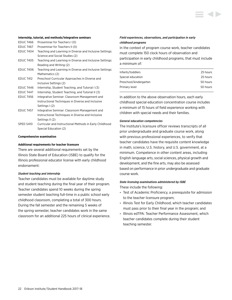

#### **Internship, tutorial, and methods/integrative seminars**

| EDUC T466        | Proseminar for Teachers I (0)                            |
|------------------|----------------------------------------------------------|
| <b>EDUC T467</b> | Proseminar for Teachers II (0)                           |
| EDUC T404        | Teaching and Learning in Diverse and Inclusive Settings: |
|                  | Science and Social Studies (2)                           |
| <b>EDUC T405</b> | Teaching and Learning in Diverse and Inclusive Settings: |
|                  | Reading and Writing (2)                                  |
| EDUC T406        | Teaching and Learning in Diverse and Inclusive Settings: |
|                  | Mathematics (2)                                          |
| <b>EDUC T412</b> | Preschool Curricular Approaches in Diverse and           |
|                  | Inclusive Settings (2)                                   |
| EDUC T446        | Internship, Student Teaching, and Tutorial I (3)         |
| EDUC T447        | Internship, Student Teaching, and Tutorial II (3)        |
| <b>EDUC T456</b> | Integrative Seminar: Classroom Management and            |
|                  | Instructional Techniques in Diverse and Inclusive        |
|                  | Settings I (2)                                           |
| <b>EDUC T457</b> | Integrative Seminar: Classroom Management and            |
|                  | Instructional Techniques in Diverse and Inclusive        |
|                  | Settings II (2)                                          |
| SPED S410        | Curricular and Instructional Methods in Early Childhood  |

Special Education (2)

#### **Comprehensive examination**

#### **Additional requirements for teacher licensure**

There are several additional requirements set by the Illinois State Board of Education (ISBE) to qualify for the Illinois professional educator license with early childhood endorsement:

#### *Student teaching and internship*

Teacher candidates must be available for daytime study and student teaching during the final year of their program. Teacher candidates spend 10 weeks during the spring semester student teaching full-time in a public school early childhood classroom, completing a total of 300 hours. During the fall semester and the remaining 5 weeks of the spring semester, teacher candidates work in the same classroom for an additional 225 hours of clinical experience.

#### *Field experiences, observations, and participation in early childhood programs*

In the context of program course work, teacher candidates must complete 150 clock hours of observation and participation in early childhood programs, that must include a minimum of:

| Infants/toddlers       | 25 hours |
|------------------------|----------|
| Special education      | 25 hours |
| Preschool/kindergarten | 50 hours |
| Primary level          | 50 hours |
|                        |          |

In addition to the above observation hours, each early childhood special education concentration course includes a minimum of 15 hours of field experience working with children with special needs and their families.

#### *General education competencies*

The Institute's licensure officer reviews transcripts of all prior undergraduate and graduate course work, along with previous professional experiences, to verify that teacher candidates have the requisite content knowledge in math, science, U.S. history, and U.S. government, at a minimum. Competence in other content areas, including English language arts, social sciences, physical growth and development, and the fine arts, may also be assessed based on performance in prior undergraduate and graduate course work.

### *State licensing examinations administered by ISBE*

These include the following:

- Test of Academic Proficiency, a prerequisite for admission to the teacher licensure program;
- Illinois Test for Early Childhood, which teacher candidates must pass prior to their final year in the program; and
- Illinois edTPA: Teacher Performance Assessment, which teacher candidates complete during their student teaching semester.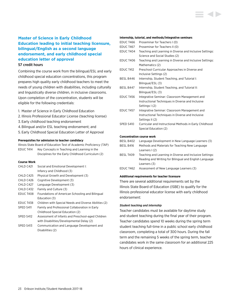# **Master of Science in Early Childhood Education leading to initial teaching licensure, bilingual/English as a second language endorsement, and early childhood special education letter of approval**

#### 57 credit hours

Combining the course work from the bilingual/ESL and early childhood special education concentrations, this program prepares high quality early childhood teachers to meet the needs of young children with disabilities, including culturally and linguistically diverse children, in inclusive classrooms. Upon completion of the concentration, students will be eligible for the following credentials:

- 1. Master of Science in Early Childhood Education
- 2. Illinois Professional Educator License (teaching license)
- 3. Early childhood teaching endorsement
- 4.Bilingual and/or ESL teaching endorsement; and
- 5. Early Childhood Special Education Letter of Approval

#### **Prerequisites for admission to teacher candidacy**

Illinois State Board of Education Test of Academic Proficiency (TAP) EDUC T414 Key Concepts in Teaching and Learning in the Disciplines for the Early Childhood Curriculum (2)

#### **Course Work**

| CHLD C421        | Social and Emotional Development I:                   |
|------------------|-------------------------------------------------------|
|                  | Infancy and Childhood (3)                             |
| CHLD C425        | Physical Growth and Development (3)                   |
| CHLD C426        | Cognitive Development (3)                             |
| CHLD C427        | Language Development (3)                              |
| CHLD C432        | Family and Culture (3)                                |
| <b>EDUC T408</b> | Foundations of American Schooling and Bilingual       |
|                  | Education (3)                                         |
| <b>EDUC T438</b> | Children with Special Needs and Diverse Abilities (2) |
| SPED S411        | Family and Professional Collaboration in Early        |
|                  | Childhood Special Education (2)                       |
| SPED S412        | Assessment of Infants and Preschool-aged Children     |
|                  | with Disabilities/Developmental Delay (2)             |
| SPED S413        | Communication and Language Development and            |
|                  | Disabilities (2)                                      |

#### **Internship, tutorial, and methods/integrative seminars**

| <b>EDUC T466</b>                 | Proseminar for Teachers I (0)                             |  |
|----------------------------------|-----------------------------------------------------------|--|
| EDUC T467                        | Proseminar for Teachers II (0)                            |  |
| EDUC T404                        | Teaching and Learning in Diverse and Inclusive Settings:  |  |
|                                  | Science and Social Studies (2)                            |  |
| EDUC T406                        | Teaching and Learning in Diverse and Inclusive Settings:  |  |
|                                  | Mathematics (2)                                           |  |
| <b>EDUC T412</b>                 | Preschool Curricular Approaches in Diverse and            |  |
|                                  | Inclusive Settings (2)                                    |  |
| BESL B446                        | Internship, Student Teaching, and Tutorial I:             |  |
|                                  | Bilingual/ESL (3)                                         |  |
| BESL B447                        | Internship, Student Teaching, and Tutorial II:            |  |
|                                  | Bilingual/ESL (3)                                         |  |
| <b>EDUC T456</b>                 | Integrative Seminar: Classroom Management and             |  |
|                                  | Instructional Techniques in Diverse and Inclusive         |  |
|                                  | Settings I (2)                                            |  |
| EDUC T457                        | Integrative Seminar: Classroom Management and             |  |
|                                  | Instructional Techniques in Diverse and Inclusive         |  |
|                                  | Settings II (2)                                           |  |
| SPED S410                        | Curricular and Instructional Methods in Early Childhood   |  |
|                                  | Special Education (2)                                     |  |
|                                  |                                                           |  |
| <b>Concentration course work</b> |                                                           |  |
| BESL B402                        | Language Development in New Language Learners (3)         |  |
|                                  | DECL D416 Methode and Materials for Teaching Nouslanguage |  |

# BESL B416 Methods and Materials for Teaching New Language Learners I (2)

- BESL T409 Teaching and Learning in Diverse and Inclusive Settings: Reading and Writing for Bilingual and English Language Learners (3)
- EDUC T462 Assessment of New Language Learners (3)

#### **Additional requirements for teacher licensure**

There are several additional requirements set by the Illinois State Board of Education (ISBE) to qualify for the Illinois professional educator license with early childhood endorsement:

#### *Student teaching and internship*

Teacher candidates must be available for daytime study and student teaching during the final year of their program. Teacher candidates spend 10 weeks during the spring term student teaching full-time in a public school early childhood classroom, completing a total of 300 hours. During the fall term and the remaining 5 weeks of the spring term, teacher candidates work in the same classroom for an additional 225 hours of clinical experience.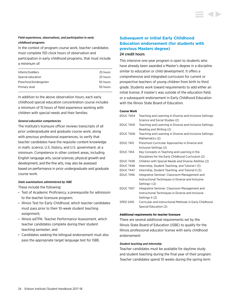### *Field experiences, observations, and participation in early childhood programs*

In the context of program course work, teacher candidates must complete 150 clock hours of observation and

participation in early childhood programs, that must include a minimum of:

| Infants/toddlers          | 25 hours |
|---------------------------|----------|
| Special education         | 25 hours |
| Preschool/kindergarten    | 50 hours |
| Primary level<br>50 hours |          |
|                           |          |

In addition to the above observation hours, each early childhood special education concentration course includes a minimum of 15 hours of field experience working with children with special needs and their families.

#### *General education competencies*

The Institute's licensure officer reviews transcripts of all prior undergraduate and graduate course work, along with previous professional experiences, to verify that teacher candidates have the requisite content knowledge in math, science, U.S. history, and U.S. government, at a minimum. Competence in other content areas, including English language arts, social sciences, physical growth and development, and the fine arts, may also be assessed based on performance in prior undergraduate and graduate course work.

#### *State examinations administered by ISBE*

These include the following:

- Test of Academic Proficiency, a prerequisite for admission to the teacher licensure program;
- Illinois Test for Early Childhood, which teacher candidates must pass prior to their 10-week student teaching assignment;
- Illinois edTPA: Teacher Performance Assessment, which teacher candidates complete during their student teaching semester; and
- Candidates seeking the bilingual endorsement must also pass the appropriate target language test for ISBE.

# **Subsequent or Initial Early Childhood Education endorsement (for students with previous Masters degree)** 24 credit hours

This intensive one-year program is open to students who have already been awarded a Master's degree in a discipline similar to education or child development. It offers a comprehensive and integrated curriculum for current or prospective teachers of young children from birth to third grade. Students work toward requirements to add either an initial license, if master's was outside of the education field; or a subsequent endorsement in Early Childhood Education with the Illinois State Board of Education.

#### **Course Work**

| EDUC T404        | Teaching and Learning in Diverse and Inclusive Settings:<br>Science and Social Studies (2) |
|------------------|--------------------------------------------------------------------------------------------|
| EDUC T405        | Teaching and Learning in Diverse and Inclusive Settings:                                   |
|                  | Reading and Writing (2)                                                                    |
| <b>EDUC T406</b> | Teaching and Learning in Diverse and Inclusive Settings:<br>Mathematics (2)                |
| <b>EDUC T412</b> | Preschool Curricular Approaches in Diverse and                                             |
|                  | Inclusive Settings (2)                                                                     |
| EDUC T414        | Key Concepts in Teaching and Learning in the                                               |
|                  | Disciplines for the Early Childhood Curriculum (2)                                         |
| <b>EDUC T438</b> | Children with Special Needs and Diverse Abilities (2)                                      |
| EDUC T446        | Internship, Student Teaching, and Tutorial I (3)                                           |
| EDUC T447        | Internship, Student Teaching, and Tutorial II (3)                                          |
| <b>EDUC T456</b> | Integrative Seminar: Classroom Management and                                              |
|                  | Instructional Techniques in Diverse and Inclusive                                          |
|                  | Settings I (2)                                                                             |
| <b>EDUC T457</b> | Integrative Seminar: Classroom Management and                                              |
|                  | Instructional Techniques in Diverse and Inclusive                                          |
|                  | Settings II (2)                                                                            |
| SPED S410        | Curricular and Instructional Methods in Early Childhood                                    |
|                  | Special Education (2)                                                                      |

#### **Additional requirements for teacher licensure**

There are several additional requirements set by the Illinois State Board of Education (ISBE) to qualify for the Illinois professional educator license with early childhood endorsement:

#### *Student teaching and internship*

Teacher candidates must be available for daytime study and student teaching during the final year of their program. Teacher candidates spend 10 weeks during the spring term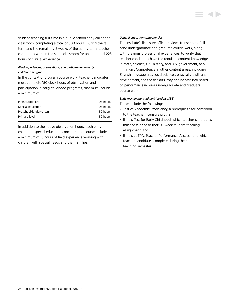student teaching full-time in a public school early childhood classroom, completing a total of 300 hours. During the fall term and the remaining 5 weeks of the spring term, teacher candidates work in the same classroom for an additional 225 hours of clinical experience.

#### *Field experiences, observations, and participation in early childhood programs*

In the context of program course work, teacher candidates must complete 150 clock hours of observation and participation in early childhood programs, that must include a minimum of:

| Infants/toddlers       | 25 hours |
|------------------------|----------|
| Special education      | 25 hours |
| Preschool/kindergarten | 50 hours |
| Primary level          | 50 hours |

In addition to the above observation hours, each early childhood special education concentration course includes a minimum of 15 hours of field experience working with children with special needs and their families.

#### *General education competencies*

The Institute's licensure officer reviews transcripts of all prior undergraduate and graduate course work, along with previous professional experiences, to verify that teacher candidates have the requisite content knowledge in math, science, U.S. history, and U.S. government, at a minimum. Competence in other content areas, including English language arts, social sciences, physical growth and development, and the fine arts, may also be assessed based on performance in prior undergraduate and graduate course work.

#### *State examinations administered by ISBE*

These include the following:

- Test of Academic Proficiency, a prerequisite for admission to the teacher licensure program;
- Illinois Test for Early Childhood, which teacher candidates must pass prior to their 10-week student teaching assignment; and
- Illinois edTPA: Teacher Performance Assessment, which teacher candidates complete during their student teaching semester.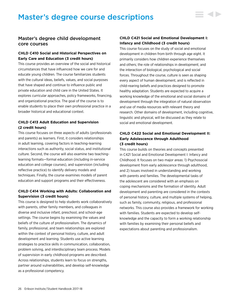# <span id="page-26-0"></span>Master's degree child development core courses

### **CHLD C410 Social and Historical Perspectives on Early Care and Education (3 credit hours)**

This course provides an overview of the social and historical circumstances that have influenced how we care for and educate young children. The course familiarizes students with the cultural ideas, beliefs, values, and social purposes that have shaped and continue to influence public and private education and child care in the United States. It explores curricular approaches, policy frameworks, financing, and organizational practice. The goal of the course is to enable students to place their own professional practice in a broader historical and educational context.

### **CHLD C413 Adult Education and Supervision (2 credit hours)**

This course focuses on three aspects of adults (professionals and parents) as learners. First, it considers relationships in adult learning, covering factors in teaching-learning interactions such as authority, social status, and institutional culture. Second, the course will also examine two teachinglearning formats—formal education (including in-service education and college courses), and supervision (including reflective practice) to identify delivery models and techniques. Finally, the course examines models of parent education and support programs and their effectiveness.

### **CHLD C414 Working with Adults: Collaboration and Supervision (3 credit hours)**

This course is designed to help students work collaboratively with parents, other family members, and colleagues in diverse and inclusive infant, preschool, and school-age settings. The course begins by examining the values and beliefs of the culture of professionalism. The dynamics of family, professional, and team relationships are explored within the context of personal history, culture, and adult development and learning. Students use active learning strategies to practice skills in communication, collaboration, problem solving, and interdisciplinary team process. Models of supervision in early childhood programs are described. Across relationships, students learn to focus on strengths, partner around vulnerabilities, and develop self-knowledge as a professional competency.

# **CHLD C421 Social and Emotional Development I: Infancy and Childhood (3 credit hours)**

- 4 D

This course focuses on the study of social and emotional development in children from birth through age eight. It primarily considers how children experience themselves and others; the role of relationships in development; and the interaction of biological, psychological and social forces. Throughout the course, culture is seen as shaping every aspect of human development, and is reflected in child-rearing beliefs and practices designed to promote healthy adaptation. Students are expected to acquire a working knowledge of the emotional and social domains of development through the integration of natural observation and use of media resources with relevant theory and research. Other domains of development, including cognitive, linguistic and physical, will be discussed as they relate to social and emotional development.

# **CHLD C422 Social and Emotional Development II: Early Adolescence through Adulthood (3 credit hours)**

This course builds on theories and concepts presented in C421 Social and Emotional Development I: Infancy and Childhood. It focuses on two major areas: 1) Psychosocial development from early adolescence through adulthood, and 2) Issues involved in understanding and working with parents and families. The developmental tasks of the adolescent are considered with an emphasis on coping mechanisms and the formation of identity. Adult development and parenting are considered in the contexts of personal history, culture, and multiple systems of helping, such as family, community, religious, and professional networks. This course also provides a framework for working with families. Students are expected to develop selfknowledge and the capacity to form a working relationship with families by examining their personal beliefs and expectations about parenting and professionalism.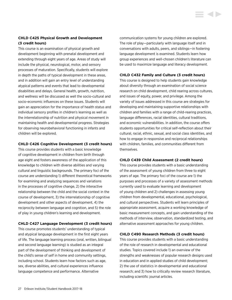## **CHLD C425 Physical Growth and Development (3 credit hours)**

This course is an examination of physical growth and development beginning with prenatal development and extending through eight years of age. Areas of study will include the physical, neurological, motor, and sensory processes of maturation. Specifically, students will explore in depth the paths of typical development in these areas, and in addition will gain an entry level of understanding atypical patterns and events that lead to developmental disabilities and delays. General health, growth, nutrition, and wellness will be discussed as well the socio-cultural and socio-economic influences on these issues. Students will gain an appreciation for the importance of health status and individual sensory profiles in children's learning as well as the interrelationship of nutrition and physical movement in maintaining health and developmental progress. Strategies for observing neurobehavioral functioning in infants and children will be explored.

#### **CHLD C426 Cognitive Development (3 credit hours)**

This course provides students with a basic knowledge of cognitive development in children from birth through age eight and fosters awareness of the application of this knowledge to children with diverse abilities and varying cultural and linguistic backgrounds. The primary foci of the course are understanding 1) different theoretical frameworks for examining and analyzing sequences and variations in the processes of cognitive change, 2) the interactive relationship between the child and the social context in the course of development, 3) the interrelationship of cognitive development and other aspects of development, 4) the reciprocity between language and cognition, and 5) the role of play in young children's learning and development.

### **CHLD C427 Language Development (3 credit hours)**

This course promotes students' understanding of typical and atypical language development in the first eight years of life. The language learning process (oral, written, bilingual and second language learning) is studied as an integral part of the development of thinking and development of the child's sense of self in home and community settings, including school. Students learn how factors such as age, sex, diverse abilities, and cultural experiences influence language competence and performance. Alternative

communication systems for young children are explored. The role of play—particularly with language itself and in conversations with adults, peers, and siblings—in fostering language development is examined. Students learn how group experiences and well-chosen children's literature can be used to maximize language and literacy development.

#### **CHLD C432 Family and Culture (3 credit hours)**

This course is designed to help students gain knowledge about diversity through an examination of social science research on child development, child rearing across cultures, and issues of equity, power, and privilege. Among the variety of issues addressed in this course are strategies for developing and maintaining supportive relationships with children and families with a range of child-rearing practices, language differences, racial identities, cultural traditions, and economic vulnerabilities. In addition, the course offers students opportunities for critical self-reflection about their cultural, racial, ethnic, sexual, and social class identities, and how to engage in responsive and reciprocal relationships with children, families, and communities different from themselves.

#### **CHLD C439 Child Assessment (2 credit hours)**

This course provides students with a basic understanding of the assessment of young children from three to eight years of age. The primary foci of the course are 1) the purposes and processes of a variety of assessment methods currently used to evaluate learning and development of young children and 2) challenges in assessing young children from developmental, educational, psychological, and cultural perspectives. Students will learn principles of appropriate assessment, acquire a working knowledge of basic measurement concepts, and gain understanding of the methods of interview, observation, standardized testing, and alternative assessment approaches for young children.

### **CHLD C490 Research Methods (3 credit hours)**

This course provides students with a basic understanding of the role of research in developmental and educational studies. Topics covered include 1) an overview of the strengths and weaknesses of popular research designs used in education and in applied studies of child development; 2) the use of statistics in developmental and educational research; and 3) how to critically review research literature, including scientific journal articles.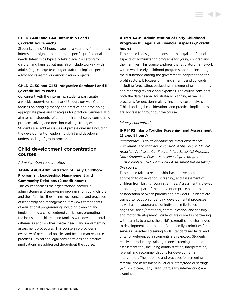# **CHLD C440 and C441 Internship I and II (3 credit hours each)**

Students spend 15 hours a week in a yearlong (nine-month) internship designed to meet their specific professional needs. Internships typically take place in a setting for children and families but may also include working with adults (e.g., college teaching or staff training) or special advocacy, research, or demonstration projects.

# **CHLD C450 and C451 Integrative Seminar I and II (2 credit hours each)**

Concurrent with the internship, students participate in a weekly supervision seminar (1.5 hours per week) that focuses on bridging theory and practice and developing appropriate plans and strategies for practice. Seminars also aim to help students reflect on their practice by considering problem-solving and decision-making strategies. Students also address issues of professionalism (including the development of leadership skills) and develop an understanding of group process.

# Child development concentration courses

#### *Administration concentration*

# **ADMN A408 Administration of Early Childhood Programs I: Leadership, Management and Community Relations (2 credit hours)**

This course focuses the organizational factors in administering and supervising programs for young children and their families. It examines key concepts and practices of leadership and management. It reviews components of educational programming, including planning and implementing a child-centered curriculum, promoting the inclusion of children and families with developmental differences and/or other special needs, and implementing assessment procedures. This course also provides an overview of personnel policies and best human resources practices. Ethical and legal considerations and practical implications are addressed throughout the course.

# **ADMN A409 Administration of Early Childhood Programs II: Legal and Financial Aspects (2 credit hours)**

This course is designed to consider the legal and financial aspects of administering programs for young children and their families. This course explores the regulatory framework within which early childhood programs operate, including the distinctions among the government, nonprofit and forprofit sectors. It focuses on financial terms and concepts, including forecasting, budgeting, implementing, monitoring, and reporting revenue and expenses. The course considers both the data needed for strategic planning as well as processes for decision-making, including cost analysis. Ethical and legal considerations and practical implications are addressed throughout the course.

#### *Infancy concentration*

# **INF I492 Infant/Toddler Screening and Assessment (2 credit hours)**

*Prerequisite: 30 hours of hands-on, direct experiences with infants and toddlers or consent of Sharon Syc, Clinical Associate Professor, Co-director Infant Specialist Program. Note: Students in Erikson's master's degree program must complete CHLD C439 Child Assessment before taking this course.*

This course takes a relationship-based developmental approach to observation, screening, and assessment of children from birth through age three. Assessment is viewed as an integral part of the intervention process and as a collaboration between parents and providers. Students are trained to focus on underlying developmental processes as well as the appearance of individual milestones in cognitive, social/emotional, communication, and sensory and motor development. Students are guided in partnering with parents to assess the child's strengths and challenges to development, and to identify the family's priorities for services. Selected screening tools, standardized tests, and criterion-referenced instruments are reviewed. Students receive introductory training in one screening and one assessment tool, including administration, interpretation, referral, and recommendations for developmental intervention. The rationale and practices for screening, referral, and assessment in various infant/toddler settings (e.g., child care, Early Head Start, early intervention) are examined.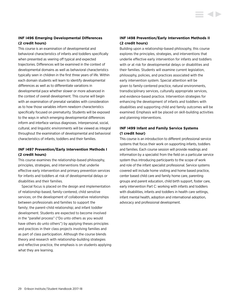### **INF I496 Emerging Developmental Differences (2 credit hours)**

This course is an examination of developmental and behavioral characteristics of infants and toddlers specifically when presented as veering off typical and expected trajectories. Differences will be examined in the context of developmental domains as well as behavioral characteristics typically seen in children in the first three years of life. Within each domain students will learn to identify developmental differences as well as to differentiate variations in developmental pace whether slower or more advanced in the context of overall development. This course will begin with an examination of prenatal variables with consideration as to how those variables inform newborn characteristics specifically focused on prematurity. Students will be exposed to the ways in which emerging developmental differences inform and interface various diagnoses. Interpersonal, social, cultural, and linguistic environments will be viewed as integral throughout the examination of developmental and behavioral characteristics of infants, toddlers and their families.

### **INF I497 Prevention/Early Intervention Methods I (2 credit hours)**

This course examines the relationship-based philosophy, principles, strategies, and interventions that underlie effective early intervention and primary prevention services for infants and toddlers at risk of developmental delays or disabilities and their families.

Special focus is placed on the design and implementation of relationship-based, family-centered, child sensitive services; on the development of collaborative relationships between professionals and families to support the family; the parent-child relationship; and infant toddler development. Students are expected to become involved in the "parallel process" ("Do unto others as you would have others do unto others") by applying theses principles and practices in their class projects involving families and as part of class participation. Although the course blends theory and research with relationship-building strategies and reflective practice, the emphasis is on students applying what they are learning.

# **INF I498 Prevention/Early Intervention Methods II (2 credit hours)**

**STATISTICS** 

Building upon a relationship-based philosophy, this course explores the principles, strategies, and interventions that underlie effective early intervention for infants and toddlers with or at risk for developmental delays or disabilities and their families. Students will examine current legislation, philosophy, policies, and practices associated with the early intervention system. Special attention will be given to family-centered practice, natural environments, transdisciplinary services, culturally appropriate services, and evidence-based practice. Intervention strategies for enhancing the development of infants and toddlers with disabilities and supporting child and family outcomes will be examined. Emphasis will be placed on skill-building activities and planning interventions.

# **INF I499 Infant and Family Service Systems (1 credit hour)**

This course is an introduction to different professional service systems that focus their work on supporting infants, toddlers and families. Each course session will provide readings and information by a specialist from the field on a particular service system thus introducing participants to the scope of work and role of the infant specialist professional. Service systems covered will include home visiting and home based practice, center based child care and family home care, parenting groups and parent education, child birth support, foster care, early intervention Part C: working with infants and toddlers with disabilities, infants and toddlers in health care settings, infant mental health, adoption and international adoption, advocacy and professional development.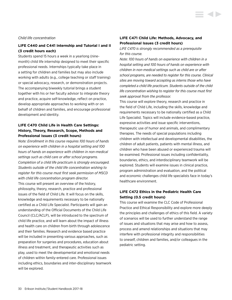#### *Child life concentration*

### **LIFE C440 and C441 Internship and Tutorial I and II (3 credit hours each)**

Students spend 15 hours a week in a yearlong (ninemonth) child life internship designed to meet their specific professional needs. Internships typically take place in a setting for children and families but may also include working with adults (e.g., college teaching or staff training) or special advocacy, research, or demonstration projects. The accompanying biweekly tutorial brings a student together with his or her faculty advisor to integrate theory and practice, acquire self-knowledge, reflect on practice, develop appropriate approaches to working with or on behalf of children and families, and encourage professional development and identity.

# **LIFE C470 Child Life in Health Care Settings: History, Theory, Research, Scope, Methods and Professional Issues (3 credit hours)**

*Note: Enrollment in this course requires 100 hours of hands on experience with children in a hospital setting and 100 hours of hands on experience with children in non-medical settings such as child care or after school programs. Completion of a child life practicum is strongly encouraged. Students outside of the child life concentration wishing to register for this course must first seek permission of MSCD with child life concentration program director.* This course will present an overview of the history, philosophy, theory, research, practice and professional issues of the field of Child Life. It will focus on the skills, knowledge and requirements necessary to be nationally certified as a Child Life Specialist. Participants will gain an understanding of the Official Documents of the Child Life Council (CLC/ACLP), will be introduced to the spectrum of child life practice, and will learn about the impact of illness and health care on children from birth through adolescence and their families. Research and evidence based practice will be included in presenting various approaches, such as preparation for surgeries and procedures, education about illness and treatment, and therapeutic activities such as play, used to meet the developmental and emotional needs of children within family-entered care. Professional issues including ethics, boundaries and inter-disciplinary teamwork will be explored.

### **LIFE C471 Child Life: Methods, Advocacy, and Professional Issues (3 credit hours)**

*LIFE C470 is strongly recommended as a prerequisite for this course.*

*Note: 100 hours of hands on experience with children in a hospital setting and 100 hours of hands on experience with children in non-medical settings such as child are or after school programs, are needed to register for this course. Clinical sites are moving toward accepting as interns those who have completed a child life practicum. Students outside of the child life concentration wishing to register for this course must first seek approval from the professor.*

This course will explore theory, research and practice in the field of Child Life, including the skills, knowledge and requirements necessary to be nationally certified as a Child Life Specialist. Topics will include evidence-based practice, expressive activities and issue specific interventions, therapeutic use of humor and animals, and complimentary therapies. The needs of special populations including children with intellectual and developmental disabilities, the children of adult patients, patients with mental illness, and children who have been abused or experienced trauma will be examined. Professional issues including confidentiality, boundaries, ethics, and interdisciplinary teamwork will be explored. Students will examine issues in clinical practice, program administration and evaluation, and the political and economic challenges child life specialists face in today's healthcare environment.

### **LIFE C472 Ethics in the Pediatric Health Care Setting (0.5 credit hours)**

This course will examine the CLC Code of Professional Practice and Ethical Responsibility and explore more deeply the principles and challenges of ethics of this field. A variety of scenarios will be used to further understand the range of issues and situations that may arise and how to assess, process and amend relationships and situations that may interfere with professional integrity and responsibilities to oneself, children and families, and/or colleagues in the pediatric setting.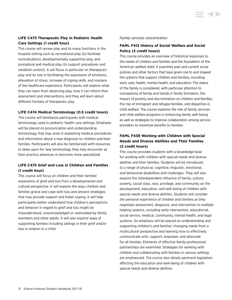# **LIFE C473 Therapeutic Play in Pediatric Health Care Settings (1 credit hour)**

This course will review play and its many functions in the hospital setting such as recreational play (to facilitate normalization), developmentally supportive play, and procedural and medical play (to support procedures and establish control). It will focus in particular on therapeutic play and its role in facilitating the expression of emotions, alleviation of stress, increase of coping skills, and mastery of the healthcare experience. Participants will explore what they can learn from observing play, how it can inform their assessment and interventions, and they will learn about different formats of therapeutic play.

### **LIFE C474 Medical Terminology (0.5 credit hours)**

This course will familiarize participants with medical terminology used in pediatric health care settings. Emphasis will be placed on pronunciation and understanding terminology that may arise in explaining medical procedures and information about a new diagnosis to children and their families. Participants will also be familiarized with resources to draw upon for new terminology they may encounter as their practice advances or becomes more specialized.

# **LIFE C475 Grief and Loss in Children and Families (1 credit hour)**

This course will focus on children and their families' experience of grief and loss from a developmental and cultural perspective. It will explore the ways children and families grieve and cope with loss and present strategies that may provide support and foster coping. It will help participants better understand how children's perceptions and behavior in regard to grief and loss might be misunderstood, unacknowledged or overlooked by family members and other adults. It will also explore ways of supporting families including siblings in their grief and/or loss in relation to a child.

#### *Family services concentration*

# **FAML F412 History of Social Welfare and Social Policy (3 credit hours)**

This course provides an overview of historical responses to the needs of children and families and the foundation of the American welfare state. It examines past and current social policies and other factors that have given rise to and shaped the systems that support children and families, including early care, health, mental health, and education. The status of the family is considered, with particular attention to conceptions of family and trends in family formation, the impact of poverty and discrimination on children and families, the rise of immigrant and refugee families, and disparities in child welfare. The course explores the role of family services and child welfare programs in enhancing family well-being as well as strategies to improve collaboration among service providers to maximize benefits to families.

# **FAML F438 Working with Children with Special Needs and Diverse Abilities and Their Families (2 credit hours)**

This course provides students with a knowledge base for working with children with special needs and diverse abilities and their families. Students will be introduced to a range of physical, cognitive, linguistic, emotional, and behavioral disabilities and challenges. They will also explore the interdependent influence of family, culture, poverty, social class, race, privilege, and community on the development, education, and well-being of children with special needs and diverse abilities. Students will consider the personal experience of children and families as they negotiate assessment, diagnosis, and intervention in multiple helping systems, including early intervention, educational, social service, medical, community, mental health, and legal systems. An emphasis will be placed on understanding and supporting children's and families' changing needs from a multicultural perspective and learning how to effectively communicate with, support, empower, and advocate for all families. Elements of effective family-professional partnerships are examined. Strategies for working with children and collaborating with families in various settings are emphasized. The course also details pertinent legislation affecting the education and well-being of children with special needs and diverse abilities.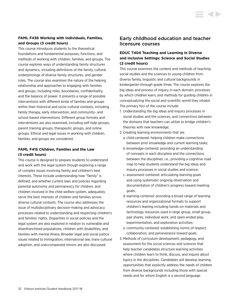# **FAML F436 Working with Individuals, Families, and Groups (3 credit hours)**

This course introduces students to the theoretical foundations and fundamental purposes, functions, and methods of working with children, families, and groups. The course explores ways of understanding family structures and dynamics, including definitions of the family, cultural underpinnings of diverse family structures, and gender roles. The course also examines the nature of the helping relationship and approaches to engaging with families and groups, including roles, boundaries, confidentiality, and the balance of power. It presents a range of possible interventions with different kinds of families and groups within their historical and socio-cultural contexts, including family therapy, early intervention, and community- and school-based interventions. Different group formats and interventions are also examined, including self-help groups, parent training groups, therapeutic groups, and online groups. Ethical and legal issues in working with children, families, and groups are considered.

# **FAML F415 Children, Families and the Law (3 credit hours)**

This course is designed to prepare students to understand and work with the legal system though exploring a range of complex issues involving family and children's best interests. These include understanding how "family" is defined, and whether current laws and policies regarding parental autonomy and permanency for children, and children involved in the child welfare system, adequately serve the best interests of children and families across diverse cultural contexts. The course also addresses the issue of multidisciplinary decision-making and advocacy processes related to understanding and respecting children's and families' rights. Disparities in social policies and the legal system are also explored in relation to vulnerable and disenfranchised populations, children with disabilities, and families with mental illness. Broader legal and social justice issues related to immigration, international law, trans-cultural adoption, and unaccompanied minors are also discussed.

# Early childhood education and teacher licensure courses

# **EDUC T404 Teaching and Learning in Diverse and Inclusive Settings: Science and Social Studies (2 credit hours)**

This course examines the content and methods of teaching social studies and the sciences to young children from diverse family, linguistic and cultural backgrounds in kindergarten through grade three. The course explores the big ideas and process of inquiry in each domain; processes by which children learn; and methods for guiding children in conceptualizing the social and scientific world they inhabit. The primary foci of the course include:

- 1. Understanding the big ideas and inquiry processes in social studies and the sciences, and connections between the domains that teachers can utilize to bridge children's theories with new knowledge;
- 2. Creating learning environments that are
	- a. child-centered: helping children make connections between prior knowledge and current learning tasks;
	- b. knowledge-centered: providing an understanding of concepts in each discipline and the connections between the disciplines; i.e., providing a cognitive road map to help students understand the big ideas and inquiry processes in social studies and science;
	- c. assessment-centered: articulating learning goals and using systematic ongoing observation and documentation of children's progress toward meeting goals;
	- d. learning-centered: providing a broad range of learning resources and organizational formats to support children's leaning including hands-on materials and technology resources used in large group, small group, pair shares, individual work, and open-ended play, experimentation, and exploration activities;
	- e. community-centered: establishing norms of respect, collaboration, and perseverance toward goals.
- 3. Methods of curriculum development, pedagogy, and assessment for the social sciences and sciences that help teacher candidates structure learning activities where children learn to think, discuss, and inquire about topics in the disciplines. Candidates will develop learning opportunities that explicitly address the needs of children from diverse backgrounds including those with special needs and for whom English is a second language.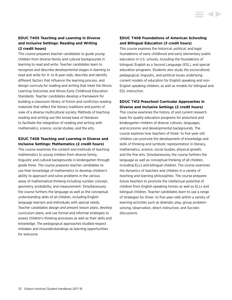# **EDUC T405 Teaching and Learning in Diverse and Inclusive Settings: Reading and Writing (2 credit hours)**

This course prepares teacher candidates to guide young children from diverse family and cultural backgrounds in learning to read and write. Teacher candidates learn to recognize and describe developmental stages in learning to read and write for 4- to 8-year-olds, describe and identify different factors that influence the learning process, and design curricula for reading and writing that meet the Illinois Learning Outcomes and Illinois Early Childhood Education Standards. Teacher candidates develop a framework for building a classroom library of fiction and nonfiction reading materials that reflect the literary traditions and points of view of a diverse multicultural society. Methods of teaching reading and writing use this broad base of literature to facilitate the integration of reading and writing with mathematics, science, social studies, and the arts.

### **EDUC T406 Teaching and Learning in Diverse and Inclusive Settings: Mathematics (2 credit hours)**

This course examines the content and methods of teaching mathematics to young children from diverse family, linguistic and cultural backgrounds in kindergarten through grade three. The course prepares teacher candidates to use their knowledge of mathematics to develop children's ability to approach and solve problems in the various areas of mathematical thinking including number concept, geometry, probability, and measurement. Simultaneously the course furthers the language as well as the conceptual understanding skills of all children, including English language learners and individuals with special needs. Teacher candidates design and present lesson plans, develop curriculum plans, and use formal and informal strategies to assess children's thinking processes as well as their skills and knowledge. The pedagogical approaches studied respect mistakes and misunderstandings as learning opportunities for everyone.

## **EDUC T408 Foundations of American Schooling and Bilingual Education (3 credit hours)**

This course explores the historical, political, and legal foundations of early childhood and early elementary public education in U.S. schools, including the foundations of bilingual, English as a Second Language (ESL), and special education programs. Students also study the sociocultural, pedagogical, linguistic, and political issues underlying current models of education for English speaking and non-English speaking children, as well as models for bilingual and ESL instruction.

# **EDUC T412 Preschool Curricular Approaches in Diverse and Inclusive Settings (2 credit hours)**

This course examines the history of and current research base for quality education programs for preschool and kindergarten children of diverse cultures, languages, and economic and developmental backgrounds. The course explores how teachers of three- to five-year-old children can promote the development of knowledge and skills of thinking and symbolic representation in literacy, mathematics, science, social studies, physical growth, and the fine arts. Simultaneously, the course furthers the language as well as conceptual thinking of all children, including ELLs and bilingual children. The course examines the dynamics of teachers and children in a variety of teaching and learning philosophies. The course prepares future teachers to promote the intellectual potential of children from English speaking homes as well as ELLs and bilingual children. Teacher candidates learn to use a range of strategies for three- to five-year-olds within a variety of learning activities such as dramatic play, group problemsolving, observation, direct instruction, and Socratic discussions.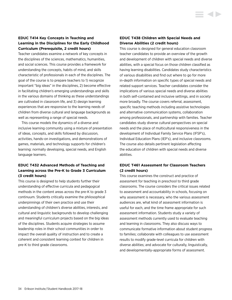# **EDUC T414 Key Concepts in Teaching and Learning in the Disciplines for the Early Childhood Curriculum (Prerequisite, 2 credit hours)**

Teacher candidates examine a network of key concepts in the disciplines of the sciences, mathematics, humanities, and social sciences. This course provides a framework for understanding the concepts, habits of mind, and skills characteristic of professionals in each of the disciplines. The goal of the course is to prepare teachers to 1) recognize important "big ideas" in the disciplines, 2) become effective in facilitating children's emerging understandings and skills in the various domains of thinking as these understandings are cultivated in classroom life, and 3) design learning experiences that are responsive to the learning needs of children from diverse cultural and language backgrounds as well as representing a range of special needs.

This course models the dynamics of a diverse and inclusive learning community using a mixture of presentation of ideas, concepts, and skills followed by discussion, activities, hands-on investigations, and demonstrations of games, materials, and technology supports for children's learning: normally developing, special needs, and English language learners.

# **EDUC T432 Advanced Methods of Teaching and Learning across the Pre-K to Grade 3 Curriculum (3 credit hours)**

This course is designed to help students further their understanding of effective curricula and pedagogical methods in the content areas across the pre-K to grade 3 continuum. Students critically examine the philosophical underpinnings of their own practice and use their understanding of children's diverse abilities, interests, and cultural and linguistic backgrounds to develop challenging and meaningful curriculum projects based on the big ideas of the disciplines. Students acquire strategies to assume leadership roles in their school communities in order to impact the overall quality of instruction and to create a coherent and consistent learning context for children in pre-K to third grade classrooms.

### **EDUC T438 Children with Special Needs and Diverse Abilities (2 credit hours)**

This course is designed for general education classroom teacher candidates to provide an overview of the growth and development of children with special needs and diverse abilities, with a special focus on those children classified as having learning disabilities. Candidates study characteristics of various disabilities and find out where to go for more in-depth information on specific types of special needs and related support services. Teacher candidates consider the implications of various special needs and diverse abilities in both self-contained and inclusive settings, and in society more broadly. The course covers referral, assessment, specific teaching methods including assistive technologies and alternative communication systems, collaboration among professionals, and partnership with families. Teacher candidates study diverse cultural perspectives on special needs and the place of multicultural responsiveness in the development of Individual Family Service Plans (IFSP's), Individual Education Plans (IEP's), and inclusive classrooms. The course also details pertinent legislation affecting the education of children with special needs and diverse abilities.

# **EDUC T461 Assessment for Classroom Teachers (2 credit hours)**

This course examines the construct and practice of assessment for teaching in preschool to third grade classrooms. The course considers the critical issues related to assessment and accountability in schools, focusing on why assessment is necessary, who the various assessment audiences are, what kind of assessment information is useful for each, and the time frame appropriate for such assessment information. Students study a variety of assessment methods currently used to evaluate teaching and learning in classrooms. They also discuss ways to communicate formative information about student progress to families; collaborate with colleagues to use assessment results to modify grade-level curricula for children with diverse abilities; and advocate for culturally, linguistically, and developmentally-appropriate forms of assessment.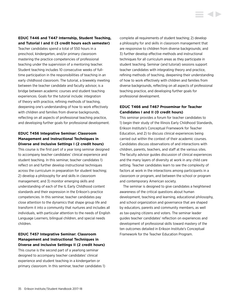# **EDUC T446 and T447 Internship, Student Teaching, and Tutorial I and II (3 credit hours each semester)**

Teacher candidates spend a total of 550 hours in a preschool, kindergarten, and/or primary classroom mastering the practice competencies of professional teaching under the supervision of a mentoring teacher. Student teaching includes 10 consecutive weeks of fulltime participation in the responsibilities of teaching in an early childhood classroom. The tutorial, a biweekly meeting between the teacher candidate and faculty advisor, is a bridge between academic courses and student teaching experiences. Goals for the tutorial include: integration of theory with practice, refining methods of teaching, deepening one's understanding of how to work effectively with children and families from diverse backgrounds, reflecting on all aspects of professional teaching practice, and developing further goals for professional development.

# **EDUC T456 Integrative Seminar: Classroom Management and Instructional Techniques in Diverse and Inclusive Settings I (2 credit hours)**

This course is the first part of a year long seminar designed to accompany teacher candidates' clinical experience and student teaching. In this seminar, teacher candidates 1) reflect on and further develop instructional techniques across the curriculum in preparation for student teaching; 2) develop a philosophy for and skills in classroom management; and 3) monitor emerging skills and understanding of each of the IL Early Childhood content standards and their expression in the Erikson's practice competencies. In this seminar, teacher candidates pay close attention to the dynamics that shape group life and transform it into a community that nurtures and includes all individuals, with particular attention to the needs of English Language Learners, bilingual children, and special needs children.

# **EDUC T457 Integrative Seminar: Classroom Management and Instructional Techniques in Diverse and Inclusive Settings II (2 credit hours)**

This course is the second part of a yearlong seminar designed to accompany teacher candidates' clinical experience and student teaching in a kindergarten or primary classroom. In this seminar, teacher candidates 1) complete all requirements of student teaching; 2) develop a philosophy for and skills in classroom management that are responsive to children from diverse backgrounds; and 3) further develop effective methods and instructional techniques for all curriculum areas as they participate in student teaching. Seminar (and tutorial) sessions support teacher candidates with integrating theory and practice, refining methods of teaching, deepening their understanding of how to work effectively with children and families from diverse backgrounds, reflecting on all aspects of professional teaching practice, and developing further goals for professional development.

# **EDUC T466 and T467 Proseminar for Teacher Candidates I and II (0 credit hours)**

This seminar provides a forum for teacher candidates to 1) begin their study of the Illinois Early Childhood Standards, Erikson Institute's Conceptual Framework for Teacher Education, and 2) to discuss clinical experiences being carried out within the context of their academic courses. Candidates discuss observations of and interactions with children, parents, teachers, and staff at the various sites. The faculty advisor guides discussion of clinical experiences and the many layers of diversity at work in any child care setting. Teacher candidates learn to see the complexity of factors at work in the interactions among participants in a classroom or program, and between the school or program and contemporary American society.

The seminar is designed to give candidates a heightened awareness of the critical questions about human development, teaching and learning, educational philosophy, and school organization and governance that are shaped by educators, parents and community members, as well as tax-paying citizens and voters. The seminar leader guides teacher candidates' reflection on experiences and development of professional skills toward mastery of the ten outcomes detailed in Erikson Institute's Conceptual Framework for the Teacher Education Program.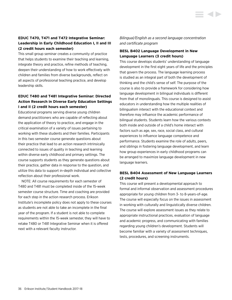## **EDUC T470, T471 and T472 Integrative Seminar: Leadership in Early Childhood Education I, II and III (2 credit hours each semester)**

This small group seminar creates a community of practice that helps students to examine their teaching and learning, integrate theory and practice, refine methods of teaching, deepen their understanding of how to work effectively with children and families from diverse backgrounds, reflect on all aspects of professional teaching practice, and develop leadership skills.

# **EDUC T480 and T481 Integrative Seminar: Directed Action Research in Diverse Early Education Settings I and II (2 credit hours each semester)**

Educational programs serving diverse young children demand practitioners who are capable of reflecting about the application of theory to practice, and engage in the critical examination of a variety of issues pertaining to working with these students and their families. Participants in this two semester course generate questions about their practice that lead to an action research intrinsically connected to issues of quality in teaching and learning within diverse early childhood and primary settings. The course supports students as they generate questions about their practice, gather data in response to the question, and utilize this data to support in-depth individual and collective reflection about their professional work.

NOTE: All course requirements for each semester of T480 and T481 must be completed inside of the 15-week semester course structure. Time and coaching are provided for each step in the action research process. Erikson Institute's incomplete policy does not apply to these courses as students are not able to take an incomplete in the final year of the program. If a student is not able to complete requirements within the 15-week semester, they will have to retake T480 or T481 Integrative Seminar when it is offered next with a relevant faculty instructor.

*Bilingual/English as a second language concentration and certificate program*

## **BESL B402 Language Development in New Language Learners (3 credit hours)**

This course develops students' understanding of language development in the first eight years of life and the principles that govern the process. The language learning process is studied as an integral part of both the development of thinking and the child's sense of self. The purpose of the course is also to provide a framework for considering how language development in bilingual individuals is different from that of monolinguals. This course is designed to assist educators in understanding how the multiple realities of bilingualism interact with the educational context and therefore may influence the academic performance of bilingual students. Students learn how the various contexts both inside and outside of a child's home interact with factors such as age, sex, race, social class, and cultural experiences to influence language competence and performance. Students examine the role of adults, peers, and siblings in fostering language development, and learn how group experiences in early childhood programs can be arranged to maximize language development in new language learners.

# **BESL B404 Assessment of New Language Learners (2 credit hours)**

This course will present a developmental approach to formal and informal observation and assessment procedures appropriate for young children from 3- to 8-years-of-age. The course will especially focus on the issues in assessment in working with culturally and linguistically diverse children. The course will explore assessment issues as they relate to appropriate instructional practices, evaluation of language and academic progress, and communicating with families regarding young children's development. Students will become familiar with a variety of assessment techniques, tests, procedures, and screening instruments.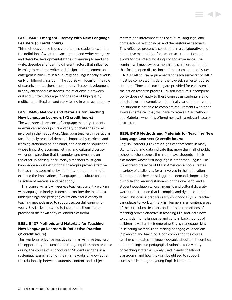## **BESL B405 Emergent Literacy with New Language Learners (3 credit hours)**

This methods course is designed to help students examine the definition of what it means to read and write; recognize and describe developmental stages in learning to read and write; describe and identify different factors that influence learning to read and write; and design and implement an emergent curriculum in a culturally and linguistically diverse early childhood classroom. The course will focus on the role of parents and teachers in promoting literacy development in early childhood classrooms, the relationship between oral and written language, and the role of high quality multicultural literature and story telling in emergent literacy.

# **BESL B406 Methods and Materials for Teaching New Language Learners I (2 credit hours)**

The widespread presence of language minority students in American schools posits a variety of challenges for all involved in their education. Classroom teachers in particular face the daily practical demands imposed by curricula and learning standards on one hand, and a student population whose linguistic, economic, ethnic, and cultural diversity warrants instruction that is complex and dynamic, on the other. In consequence, today's teachers must gain knowledge about instructional strategies proven effective to teach language minority students, and be prepared to examine the implications of language and culture for the selection of materials and pedagogy.

This course will allow in-service teachers currently working with language minority students to consider the theoretical underpinnings and pedagogical rationale for a variety of teaching methods used to support successful learning for young English learners, and to incorporate them into the practice of their own early childhood classroom.

# **BESL B407 Methods and Materials for Teaching New Language Learners II: Reflective Practice (2 credit hours)**

This yearlong reflective practice seminar will give teachers the opportunity to examine their ongoing classroom practice during the course of a school year. Students engage in a systematic examination of their frameworks of knowledge; the relationship between students, content, and subject

matters; the interconnections of culture, language, and home-school relationships; and themselves as teachers. This reflective process is conducted in a collaborative and interactive manner that focuses on actual practice and allows for the interplay of inquiry and experience. The seminar will meet twice a month in a small group format that fosters open discussion and the examination of issues.

NOTE: All course requirements for each semester of B407 must be completed inside of the 15-week semester course structure. Time and coaching are provided for each step in the action research process. Erikson Institute's incomplete policy does not apply to these courses as students are not able to take an incomplete in the final year of the program. If a student is not able to complete requirements within the 15-week semester, they will have to retake B407 Methods and Materials when it is offered next with a relevant faculty instructor.

## **BESL B416 Methods and Materials for Teaching New Language Learners (2 credit hours)**

English Learners (ELs) are a significant presence in many U.S. schools, and data indicate that more than half of public school teachers across the nation have students in their classrooms whose first language is other than English. The widespread presence of ELs in American schools creates a variety of challenges for all involved in their education. Classroom teachers must juggle the demands imposed by curricula and learning standards on the one hand, and a student population whose linguistic and cultural diversity warrants instruction that is complex and dynamic, on the other. This course prepares early childhood BL/ESL teacher candidates to work with English learners in all content areas of the curriculum. Teacher candidates learn methods of teaching proven effective in teaching ELs, and learn how to consider home language and cultural backgrounds of children as well as their emerging English language skills in selecting materials and making pedagogical decisions in planning and teaching. Upon completing the course, teacher candidates are knowledgeable about the theoretical underpinnings and pedagogical rationale for a variety of teaching strategies widely used in early childhood classrooms, and how they can be utilized to support successful learning for young English Learners.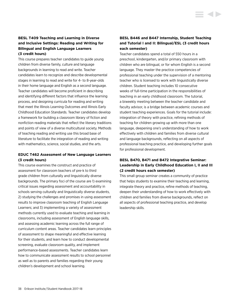This course prepares teacher candidates to guide young children from diverse family, culture and language backgrounds in learning to read and write. Teacher candidates learn to recognize and describe developmental stages in learning to read and write for 4- to 8-year-olds in their home language and English as a second language. Teacher candidates will become proficient in describing and identifying different factors that influence the learning process, and designing curricula for reading and writing that meet the Illinois Learning Outcomes and Illinois Early Childhood Education Standards. Teacher candidates develop a framework for building a classroom library of fiction and nonfiction reading materials that reflect the literary traditions and points of view of a diverse multicultural society. Methods of teaching reading and writing use this broad base of literature to facilitate the integration of reading and writing with mathematics, science, social studies, and the arts.

# **EDUC T462 Assessment of New Language Learners (3 credit hours)**

This course examines the construct and practice of assessment for classroom teachers of pre-k to third grade children from culturally and linguistically diverse backgrounds. The primary foci of the course are 1) examining critical issues regarding assessment and accountability in schools serving culturally and linguistically diverse students, 2) studying the challenges and promises in using assessment results to improve classroom teaching of English Language Learners; and 3) implementing a variety of assessment methods currently used to evaluate teaching and learning in classrooms, including assessment of English language skills, and assessing academic learning across the full range of curriculum content areas. Teacher candidates learn principles of assessment to shape meaningful and effective learning for their students, and learn how to conduct developmental screening, evaluate classroom quality, and implement performance-based assessments. Teacher candidates learn how to communicate assessment results to school personnel as well as to parents and families regarding their young children's development and school learning.

# **BESL B446 and B447 Internship, Student Teaching and Tutorial I and II: Bilingual/ESL (3 credit hours each semester)**

Teacher candidates spend a total of 550 hours in a preschool, kindergarten, and/or primary classroom with children who are bilingual, or for whom English is a second language. They master the practice competencies of professional teaching under the supervision of a mentoring teacher who is licensed to work with linguistically diverse children. Student teaching includes 10 consecutive weeks of full-time participation in the responsibilities of teaching in an early childhood classroom. The tutorial, a biweekly meeting between the teacher candidate and faculty advisor, is a bridge between academic courses and student teaching experiences. Goals for the tutorial include: integration of theory with practice, refining methods of teaching for children growing up with more than one language, deepening one's understanding of how to work effectively with children and families from diverse cultural and language backgrounds, reflecting on all aspects of professional teaching practice, and developing further goals for professional development.

# **BESL B470, B471 and B472 Integrative Seminar: Leadership in Early Childhood Education I, II and III (2 credit hours each semester)**

This small group seminar creates a community of practice that helps students to examine their teaching and learning, integrate theory and practice, refine methods of teaching, deepen their understanding of how to work effectively with children and families from diverse backgrounds, reflect on all aspects of professional teaching practice, and develop leadership skills.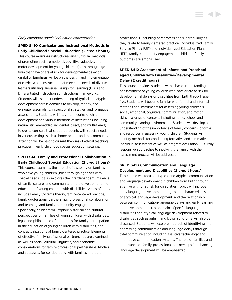#### *Early childhood special education concentration*

**SPED S410 Curricular and Instructional Methods in Early Childhood Special Education (2 credit hours)**

This course examines instructional and curricular methods of promoting social, emotional, cognitive, adaptive, and motor development for young children (birth through age five) that have or are at risk for developmental delay or disability. Emphasis will be on the design and implementation of curricula and instruction that meets the needs of diverse learners utilizing Universal Design for Learning (UDL) and Differentiated Instruction as instructional frameworks. Students will use their understanding of typical and atypical development across domains to develop, modify, and evaluate lesson plans, instructional strategies, and formative assessments. Students will integrate theories of child development and various methods of instruction (including naturalistic, embedded, incidental, direct, and multi-tiered) to create curricula that support students with special needs in various settings such as home, school and the community. Attention will be paid to current theories of ethical teaching practices in early childhood special education settings.

## **SPED S411 Family and Professional Collaboration in Early Childhood Special Education (2 credit hours)**

This course examines the impact of disability on families who have young children (birth through age five) with special needs. It also explores the interdependent influence of family, culture, and community on the development and education of young children with disabilities. Areas of study include Family Systems theory, family-centered practice, family-professional partnerships, professional collaboration and teaming, and family-community engagement. Specifically, students will explore historical and cultural perspectives on families of young children with disabilities, legal and philosophical foundations for family participation in the education of young children with disabilities, and conceptualizations of family-centered practice. Elements of effective family-professional partnerships are examined as well as social, cultural, linguistic, and economic considerations for family-professional partnerships. Models and strategies for collaborating with families and other

professionals, including paraprofessionals, particularly as they relate to family-centered practice, Individualized Family Service Plans (IFSP) and Individualized Education Plans (IEP), family-community engagement, child and family outcomes are emphasized.

**STATE** 

# **SPED S412 Assessment of Infants and Preschoolaged Children with Disabilities/Developmental Delay (2 credit hours)**

This course provides students with a basic understanding of assessment of young children who have or are at risk for developmental delays or disabilities from birth through age five. Students will become familiar with formal and informal methods and instruments for assessing young children's social, emotional, cognitive, communication, and motor skills in a range of contexts including home, school, and community learning environments. Students will develop an understanding of the importance of family concerns, priorities, and resources in assessing young children. Students will identify methods for conducting formative and summative individual assessment as well as program evaluation. Culturally responsive approaches to involving the family with the assessment process will be addressed.

## **SPED S413 Communication and Language Development and Disabilities (2 credit hours)**

This course will focus on typical and atypical communication and language development in children from birth through age five with or at risk for disabilities. Topics will include early language development, origins and characteristics of atypical language development, and the relationship between communication/language delays and early learning and development across domains. Specific language disabilities and atypical language development related to disabilities such as autism and Down syndrome will also be discussed. Students will explore methods of identifying and addressing communication and language delays through total communication including assistive technology and alternative communication systems. The role of families and importance of family-professional partnerships in enhancing language development will be emphasized.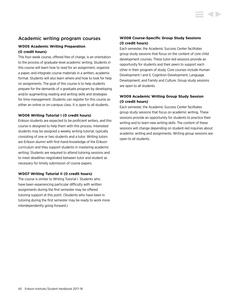# Academic writing program courses

# **W005 Academic Writing Preparation (0 credit hours)**

This four-week course, offered free of charge, is an orientation to the process of graduate-level academic writing. Students in this course will learn how to read for an assignment, organize a paper, and integrate course materials in a written, academic format. Students will also learn where and how to look for help on assignments. The goal of this course is to help students prepare for the demands of a graduate program by developing and/or augmenting reading and writing skills and strategies for time management. Students can register for this course as either an online or on-campus class. It is open to all students.

## **W006 Writing Tutorial I (0 credit hours)**

Erikson students are expected to be proficient writers, and this course is designed to help them with this process. Interested students may be assigned a weekly writing tutorial, typically consisting of one or two students and a tutor. Writing tutors are Erikson alumni with first-hand knowledge of the Erikson curriculum and they support students in mastering academic writing. Students are required to attend tutoring sessions and to meet deadlines negotiated between tutor and student as necessary for timely submission of course papers.

## **W007 Writing Tutorial II (0 credit hours)**

The course is similar to Writing Tutorial I. Students who have been experiencing particular difficulty with written assignments during the first semester may be offered tutoring support at this point. (Students who have been in tutoring during the first semester may be ready to work more interdependently going forward.)

# **W008 Course-Specific Group Study Sessions (0 credit hours)**

Each semester, the Academic Success Center facilitates group study sessions that focus on the content of core child development courses. These tutor-led sessions provide an opportunity for students and their peers to support each other in their program of study. Core courses include Human Development I and II, Cognition Development, Language Development, and Family and Culture. Group study sessions are open to all students.

# **W009 Academic Writing Group Study Session (0 credit hours)**

Each semester, the Academic Success Center facilitates group study sessions that focus on academic writing. These sessions provide an opportunity for students to practice their writing and to learn new writing skills. The content of these sessions will change depending on student-led inquiries about academic writing and assignments. Writing group sessions are open to all students.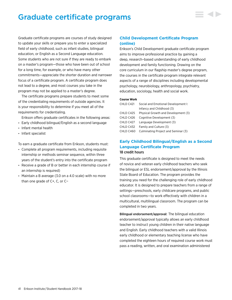# Graduate certificate programs

Graduate certificate programs are courses of study designed to update your skills or prepare you to enter a specialized field of early childhood, such as infant studies, bilingual education, or English as a Second Language education. Some students who are not sure if they are ready to embark on a master's program—those who have been out of school for a long time, for example, or who have many other commitments—appreciate the shorter duration and narrower focus of a certificate program. A certificate program does not lead to a degree, and most courses you take in the program may not be applied to a master's degree.

The certificate programs prepare students to meet some of the credentialing requirements of outside agencies. It is your responsibility to determine if you meet all of the requirements for credentialing.

Erikson offers graduate certificates in the following areas:

- Early childhood bilingual/English as a second language
- Infant mental health
- Infant specialist

To earn a graduate certificate from Erikson, students must:

- Complete all program requirements, including requisite internship or methods seminar sequence, within three years of the student's entry into the certificate program
- Receive a grade of B or better in each internship course if an internship is required)
- Maintain a B average (3.0 on a 4.0 scale) with no more than one grade of C+, C, or C−

# **Child Development Certificate Program (online)**

Erikson's Child Development graduate certificate program aims to improve professional practice by gaining a deep, research–based understanding of early childhood development and family functioning. Drawing on the core curriculum in our flagship master's degree program, the courses in the certificate program integrate relevant aspects of a range of disciplines including developmental psychology, neurobiology, anthropology, psychiatry, education, sociology, health and social work.

#### **Course Work**

| CHLD C421  | Social and Emotional Development I: |
|------------|-------------------------------------|
|            | Infancy and Childhood (3)           |
| CHLD C425  | Physical Growth and Development (3) |
| CHLD C426  | Cognitive Development (3)           |
| CHI D C427 | Language Development (3)            |
| CHLD C432  | Family and Culture (3)              |
| CHLD C460  | Culminating Project and Seminar (3) |
|            |                                     |

# **Early Childhood Bilingual/English as a Second Language Certificate Program** 18 credit hours

This graduate certificate is designed to meet the needs of novice and veteran early childhood teachers who seek the bilingual or ESL endorsement/approval by the Illinois State Board of Education. The program provides the training you need for the challenging role of early childhood educator. It is designed to prepare teachers from a range of settings—preschools, early childcare programs, and public school classrooms—to work effectively with children in a multicultural, multilingual classroom. The program can be completed in two years.

Bilingual endorsement/approval: The bilingual education endorsement/approval typically allows an early childhood teacher to instruct young children in their native language and English. Early childhood teachers with a valid Illinois early childhood or elementary teaching license who have completed the eighteen hours of required course work must pass a reading, written, and oral examination administered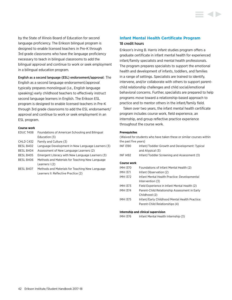by the State of Illinois Board of Education for second language proficiency. The Erikson bilingual program is designed to enable licensed teachers in Pre-K through 3rd grade classrooms who have the language proficiency necessary to teach in bilingual classrooms to add the bilingual approval and continue to work or seek employment in a bilingual education program.

#### English as a second language (ESL) endorsement/approval: The

English as a second language endorsement/approval typically prepares monolingual (i.e., English language speaking) early childhood teachers to effectively instruct second language learners in English. The Erikson ESL program is designed to enable licensed teachers in Pre-K through 3rd grade classrooms to add the ESL endorsement/ approval and continue to work or seek employment in an ESL program.

#### **Course work**

| EDUC T408 | Foundations of American Schooling and Bilingual   |
|-----------|---------------------------------------------------|
|           | Education (3)                                     |
| CHLD C432 | Family and Culture (3)                            |
| BESL B402 | Language Development in New Language Learners (3) |
| BESL B404 | Assessment of New Language Learners (2)           |
| BESL B405 | Emergent Literacy with New Language Learners (3)  |
| BESL B406 | Methods and Materials for Teaching New Language   |
|           | Learners I (2)                                    |
| BESL B407 | Methods and Materials for Teaching New Language   |
|           | Learners II: Reflective Practice (2)              |

# **Infant Mental Health Certificate Program** 18 credit hours

Erikson's Irving B. Harris infant studies program offers a graduate certificate in infant mental health for experienced infant/family specialists and mental health professionals. The program prepares specialists to support the emotional health and development of infants, toddlers, and families in a range of settings. Specialists are trained to identify, intervene, and/or collaborate with others to support parentchild relationship challenges and child social/emotional behavioral concerns. Further, specialists are prepared to help programs move toward a relationship-based approach to practice and to mentor others in the infant/family field.

Taken over two years, the infant mental health certificate program includes course work, field experience, an internship, and group reflective practice experience throughout the course work.

#### **Prerequisites**

| (Waived for students who have taken these or similar courses within |                                                                                  |
|---------------------------------------------------------------------|----------------------------------------------------------------------------------|
| the past five years)                                                |                                                                                  |
| <b>INF1390</b>                                                      | Infant/Toddler Growth and Development: Typical<br>and Atypical (3)               |
| <b>INF 1492</b>                                                     | Infant/Toddler Screening and Assessment (3)                                      |
| <b>Course work</b>                                                  |                                                                                  |
| <b>IMH1370</b>                                                      | Foundations of Infant Mental Health (2)                                          |
| <b>IMH1371</b>                                                      | Infant Observation (2)                                                           |
| <b>IMH 1372</b>                                                     | Infant Mental Health Practice: Developmental<br>Intervention (3)                 |
| <b>IMH1373</b>                                                      | Field Experience in Infant Mental Health (2)                                     |
| <b>IMH1374</b>                                                      | Parent-Child Relationship Assessment in Early<br>Childhood (2)                   |
| <b>IMH 1375</b>                                                     | Infant/Early Childhood Mental Health Practice:<br>Parent-Child Relationships (4) |
|                                                                     |                                                                                  |

#### **Internship and clinical supervision**

IMH I376 Infant Mental Health Internship (3)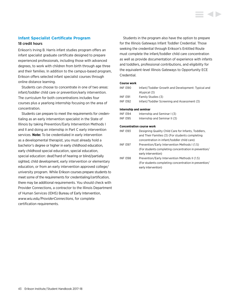## **Infant Specialist Certificate Program**

### 18 credit hours

Erikson's Irving B. Harris infant studies program offers an infant specialist graduate certificate designed to prepare experienced professionals, including those with advanced degrees, to work with children from birth through age three and their families. In addition to the campus-based program, Erikson offers selected infant specialist courses through online distance learning.

Students can choose to concentrate in one of two areas: infant/toddler child care or prevention/early intervention. The curriculum for both concentrations includes four courses plus a yearlong internship focusing on the area of concentration.

Students can prepare to meet the requirements for credentialing as an early intervention specialist in the State of Illinois by taking Prevention/Early Intervention Methods I and II and doing an internship in Part C early intervention services. **Note:** To be credentialed in early intervention as a developmental therapist, you must already hold a bachelor's degree or higher in early childhood education, early childhood special education, special education, special education: deaf/hard of hearing or blind/partially sighted, child development, early intervention or elementary education, or from an early intervention approved college/ university program. While Erikson courses prepare students to meet some of the requirements for credentialing/certification, there may be additional requirements. You should check with Provider Connections, a contractor to the Illinois Department of Human Services (IDHS) Bureau of Early Intervention, *[www.wiu.edu/ProviderConnections](http://www.wiu.edu/ProviderConnections)*, for complete certification requirements.

Students in the program also have the option to prepare for the Illinois Gateways Infant Toddler Credential. Those seeking the credential through Erikson's Entitled Route must complete the infant/toddler child care concentration as well as provide documentation of experience with infants and toddlers, professional contributions, and eligibility for the equivalent-level Illinois Gateways to Opportunity ECE Credential.

#### **Course work**

| INF 1390 | Infant/Toddler Growth and Development: Typical and |
|----------|----------------------------------------------------|
|          | Atypical (3)                                       |
| INF 1391 | Family Studies (3)                                 |
| INF 1392 | Infant/Toddler Screening and Assessment (3)        |
|          |                                                    |

#### **Internship and seminar**

| INF 1394 | Internship and Seminar I (3)  |
|----------|-------------------------------|
| INF 1395 | Internship and Seminar II (3) |

#### **Concentration course work**

| INF 1393       | Designing Quality Child Care for Infants, Toddlers,   |
|----------------|-------------------------------------------------------|
|                | and Their Families (3) (For students completing       |
|                | concentration in infant/toddler child care)           |
| <b>INF1397</b> | Prevention/Early Intervention Methods I (1.5)         |
|                | (For students completing concentration in prevention/ |
|                | early intervention)                                   |
| <b>INF1398</b> | Prevention/Early Intervention Methods II (1.5)        |
|                | (For students completing concentration in prevention/ |
|                | early intervention)                                   |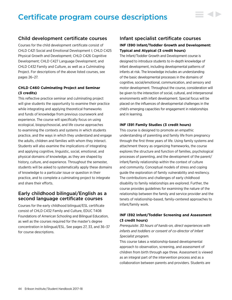# Certificate program course descriptions

# Child development certificate courses

Courses for the child development certificate consist of CHLD C421 Social and Emotional Development I; CHLD C425 Physical Growth and Development; CHLD C426 Cognitive Development; CHLD C427 Language Development; and CHLD C432 Family and Culture, as well as a Culminating Project. For descriptions of the above listed courses, see pages 26–27.

## **CHLD C460 Culminating Project and Seminar (3 credits)**

This reflective practice seminar and culminating project will give students the opportunity to examine their practice while integrating and applying theoretical frameworks and funds of knowledge from previous coursework and experience. The course will specifically focus on using ecological, biopsychosocial, and life course approaches to examining the contexts and systems in which students practice, and the ways in which they understand and engage the adults, children and families with whom they interact. Students will also examine the implications of integrating and applying cognitive, linguistic, social, emotional, and physical domains of knowledge, as they are shaped by history, culture, and experience. Throughout the semester, students will be asked to systematically apply these domains of knowledge to a particular issue or question in their practice, and to complete a culminating project to integrate and share their efforts.

# Early childhood bilingual/English as a second language certificate courses

Courses for the early childhood bilingual/ESL certificate consist of CHLD C432 Family and Culture, EDUC T408 Foundations of American Schooling and Bilingual Education, as well as the courses required for the master's degree concentration in bilingual/ESL. See pages 27, 33, and 36–37 for course descriptions.

# Infant specialist certificate courses **INF I390 Infant/Toddler Growth and Development: Typical and Atypical (3 credit hours)**

▋◀▶

The Infant/Toddler Growth and Development course is designed to introduce students to in-depth knowledge of infant development, including developmental patterns of infants at risk. The knowledge includes an understanding of the basic developmental processes in the domains of cognitive, social/emotional, communication, and sensory and motor development. Throughout the course, consideration will be given to the interaction of social, cultural, and interpersonal environments with infant development. Special focus will be placed on the influences of developmental challenges in the child's emerging capacities for engagement in relationships and in learning.

## **INF I391 Family Studies (3 credit hours)**

This course is designed to promote an empathic understanding of parenting and family life from pregnancy through the first three years of life. Using family systems and attachment theory as organizing frameworks, the course explores the structure and function of families, psychological processes of parenting, and the development of the parent/ infant/family relationship within the context of culture and community. Conceptual models of stress and coping guide the exploration of family vulnerability and resiliency. The contributions and challenges of early childhood disability to family relationships are explored. Further, the course provides guidelines for examining the nature of the relationship between the family and service provider and the tenets of relationship-based, family-centered approaches to infant/family work.

# **INF I392 Infant/Toddler Screening and Assessment (3 credit hours)**

*Prerequisite: 30 hours of hands-on, direct experiences with infants and toddlers or consent of co-director of Infant Specialist program.*

This course takes a relationship-based developmental approach to observation, screening, and assessment of children from birth through age three. Assessment is viewed as an integral part of the intervention process and as a collaboration between parents and providers. Students are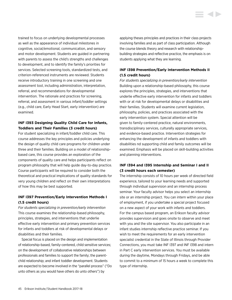trained to focus on underlying developmental processes as well as the appearance of individual milestones in cognitive, social/emotional, communication, and sensory and motor development. Students are guided in partnering with parents to assess the child's strengths and challenges to development, and to identify the family's priorities for services. Selected screening tools, standardized tests, and criterion-referenced instruments are reviewed. Students receive introductory training in one screening and one assessment tool, including administration, interpretation, referral, and recommendations for developmental intervention. The rationale and practices for screening, referral, and assessment in various infant/toddler settings (e.g., child care, Early Head Start, early intervention) are examined.

# **INF I393 Designing Quality Child Care for Infants, Toddlers and Their Families (3 credit hours)**

For student specializing in infant/toddler child care. This course addresses the key principles and policies underlying the design of quality child care programs for children under three and their families. Building on a model of relationshipbased care, this course provides an exploration of the components of quality care and helps participants reflect on program philosophy that will help guide day-to-day practice. Course participants will be required to consider both the theoretical and practical implications of quality standards for very young children and reflect on their own interpretations of how this may be best supported.

# **INF I397 Prevention/Early Intervention Methods I (1.5 credit hours)**

*For students specializing in prevention/early intervention* This course examines the relationship-based philosophy, principles, strategies, and interventions that underlie effective early intervention and primary prevention services for infants and toddlers at risk of developmental delays or disabilities and their families.

Special focus is placed on the design and implementation of relationship-based, family-centered, child sensitive services; on the development of collaborative relationships between professionals and families to support the family; the parentchild relationship; and infant toddler development. Students are expected to become involved in the "parallel process" ("Do unto others as you would have others do unto others") by

applying theses principles and practices in their class projects involving families and as part of class participation. Although the course blends theory and research with relationshipbuilding strategies and reflective practice, the emphasis is on students applying what they are learning.

# **INF I398 Prevention/Early Intervention Methods II (1.5 credit hours)**

*For students specializing in prevention/early intervention* Building upon a relationship-based philosophy, this course explores the principles, strategies, and interventions that underlie effective early intervention for infants and toddlers with or at risk for developmental delays or disabilities and their families. Students will examine current legislation, philosophy, policies, and practices associated with the early intervention system. Special attention will be given to family-centered practice, natural environments, transdisciplinary services, culturally appropriate services, and evidence-based practice. Intervention strategies for enhancing the development of infants and toddlers with disabilities nd supporting child and family outcomes will be examined. Emphasis will be placed on skill-building activities and planning interventions.

# **INF I394 and I395 Internship and Seminar I and II (3 credit hours each semester)**

The internship consists of 10 hours per week of directed field experience, tailored to your learning needs and supported through individual supervision and an internship process seminar. Your faculty advisor helps you select an internship site or an internship project. You can intern within your place of employment, if you undertake a special project focused on a new aspect of your work with infants and toddlers. For the campus based program, an Erikson faculty advisor provides supervision and goes onsite to observe and meet with you and the site supervisor. You also participate in an infant studies internship reflective practice seminar. If you wish to meet the requirements for an early intervention specialist credential in the State of Illinois through Provider Connections, you must take INF I397 and INF I398 and intern in Part C early intervention services. You must be available during the daytime, Mondays through Fridays, and be able to commit to a minimum of 15 hours a week to complete this type of internship.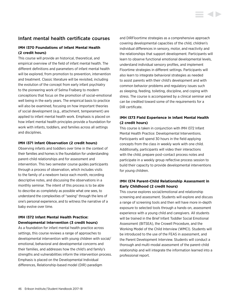# Infant mental health certificate courses

## **IMH I370 Foundations of Infant Mental Health (2 credit hours)**

This course will provide an historical, theoretical, and empirical overview of the field of infant mental health. The different definitions and parameters of infant mental health will be explored, from promotion to prevention, intervention and treatment. Classic literature will be revisited, including the evolution of the concept from early infant psychiatry to the pioneering work of Selma Fraiberg to modern conceptions that focus on the promotion of social-emotional well being in the early years. The empirical basis to practice will also be examined, focusing on how important theories of social development (e.g., attachment, temperament) are applied to infant mental health work. Emphasis is placed on how infant mental health principles provide a foundation for work with infants, toddlers, and families across all settings and disciplines.

## **IMH I371 Infant Observation (2 credit hours)**

Observing infants and toddlers over time in the context of their families and homes is the foundation for understanding parent-child relationships and for assessment and intervention. This two semester course guides participants through a process of observation, which includes visits to the family of a newborn twice each month, recording descriptive notes, and discussing the observations in a monthly seminar. The intent of this process is to be able to describe as completely as possible what one sees, to understand the complexities of "seeing" through the lens of one's personal experience, and to witness the narrative of a baby evolve over time.

# **IMH I372 Infant Mental Health Practice: Developmental Intervention (3 credit hours)**

As a foundation for infant mental health practice across settings, this course reviews a range of approaches to developmental intervention with young children with social/ emotional, behavioral and developmental concerns and their families, and addresses how the child's and family's strengths and vulnerabilities inform the intervention process. Emphasis is placed on the Developmental Individual differences, Relationship-based model (DIR) paradigm

and DIRFloortime strategies as a comprehensive approach covering developmental capacities of the child, children's individual differences in sensory, motor, and reactivity and the relationships that support development. Participants will learn to observe functional emotional developmental levels, understand individual sensory profiles, and implement Floortime strategies in different settings. Participants will also learn to integrate behavioral strategies as needed to assist parents with their child's development and with common behavior problems and regulatory issues such as sleeping, feeding, toileting, discipline, and coping with stress. The course is accompanied by a clinical seminar and can be credited toward some of the requirements for a DIR certificate.

# **IMH I373 Field Experience in Infant Mental Health (2 credit hours)**

This course is taken in conjunction with IMH I372 Infant Mental Health Practice: Developmental Interventions. Participants will spend 30 hours in the field applying concepts from the class in weekly work with one child. Additionally, participants will video their interactions with the child, prepare post-contact process notes and participate in a weekly group reflective process session to build their capacity to provide developmental interventions for young children.

# **IMH I374 Parent-Child Relationship Assessment in Early Childhood (2 credit hours)**

This course explores social/emotional and relationship screening and assessment. Students will explore and discuss a range of screening tools and then will have more in-depth exposure to selected tools through a hands-on, assessment experience with a young child and caregivers. All students will be trained in the Brief Infant Toddler Social Emotional Assessment (BITSEA), the Crowell Procedure, and the Working Model of the Child Interview (WMCI). Students will be introduced to the use of the FEAS in assessment, and the Parent Development Interview. Students will conduct a thorough and multi-modal assessment of the parent-child relationship and will integrate the information learned into a professional report.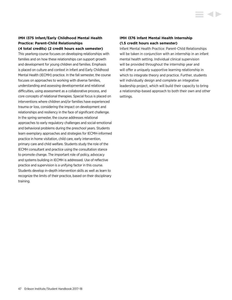## **IMH I375 Infant/Early Childhood Mental Health Practice: Parent-Child Relationships (4 total credits) (2 credit hours each semester)**

This yearlong course focuses on developing relationships with families and on how these relationships can support growth and development for young children and families. Emphasis is placed on culture and context in Infant and Early Childhood Mental Health (IECMH) practice. In the fall semester, the course focuses on approaches to working with diverse families, understanding and assessing developmental and relational difficulties, using assessment as a collaborative process, and core concepts of relational therapies. Special focus is placed on interventions where children and/or families have experienced trauma or loss, considering the impact on development and relationships and resiliency in the face of significant challenge. In the spring semester, the course addresses relational approaches to early regulatory challenges and social-emotional and behavioral problems during the preschool years. Students learn exemplary approaches and strategies for IECMH-informed practice in home visitation, child care, early intervention, primary care and child welfare. Students study the role of the IECMH consultant and practice using the consultation stance to promote change. The important role of policy, advocacy and systems building in IECMH is addressed. Use of reflective practice and supervision is a unifying factor in this course. Students develop in-depth intervention skills as well as learn to recognize the limits of their practice, based on their disciplinary training.

## **IMH I376 Infant Mental Health Internship (1.5 credit hours each semester)**

Infant Mental Health Practice: Parent-Child Relationships will be taken in conjunction with an internship in an infant mental health setting. Individual clinical supervision will be provided throughout the internship year and will offer a uniquely supportive learning relationship in which to integrate theory and practice. Further, students will individually design and complete an integrative leadership project, which will build their capacity to bring a relationship-based approach to both their own and other settings.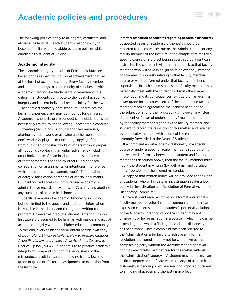# Academic policies and procedures

The following policies apply to all degree, certificate, and at-large students. It is each student's responsibility to become familiar with and abide by these policies while enrolled as a student at Erikson.

## **Academic integrity**

The academic integrity policies of Erikson Institute are based on the respect for individual achievement that lies at the heart of academic culture. Every faculty member and student belongs to a community of scholars in which academic integrity is a fundamental commitment. It is critical that students contribute to the ideal of academic integrity and accept individual responsibility for their work.

Academic dishonesty or misconduct undermines the learning experience and may be grounds for dismissal. Academic dishonesty or misconduct can include, but is not necessarily limited to, the following unacceptable conduct: 1) cheating (including use of unauthorized materials, altering a graded work, or allowing another person to do one's work); 2) plagiarism (including copying of material from published or posted works of others without proper attribution); 3) obtaining an unfair advantage (including unauthorized use of examination materials, defacement or theft of materials needed by others, unauthorized collaboration on assignments, or intentional interference with another student's academic work); 4) fabrication of data; 5) falsification of records or official documents; 6) unauthorized access to computerized academic or administrative records or systems; or 7) aiding and abetting any such acts of academic dishonesty.

Specific examples of academic dishonesty, including but not limited to the above, and additional information is available in the library and through the writing tutorial program. However, all graduate students entering Erikson Institute are presumed to be familiar with basic standards of academic integrity within the higher education community. To this end, every student should obtain her/his own copy of *Doing Honest Work in College: How to Prepare Citations, Avoid Plagiarism, and Achieve Real Academic Success* by Charles Lipson (2004). Student failure to practice academic integrity will, depending upon the seriousness of the misconduct, result in a sanction ranging from a lowered grade or grade of "F" for the assignment to expulsion from the Institute.

#### **Informal resolution of concerns regarding academic dishonesty**

▄▗▖▖

Suspected cases of academic dishonesty should be reported to the course instructor, the Administration, or any faculty member of the Institute. If the complaint relates to a specific course or a project being supervised by a particular instructor, the complaint will be referred back to that faculty member, who will have initial jurisdiction over any instance of academic dishonesty relating to that faculty member's course or work performed under that faculty member's supervision. In such circumstances, the faculty member may personally meet with the student to discuss the alleged misconduct and its consequences (e.g., zero on an exam, a lower grade for the course, etc.). If the student and faculty member reach an agreement, the incident need not be the subject of any further proceedings; however, a written statement or "letter of understanding" must be drafted by the faculty member, signed by the faculty member and student to record the resolution of this matter, and retained by the faculty member, with a copy of the resolution promptly forwarded to the Dean of Students.

If a complaint about academic dishonesty in a specific course or under a specific faculty member's supervision is not resolved informally between the student and faculty member as described above, then the faculty member must notify the student in writing (by both email and certified mail, if possible) of the alleged misconduct.

A copy of that written notice will be provided to the Dean of Students, who will initiate an investigation as described below in "Investigation and Resolution of Formal Academic Dishonesty Complaint."

Once a student receives formal or informal notice that a faculty member or other Institute community member has expressed concerns about the student's potential violation of the Academic Integrity Policy, the student may not change his or her registration in a course in which the charge is pending or in which a finding of academic dishonesty has been made. Once a complaint has been referred to the Administration after failure to achieve an informal resolution, the complaint may not be withdrawn by the complaining party without the Administration's approval, nor may any faculty member resolve the matter without the Administration's approval. A student may not receive an Institute degree or certificate while a charge of academic dishonesty is pending or while a sanction imposed pursuant to a finding of academic dishonesty is in effect.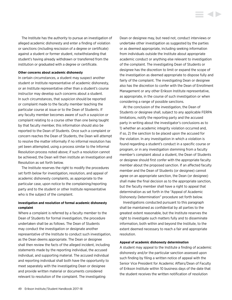The Institute has the authority to pursue an investigation of alleged academic dishonesty and enter a finding of violation or sanctions (including rescission of a degree or certificate) against a student or former student, notwithstanding that student's having already withdrawn or transferred from the institution or graduated with a degree or certificate.

#### **Other concerns about academic dishonesty**

In certain circumstances, a student may suspect another student or Institute representative of academic dishonesty, or an Institute representative other than a student's course instructor may develop such concerns about a student. In such circumstances, that suspicion should be reported or complaint made to the faculty member teaching the particular course at issue or to the Dean of Students. If any faculty member becomes aware of such a suspicion or complaint relating to a course other than one being taught by that faculty member, this information should also be reported to the Dean of Students. Once such a complaint or concern reaches the Dean of Students, the Dean will attempt to resolve the matter informally if no informal resolution has yet been attempted, using a process similar to the Informal Resolution process noted above; if such a resolution cannot be achieved, the Dean will then institute an Investigation and Resolution as set forth below.

The Institute reserves the right to modify the procedures set forth below for investigation, resolution, and appeal of academic dishonesty complaints, as appropriate to the particular case, upon notice to the complaining/reporting party and to the student or other Institute representative who is the subject of the complaint.

## **Investigation and resolution of formal academic dishonesty complaint**

Where a complaint is referred by a faculty member to the Dean of Students for formal investigation, the procedure undertaken shall be as follows. The Dean of Students may conduct the investigation or designate another representative of the Institute to conduct such investigation, as the Dean deems appropriate. The Dean or designee shall then review the facts of the alleged incident, including statements made by the reporting individual, the accused individual, and supporting material. The accused individual and reporting individual shall both have the opportunity to meet separately with the investigating Dean or designee and provide written material or documents considered relevant to resolution of the complaint. The investigating

Dean or designee may, but need not, conduct interviews or undertake other investigation as suggested by the parties or as deemed appropriate, including seeking information from individuals outside the Institute about appropriate academic conduct or anything else relevant to investigation of the complaint. The investigating Dean of Students or designee has the discretion to limit or expand the scope of the investigation as deemed appropriate to dispose fully and fairly of the complaint. The investigating Dean or designee also has the discretion to confer with the Dean of Enrollment Management or any other Erikson Institute representative, as appropriate, in the course of such investigation or when considering a range of possible sanctions.

i d b

At the conclusion of the investigation, the Dean of Students or designee shall, subject to any applicable FERPA limitations, notify the reporting party and the accused party in writing about the investigator's conclusions as to 1) whether an academic integrity violation occurred and, if so, 2) the sanction to be placed upon the accused for the violation. In any investigation in which a violation is found regarding a student's conduct in a specific course or program, or in any investigation stemming from a faculty member's complaint about a student, the Dean of Students or designee should first confer with the appropriate faculty member about the proposed sanction. If an affected faculty member and the Dean of Students (or designee) cannot agree on an appropriate sanction, the Dean (or designee) shall make the final decision as to the appropriate sanction, but the faculty member shall have a right to appeal that determination as set forth in the "Appeal of Academic Dishonesty Determination" procedure set forth below.

Investigations conducted pursuant to this paragraph shall be maintained as confidential by all parties to the greatest extent reasonable, but the Institute reserves the right to investigate such matters fully and to disseminate information, both within and beyond the Institute, to the extent deemed necessary to reach a fair and appropriate resolution.

#### **Appeal of academic dishonesty determination**

A student may appeal to the Institute a finding of academic dishonesty and/or the particular sanction assessed upon such finding by filing a written notice of appeal with the Senior Vice President for Academic Affairs/Dean of Faculty of Erikson Institute within 10 business days of the date that the student receives the written notification of resolution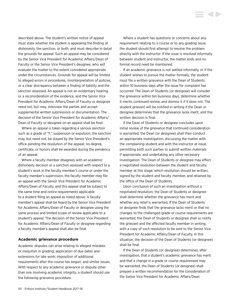described above. The student's written notice of appeal must state whether the student is appealing the finding of dishonesty, the sanction, or both, and must describe in detail the grounds for appeal. Such an appeal may be considered by the Senior Vice President for Academic Affairs/Dean of Faculty or the Senior Vice President's designee, who will evaluate the matter to the extent considered appropriate under the circumstances. Grounds for appeal will be limited to alleged errors in procedures, misinterpretation of policies, or a clear discrepancy between a finding of liability and the sanction assessed. An appeal is not an evidentiary hearing or a reconsideration of the evidence, and the Senior Vice President for Academic Affairs/Dean of Faculty or designee need not, but may, interview the parties and accept supplemental written submissions or documentation. The decision of the Senior Vice President for Academic Affairs/ Dean of Faculty or designee on an appeal shall be final.

Where an appeal is taken regarding a serious sanction such as a grade of "F," suspension or expulsion, the sanction may, but need not, be stayed by the Senior Vice President's office pending the resolution of the appeal; no degree, certificate, or honors shall be awarded during the pendency of an appeal.

Where a faculty member disagrees with an academic dishonesty decision or a sanction assessed with respect to a student's work in the faculty member's course or under the faculty member's supervision, the faculty member may file an appeal with the Senior Vice President for Academic Affairs/Dean of Faculty, and this appeal shall be subject to the same time and notice requirements applicable to a student filing an appeal as noted above. A faculty member's appeal shall be heard by the Senior Vice President for Academic Affairs/Dean of Faculty or designee using the same process and limited scope of review applicable to a student's appeal. The decision of the Senior Vice President for Academic Affairs/Dean of Faculty or designee regarding a faculty member's appeal shall also be final.

#### **Academic grievance procedure**

Academic disputes can arise relating to alleged mistakes or inequities in grading; application of due dates and extensions for late work; imposition of additional requirements after the course has begun; and similar issues. With respect to any academic grievance or dispute other than one involving academic integrity, a student should use the following grievance procedure.

Where a student has questions or concerns about any requirement relating to a course or to any grading issue, the student should first attempt to resolve the problem directly with the instructor. If the issue is resolved informally between student and instructor, the matter ends and no formal record need be maintained.

If an academic grievance is not settled informally, or if the student wishes to pursue the matter formally, the student must file a written grievance with the Dean of Students within 10 business days after the issue for complaint has occurred. The Dean of Students (or designee) will consider the grievance within ten business days, determine whether it merits continued review, and dismiss it if it does not. The student grievant will be notified in writing if the Dean or designee determines that the grievance lacks merit, and this written decision is final.

If the Dean of Students or designee concludes upon initial review of the grievance that continued consideration is warranted, the Dean (or designee) shall then conduct an appropriate investigation, discussing the matter with the complaining student and with the instructor at issue, permitting both such parties to submit written materials if appropriate, and undertaking any other necessary investigation. The Dean of Students or designee may effect a negotiated resolution between the student and faculty member at this stage, which resolution should be written, signed by the student and faculty member, and retained by the office of the Dean of Students.

Upon conclusion of such an investigation without a negotiated resolution, the Dean of Students or designee shall determine whether the grievance has merit and whether any relief is warranted. If the Dean of Students or designee finds that the grievance lacks merit or that no changes to the challenged grade or course requirements are warranted, the Dean of Students or designee shall so notify the grievant and the affected faculty member in writing, with a copy of such resolution to be sent to the Senior Vice President for Academic Affairs/Dean of Faculty. In this situation, the decision of the Dean of Students (or designee) shall be final.

If the Dean of Students (or designee) determines, after investigation, that a student's academic grievance has merit and that a change in a grade or course requirement may be warranted, the Dean of Students (or designee) shall prepare a written recommendation for the consideration of the Senior Vice President for Academic Affairs/Dean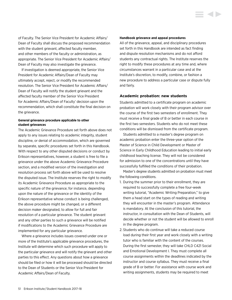of Faculty. The Senior Vice President for Academic Affairs/ Dean of Faculty shall discuss the proposed recommendation with the student grievant, affected faculty member, and other members of the faculty or administration, as appropriate. The Senior Vice President for Academic Affairs/ Dean of Faculty may also investigate the grievance.

If investigation is deemed appropriate, the Senior Vice President for Academic Affairs/Dean of Faculty may ultimately accept, reject, or modify the recommended resolution. The Senior Vice President for Academic Affairs/ Dean of Faculty will notify the student grievant and the affected faculty member of the Senior Vice President for Academic Affairs/Dean of Faculty' decision upon the recommendation, which shall constitute the final decision on the grievance.

### **General grievance procedure applicable to other student grievances**

The Academic Grievance Procedure set forth above does not apply to any issues relating to academic integrity, student discipline, or denial of accommodation, which are governed by separate, specific procedures set forth in this Handbook. With respect to any other disputed decisions or conduct by Erikson representatives, however, a student is free to file a grievance under the above Academic Grievance Procedure section, and a modified version of the investigation and resolution process set forth above will be used to resolve the disputed issue. The Institute reserves the right to modify its Academic Grievance Procedure as appropriate to the specific nature of the grievance; for instance, depending upon the nature of the grievance or the identity of the Erikson representative whose conduct is being challenged, the above procedure might be changed, or a different decision maker designated, to allow for full and fair resolution of a particular grievance. The student grievant and any other parties to such a grievance will be notified if modifications to the Academic Grievance Procedure are implemented for any particular grievance.

Where a grievance includes issues covered under one or more of the Institute's applicable grievance procedures, the Institute will determine which such procedure will apply to the particular grievance and will notify the grievant and other parties to this effect. Any questions about how a grievance should be filed or how it will be processed should be directed to the Dean of Students or the Senior Vice President for Academic Affairs/Dean of Faculty.

#### **Handbook grievance and appeal procedures**

All of the grievance, appeal, and disciplinary procedures set forth in this Handbook are intended as fact finding and dispute resolution mechanisms and do not afford students any contractual rights. The Institute reserves the right to modify these procedures at any time and, where circumstances warrant in a particular case and at the Institute's discretion, to modify, combine, or fashion a new procedure to address a particular case or dispute fully and fairly.

**STARTING** 

#### **Academic probation: new students**

Students admitted to a certificate program on academic probation will work closely with their program advisor over the course of the first two semesters of enrollment. They must receive a final grade of B or better in each course in the first two semesters. Students who do not meet these conditions will be dismissed from the certificate program.

Students admitted to a master's degree program on academic probation enter the three-year option of the Master of Science in Child Development or Master of Science in Early Childhood Education leading to initial early childhood teaching license. They will not be considered for admission to one of the concentrations until they have successfully fulfilled the conditions of their probation.

Master's degree students admitted on probation must meet the following conditions.

- 1. During the summer prior to their enrollment, they are required to successfully complete a free four-week writing tutorial, "Academic Writing Preparation," to give them a head start on the types of reading and writing they will encounter in the master's program. Attendance is mandatory. At the conclusion of this tutorial, the instructor, in consultation with the Dean of Students, will decide whether or not the student will be allowed to enroll in the degree program.
- 2. Students who do continue will take a reduced course load during their first year and work closely with a writing tutor who is familiar with the content of the courses. During the first semester, they will take CHLD C421 Social and Emotional Development I. They must complete all course assignments within the deadlines indicated by the instructor and course syllabus. They must receive a final grade of B or better. For assistance with course work and writing assignments, students may be required to meet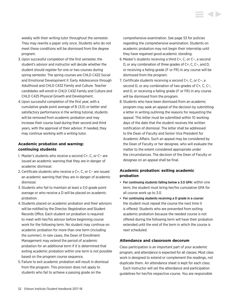weekly with their writing tutor throughout the semester. They may rewrite a paper only once. Students who do not meet these conditions will be dismissed from the degree program.

- 3. Upon successful completion of the first semester, the student's advisor and instructor will decide whether the student should register for one or two courses during spring semester. The spring courses are CHLD C422 Social and Emotional Development II: Early Adolescence through Adulthood and CHLD C432 Family and Culture. Teacher candidates will enroll in CHLD C432 Family and Culture and CHLD C425 Physical Growth and Development.
- 4.Upon successful completion of the first year, with a cumulative grade point average of B (3.0) or better and satisfactory performance in the writing tutorial, students will be removed from academic probation and may increase their course load during their second and third years, with the approval of their advisor. If needed, they may continue working with a writing tutor.

## **Academic probation and warning: continuing students**

- 1. Master's students who receive a second C+, C, or C− are issued an academic warning that they are in danger of academic dismissal.
- 2. Certificate students who receive a C+, C, or C− are issued an academic warning that they are in danger of academic dismissal.
- 3. Students who fail to maintain at least a 3.0 grade point average or who receive a D will be placed on academic probation.
- 4. Students placed on academic probation and their advisors will be notified by the Director, Registration and Student Records Office. Each student on probation is required to meet with her/his advisor before beginning course work for the following term. No student may continue on academic probation for more than one term (including the summer). In rare cases, the Dean of Enrollment Management may extend the period of academic probation for an additional term if it is determined that exiting academic probation within one term is not possible based on the program course sequence.
- 5. Failure to exit academic probation will result in dismissal from the program. This provision does not apply to students who fail to achieve a passing grade on the

comprehensive examination. See page 53 for policies regarding the comprehensive examination. Students on academic probation may not begin their internship until they have regained good academic standing.

- 6. Master's students receiving a third C+, C, or C−, a second D, or any combination of three grades of C+, C, C−, and D, or receiving a failing grade (F or FR) in any course will be dismissed from the program.
- 7. Certificate students receiving a second C+, C, or C−, a second D, or any combination of two grades of C+, C, C−, and D, or receiving a failing grade (F or FR) in any course will be dismissed from the program.
- 8. Students who have been dismissed from an academic program may seek an appeal of the decision by submitting a letter in writing outlining the reasons for requesting the appeal. This letter must be submitted within 10 working days of the date that the student receives the written notification of dismissal. The letter shall be addressed to the Dean of Faculty and Senior Vice President for Academic Affairs. Such an appeal may be considered by the Dean of Faculty or her designee, who will evaluate the matter to the extent considered appropriate under the circumstances. The decision of the Dean of Faculty or designee on an appeal shall be final.

# **Academic probation: exiting academic probation**

- For continuing students falling below a 3.0 GPA: within one term, the student must bring her/his cumulative GPA for all course work up to 3.0.
- For continuing students receiving a D grade in a course: the student must repeat the course the next time it is offered. Students who are prevented from exiting academic probation because the needed course is not offered during the following term will have their probation extended until the end of the term in which the course is next scheduled.

## **Attendance and classroom decorum**

Class participation is an important part of your academic program, and attendance is expected for all classes. Most class work is designed to extend or complement the readings, not duplicate them. An attendance sheet is kept for each class.

Each instructor will set the attendance and participation guidelines for her/his respective course. You are responsible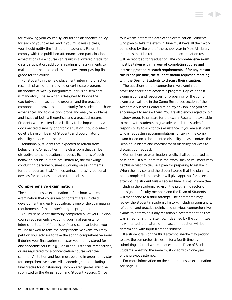for reviewing your course syllabi for the attendance policy for each of your classes, and if you must miss a class, you should notify the instructor in advance. Failure to comply with the published attendance and participation expectations for a course can result in a lowered grade for class participation, additional readings or assignments to make up for the missed class, or a lower/non-passing final grade for the course.

For students in the field placement, internship or action research phase of their degree or certificate program, attendance at weekly integrative/supervision seminars is mandatory. The seminar is designed to bridge the gap between the academic program and the practice component. It provides an opportunity for students to share experiences and to question, probe and analyze problems and issues of both a theoretical and a practical nature. Students whose attendance is likely to be impacted by a documented disability or chronic situation should contact Colette Davison, Dean of Students and coordinator of disability services to discuss.

Additionally, students are expected to refrain from behavior and/or activities in the classroom that can be disruptive to the educational process. Examples of such behavior include, but are not limited to, the following: conducting personal business; working on assignments for other courses; text/IM messaging; and using personal devices for activities unrelated to the class.

#### **Comprehensive examination**

The comprehensive examination, a four-hour, written examination that covers major content areas in child development and early education, is one of the culminating requirements of the master's degree programs.

You must have satisfactorily completed all of your Erikson course requirements excluding your final semester of internship, tutorial (if applicable), and seminar before you will be allowed to take the comprehensive exam. You may petition your advisor to take the spring comprehensive exam if during your final spring semester you are registered for one academic course, e.g., Social and Historical Perspectives, or are registered for a concentration course over the summer. All tuition and fees must be paid in order to register for comprehensive exam. All academic grades, including final grades for outstanding "Incomplete" grades, must be submitted to the Registration and Student Records Office

four weeks before the date of the examination. Students who plan to take the exam in June must have all their work completed by the end of the school year in May. All library materials must be returned before the examination results will be recorded for graduation. The comprehensive exam must be taken within a year of completing course and internship/action research requirements. If for any reason this is not possible, the student should request a meeting with the Dean of Students to discuss their situation.

**STARTING** 

The questions on the comprehensive examination cover the entire core academic program. Copies of past examinations and resources for preparing for the comp exam are available in the Comp Resources section of the Academic Success Center site on my.erikson, and you are encouraged to review them. You are also encouraged to join a study group to prepare for the exam. Faculty are available to meet with students to give advice. It is the student's responsibility to ask for this assistance. If you are a student who is requesting accommodations for taking the comp exam based on a documented disability, please contact the Dean of Students and coordinator of disability services to discuss your request.

Comprehensive examination results shall be reported as pass or fail. If a student fails the exam, she/he will meet with her/his advisor to devise a plan for preparing to retake it. When the advisor and the student agree that the plan has been completed, the advisor will give approval for a second attempt. If a student fails a second time, a small committee including the academic advisor, the program director or a designated faculty member, and the Dean of Students will meet prior to a third attempt. The committee may review the student's academic history; including transcripts, reflection and practice points, and previous comprehensive exams to determine if any reasonable accommodations are warranted for a third attempt. If deemed by the committee as warranted, the nature of the accommodation will be determined with input from the student.

If a student fails on the third attempt, she/he may petition to take the comprehensive exam for a fourth time by submitting a formal written request to the Dean of Students. Students repeating the exam must do so within one year of the previous attempt.

For more information on the comprehensive examination, see page 11.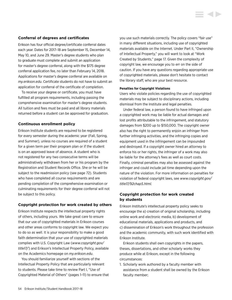### **Conferral of degrees and certificates**

Erikson has four official degree/certificate conferral dates each year. Dates for 2017–18 are September 15, December 14, May 10, and June 29. Master's degree students who plan to graduate must complete and submit an application for master's degree conferral, along with the \$175 degree conferral application fee, no later than February 14, 2018. Applications for master's degree conferral are available on *my.erikson.edu*. Certificate students do not have to submit an application for conferral of the certificate of completion.

To receive your degree or certificate, you must have fulfilled all program requirements, including passing the comprehensive examination for master's degree students. All tuition and fees must be paid and all library materials returned before a student can be approved for graduation.

## **Continuous enrollment policy**

Erikson Institute students are required to be registered for every semester during the academic year (Fall, Spring, and Summer), unless no courses are required of a student for a given term per their program plan or if the student is on an approved leave of absence. A student who is not registered for any two consecutive terms will be administratively withdrawn from her or his program by the Registration and Student Records Office. She or he will be subject to the readmission policy (see page 72). Students who have completed all course requirements and are pending completion of the comprehensive examination or culminating requirements for their degree conferral will not be subject to this policy.

#### **Copyright protection for work created by others**

Erikson Institute respects the intellectual property rights of others, including yours. We take great care to ensure that our use of copyrighted materials in Erikson courses and other areas conforms to copyright law. We expect you to do so as well. It is your responsibility to make a good faith determination that your use of copyrighted materials complies with U.S. Copyright Law (*[www.copyright.gov/](www.copyright.gov/title17/) [title1](www.copyright.gov/title17/)7/*) and Erikson's Intellectual Property Policy, available on the Academics homepage on *my.erikson.edu*.

You should familiarize yourself with sections of the Intellectual Property Policy that are particularly relevant to students. Please take time to review Part I, "Use of Copyrighted Material of Others" (pages 1–11) to ensure that you use such materials correctly. The policy covers "fair use" in many different situations, including use of copyrighted materials available on the Internet. Under Part II, "Ownership of Intellectual Property," you will want to look at "Work Created by Students," page 17. Given the complexity of copyright law, we encourage you to err on the side of caution. If you have any questions regarding appropriate use of copyrighted materials, please don't hesitate to contact the library staff, who are your best resource.

#### **Penalties for Copyright Violations**

Users who violate policies regarding the use of copyrighted materials may be subject to disciplinary actions, including dismissal from the Institute and legal penalties.

Under federal law, a person found to have infringed upon a copyrighted work may be liable for actual damages and lost profits attributable to the infringement, and statutory damages from \$200 up to \$150,000. The copyright owner also has the right to permanently enjoin an infringer from further infringing activities, and the infringing copies and equipment used in the infringement can be impounded and destroyed. If a copyright owner hired an attorney to enforce his or her rights, the infringer of a work may also be liable for the attorney's fees as well as court costs. Finally, criminal penalties may also be assessed against the infringer and could include jail time depending upon the nature of the violation. For more information on penalties for violation of federal copyright laws, see *[www.copyright.gov/](www.copyright.gov/title17/92chap5.html) [title17/92chap5.html](www.copyright.gov/title17/92chap5.html).*

## **Copyright protection for work created by students**

Erikson Institute's intellectual property policy seeks to encourage the a) creation of original scholarship, including online work and electronic media, b) development of educational materials, applications and products, and c) dissemination of Erikson's work throughout the profession and the academic community, with such work identified with Erikson Institute.

Erikson students shall own copyrights in the papers, theses, dissertations, and other scholarly works they produce while at Erikson, except in the following circumstances:

1. Scholarly work authored by a faculty member with assistance from a student shall be owned by the Erikson faculty member;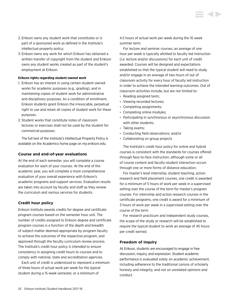- 2. Erikson owns any student work that constitutes or is part of a sponsored work as defined in the Institute's intellectual property policy;
- 3. Erikson owns any work for which Erikson has obtained a written transfer of copyright from the student and Erikson owns any student works created as part of the student's employment at Erikson.

#### **Erikson rights regarding student-owned work**

- 1. Erikson has an interest in using certain student-owned works for academic purposes (e.g., grading), and in maintaining copies of student work for administrative and disciplinary purposes. As a condition of enrollment, Erikson students grant Erikson the irrevocable, perpetual right to use and retain all copies of student work for these purposes.
- 2. Student works that constitute notes of classroom lectures or exercises shall not be used by the student for commercial purposes.

The full text of the Institute's Intellectual Property Policy is available on the Academics home page on *my.erikson.edu*.

#### **Course and end-of-year evaluations**

At the end of each semester, you will complete a course evaluation for each of your courses. At the end of the academic year, you will complete a more comprehensive evaluation of your overall experience with Erikson's academic programs and support services. Evaluation results are taken into account by faculty and staff as they review the curriculum and various services for students.

#### **Credit hour policy**

Erikson Institute awards credits for degree and certificate program courses based on the semester hour unit. The number of credits assigned to Erikson degree and certificate program courses is a function of the depth and breadth of subject matter deemed appropriate by program faculty to achieve the outcomes of the respective program, and approved through the faculty curriculum review process. The Institute's credit hour policy is intended to ensure consistency in assigning credit hours to courses and to comply with national, state and accreditation agencies.

Each unit of credit is understood to represent a *minimum* of three hours of actual work per week for the *typical* student during a 15 week semester, or a *minimum* of

4.5 hours of actual work per week during the 10 week summer term.

For lecture and seminar courses, an average of one hour per week is typically allotted to faculty led instruction (i.e. lecture and/or discussions) for each unit of credit awarded. Courses will be designed and expectations established so that the typical student will need to study and/or engage in an average of two hours of out of classroom activity for every hour of faculty led instruction in order to achieve the intended learning outcomes. Out of classroom activities include, but are not limited to:

- Reading assigned texts;
- Viewing recorded lectures;
- Completing assignments;
- Completing online modules;
- Participating in synchronous or asynchronous discussion with other students;
- Taking exams;
- Conducting field observations; and/or
- Collaborating on group projects

The Institute's credit hour policy for online and hybrid courses is consistent with the standards for courses offered through face-to-face instruction, although some or all of course content and faculty-student interaction occurs through one or more forms of distance education.

For master's level internship, student teaching, action research and field placement courses, one credit is awarded for a minimum of 5 hours of work per week in a supervised setting over the course of the term for master's program courses. For internship and action research courses in the certificate programs, one credit is award for a minimum of 3 hours of work per week in a supervised setting over the course of the term.

For research practicum and independent study courses, the scope of the study or research will be established to require the typical student to work an average of 45 hours per credit earned.

#### **Freedom of inquiry**

At Erikson, students are encouraged to engage in free discussion, inquiry, and expression. Student academic performance is evaluated solely on academic achievement, including adherence to the traditional canons of scholarly honesty and integrity, and not on unrelated opinions and conduct.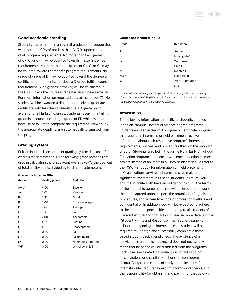### **Good academic standing**

Students are to maintain an overall grade point average that will result in a GPA of not less than B (3.0) upon completion of all program requirements. No more than two grades of C+, C, or C− may be counted towards master's degree requirements. No more than one grade of C+, C, or C− may be counted towards certificate program requirements. No grade of grade of D may be counted toward the degree or certificate requirements, nor does a D grade fulfill a course requirement. Such grades, however, will be calculated in the GPA, unless the course is repeated in a future semester. For more information on repeated courses, see page 72. No student will be awarded a diploma or receive a graduate certificate with less than a cumulative 3.0 grade point average for all Erikson courses. Students receiving a failing grade in a course, including a grade of FR which is recorded because of failure to complete the required coursework by the appropriate deadline, are automatically dismissed from the program.

## **Grading system**

Erikson Institute is on a 4 point grading system. The unit of credit is the semester hour. The following grade notations are used in calculating the Grade Point Average (GPA=the quotient of total quality points divided by total hours attempted).

#### **Grades included in GPA**

| Grade     | <b>Quality points</b> | <b>Definition</b>   |
|-----------|-----------------------|---------------------|
| A+, A     | 4.00                  | Excellent           |
| $A-$      | 3.67                  | Very good           |
| B+        | 3.33                  | Good                |
| B         | 3.00                  | Above Average       |
| B-        | 2.67                  | Average             |
| $C+$      | 2.33                  | Fair                |
| C         | 2.00                  | Acceptable          |
| $C-$      | 1.67                  | Passing             |
| D         | 1.00                  | Unacceptable        |
| F         | 0.00                  | Fail                |
| FR.       | 0.00                  | Failure by rule     |
| <b>NG</b> | 0.00                  | No grade submitted* |
| WF        | 0.00                  | Withdrawal, fail    |

#### **Grades not included in GPA**

| Grade          | <b>Definition</b> |
|----------------|-------------------|
| AU             | Audited           |
| $\overline{1}$ | Incomplete*       |
| W              | Withdrawal        |
| <b>CR</b>      | Credit            |
| NC.            | No credit         |
| <b>NOP</b>     | Not passed        |
| <b>WIP</b>     | Work in progress  |
| P              | Pass              |
|                |                   |

*\*Grades of I (Incomplete) and NG (No Grade Submitted) will be permanently changed to a grade of FR (Failure by Rule) if course requirements are not met by the deadline published in the academic calendar.* 

## **Internships**

The following information is specific to students enrolled in the on-campus Masters of Science degree programs. Students enrolled in the PhD program or certificate programs that require an internship or field placement receive information about their respective program's internship requirements, policies, and procedures through the program director. Students enrolled in the online MS in Early Childhood Education program complete a two-semester action research project instead of an internship. MSW students should refer to the MSW Handbook for information on field placement.

Organizations serving as internship sites make a significant investment in Erikson students. In return, you and the Institute both have an obligation to fulfill the terms of the internship agreement. You will be expected to work the hours agreed upon, respect the organization's goals and procedures, and adhere to a code of professional ethics and confidentiality. In addition, you will be expected to adhere to the student responsibilities that apply to all students of Erikson Institute and that are discussed in more details in the "Student Rights and Responsibilities" section, page 76.

Prior to beginning an internship, each student will be required to undergo and successfully complete a namebased student background check. The existence of a conviction in an applicant's record does not necessarily mean that he or she will be dismissed from the programs. Each case is evaluated individually on its facts and not all convictions or disciplinary actions are considered disqualifying to the course of study at the Institute. Some internship sites require fingerprint background checks, and the responsibility for obtaining and paying for that belongs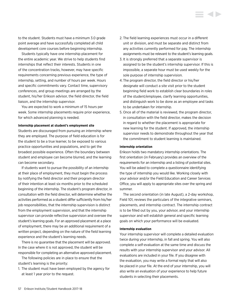to the student. Students must have a minimum 3.0 grade point average and have successfully completed all child development core courses before beginning internship.

Students typically have one internship placement for the entire academic year. We strive to help students find internships that reflect their interests. Students in one of the concentration tracks, however, may have specific requirements concerning previous experience, the type of internship, setting, and number of hours per week. Hours and specific commitments vary. Contact time, supervisory conferences, and group meetings are arranged by the student, his/her Erikson advisor, the field director, the field liaison, and the internship supervisor.

You are expected to work a minimum of 15 hours per week. Some internship placements require prior experience, for which advanced planning is needed.

#### **Internship placement at student's employment site**

Students are discouraged from pursuing an internship where they are employed. The purpose of field education is for the student to be a true learner, to be exposed to various practice opportunities and populations, and to get the broadest possible experience. Often the boundary between student and employee can become blurred, and the learning can become secondary.

If students want to pursue the possibility of an internship at their place of employment, they must begin the process by notifying the field director and their program director of their intention at least six months prior to the scheduled beginning of the internship. The student's program director, in consultation with the field director, will determine whether the activities performed as a student differ sufficiently from his/her job responsibilities, that the internship supervision is distinct from the employment supervision, and that the internship supervisor can provide reflective supervision and oversee the student's learning goals. For an approved placement at a place of employment, there may be an additional requirement of a written project, depending on the nature of the field learning experience and the student's learning needs.

There is no guarantee that the placement will be approved. In the case where it is not approved, the student will be responsible for completing an alternative approved placement.

The following policies are in place to ensure that the student's learning is the priority:

1. The student must have been employed by the agency for at least 1 year prior to the request.

- 2. The field learning experiences must occur in a different unit or division, and must be separate and distinct from any activities currently performed for pay. The internship assignments must be relevant to the student's learning goals.
- 3. It is strongly preferred that a separate supervisor is assigned to be the student's internship supervisor. If this is impossible, a separate hour must be used weekly for the sole purpose of internship supervision.
- 4. The program director, the field director or his/her designate will conduct a site visit prior to the student beginning field work to establish clear boundaries in roles of the student/employee, clarify learning opportunities, and distinguish work to be done as an employee and tasks to be undertaken for internship.
- 5. Once all of the material is reviewed, the program director, in consultation with the field director, makes the decision in regard to whether the placement is appropriate for new learning for the student. If approved, the internship supervisor needs to demonstrate throughout the year that the commitment to student learning is maintained.

#### **Internship orientation**

Erikson holds two mandatory internship orientations. The first orientation (in February) provides an overview of the requirements for an internship and a listing of potential sites. You will be asked to complete a questionnaire identifying the type of internship you would like. Working closely with your advisor and/or the Field Education and Career Services Office, you will apply to appropriate sites over the spring and summer.

The second orientation (in late August), a 2-day workshop, Field 101, reviews the particulars of the integrative seminars, placements, and internship contract. The internship contract is to be filled out by you, your advisor, and your internship supervisor and will establish general and specific learning goals on which your performance will be evaluated.

#### **Internship evaluation**

Your internship supervisor will complete a detailed evaluation twice during your internship, in fall and spring. You will also complete a self-evaluation at the same time and discuss the results with your internship supervisor and your advisor. All evaluations are included in your file. If you disagree with the evaluation, you may write a formal reply that will also be placed in your file. At the end of your internship, you will also write an evaluation of your experience to help future students in selecting their placements.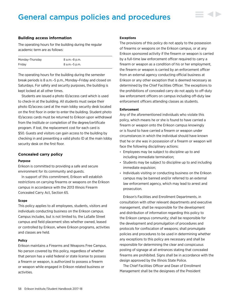# General campus policies and procedures

#### **Building access information**

The operating hours for the building during the regular academic term are as follows:

| Monday-Thursday | 8 a.m.–8 p.m.   |
|-----------------|-----------------|
| Fridav          | 8 a.m. - 5 p.m. |

The operating hours for the building during the semester break periods is 8 a.m.–5 p.m., Monday–Friday and closed on Saturdays. For safety and security purposes, the building is kept locked at all other times.

Students are issued a photo ID/access card which is used to check-in at the building. All students must swipe their photo ID/access card at the main lobby security desk located on the first floor in order to enter the building. Student photo ID/access cards must be returned to Erikson upon withdrawal from the Institute or completion of the degree/certificate program. If lost, the replacement cost for each card is \$50. Guests and visitors can gain access to the building by checking in and presenting a valid photo ID at the main lobby security desk on the first floor.

#### **Concealed carry policy**

#### **Purpose**

Erikson is committed to providing a safe and secure environment for its community and guests.

In support of this commitment, Erikson will establish restrictions on carrying firearms or weapons on the Erikson campus in accordance with the 2013 Illinois Firearm Concealed Carry Act, Section 65.

#### **Scope**

This policy applies to all employees, students, visitors and individuals conducting business on the Erikson campus. Campus includes, but is not limited to, the LaSalle Street campus and field placement sites whether owned, leased or controlled by Erikson, where Erikson programs, activities and classes are held.

#### **Policy**

Erikson maintains a Firearms and Weapons Free Campus. No person covered by this policy, regardless of whether that person has a valid federal or state license to possess a firearm or weapon, is authorized to possess a firearm or weapon while engaged in Erikson related business or activities.

#### **Exceptions**

The provisions of this policy do not apply to the possession of firearms or weapons on the Erikson campus, or at any Erikson sponsored activity if the firearm or weapon is carried by a full-time law enforcement officer required to carry a firearm or weapon as a condition of his or her employment, the firearm or weapon is carried by an enforcement officer from an external agency conducting official business at Erikson or any other exception that is deemed necessary as determined by the Chief Facilities Officer. The exceptions to the prohibitions of concealed carry do not apply to off-duty law enforcement officers on campus including off-duty law enforcement officers attending classes as students.

#### **Enforcement**

Any of the aforementioned individuals who violate this policy, which means he or she is found to have carried a firearm or weapon onto the Erikson campus knowingly or is found to have carried a firearm or weapon under circumstances in which the individual should have known that he or she was in possession of a firearm or weapon will face the following disciplinary actions:

- Employees may be subject to discipline up to and including immediate termination;
- Students may be subject to discipline up to and including immediate expulsion;
- Individuals visiting or conducting business on the Erikson campus may be banned and/or referred to an external law enforcement agency, which may lead to arrest and prosecution.

Erikson's Facilities and Enrollment Departments, in consultation with other relevant departments and executive management, shall be responsible for the development and distribution of information regarding this policy to the Erikson campus community; shall be responsible for the development and promulgation of procedures and protocols for confiscation of weapons; shall promulgate policies and procedures to be used in determining whether any exceptions to this policy are necessary and shall be responsible for determining the clear and conspicuous posting of signage at all entrances stating that concealed firearms are prohibited. Signs shall be in accordance with the design approved by the Illinois State Police.

The Chief Facilities Officer and Dean of Enrollment Management shall be the designees of the President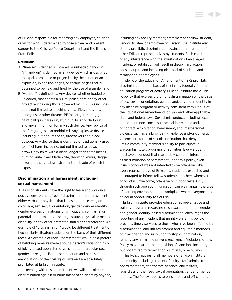of Erikson responsible for reporting any employee, student or visitor who is determined to pose a clear and present danger to the Chicago Police Department and the Illinois State Police.

#### **Definitions**

- A. "firearm" is defined as: loaded or unloaded handgun. A "handgun" is defined as any device which is designed to expel a projectile or projectiles by the action of an explosion, expansion of gas, or escape of gas that is designed to be held and fired by the use of a single hand.
- B. "weapon" is defined as: Any device, whether loaded or unloaded, that shoots a bullet, pellet, flare or any other projectile including those powered by CO2. This includes, but is not limited to, machine guns, rifles, shotguns, handguns or other firearm, BB/pellet gun, spring gun, paint ball gun, flare gun, stun gun, taser or dart gun and any ammunition for any such device. Any replica of the foregoing is also prohibited. Any explosive device including, but not limited to, firecrackers and black powder. Any device that is designed or traditionally used to inflict harm including, but not limited to, bows and arrows, any knife with a blade longer than three inches, hunting knife, fixed blade knife, throwing knives, dagger, razor or other cutting instrument the blade of which is exposed.

## **Discrimination and harassment, including sexual harassment**

All Erikson students have the right to learn and work in a positive environment free of discrimination or harassment, either verbal or physical, that is based on race, religion, color, age, sex, sexual orientation, gender, gender identity, gender expression, national origin, citizenship, marital or parental status, military discharge status, physical or mental disability, or any other protected status or characteristic. An example of "discrimination" would be different treatment of two similarly situated students on the basis of their different races. An example of racial "harassment" would be a pattern of belittling remarks made about a person's racial origins or of joking based upon stereotypes about a particular race, gender, or religion. Both discrimination and harassment are violations of the civil rights laws and are absolutely prohibited at Erikson Institute.

In keeping with this commitment, we will not tolerate discrimination against or harassment of students by anyone, including any faculty member, staff member, fellow student, vendor, trustee, or employee of Erikson. The Institute also strictly prohibits discrimination against or harassment of other Erikson representatives by students. Such conduct, or any interference with the investigation of an alleged incident, or retaliation will result in disciplinary action, possibly up to and including dismissal of students and termination of employees.

Title IX of the Education Amendment of 1972 prohibits discrimination on the basis of sex in any federally funded education program or activity. Erikson Institute has a Title IX policy that expressly prohibits discrimination on the basis of sex, sexual orientation, gender, and/or gender identity in any Institute program or activity consistent with Title IX of the Educational Amendments of 1972 and other applicable state and federal laws. Sexual misconduct, including sexual harassment, non-consensual sexual intercourse and/ or contact, exploitation, harassment, and interpersonal violence such as stalking, dating violence and/or domestic violence are forms of sex discrimination that deny or limit a community member's ability to participate in Erikson Institute's programs or activities. Every student must avoid conduct that reasonably could be interpreted as discrimination or harassment under this policy, even if such conduct was not intended to be offensive. Like every representative of Erikson, a student is expected and encouraged to inform fellow students or others whenever conduct is unwelcome, offensive or in poor taste. Only through such open communication can we maintain the type of learning environment and workplace where everyone has an equal opportunity to flourish.

Erikson Institute provides educational, preventative and training programs regarding sex, sexual orientation, gender and gender identity-based discrimination; encourages the reporting of any incident that might violate this policy; provides timely services to those who have been affected by discrimination; and utilizes prompt and equitable methods of investigation and resolution to stop discrimination, remedy any harm, and prevent recurrence. Violations of this Policy may result in the imposition of sanctions including, but not limited to termination, dismissal, or expulsion.

This Policy applies to all members of Erikson Institute community, including students, faculty, staff, administrators, board members, contractors, vendors, and visitors, regardless of their sex, sexual orientation, gender or gender identity. The Policy applies to on-campus and off campus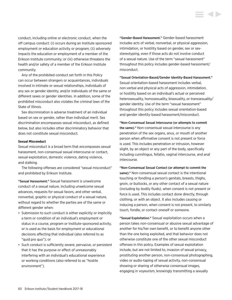conduct, including online or electronic conduct, when the off campus conduct: (i) occurs during an Institute sponsored employment or education activity or program; (ii) adversely impacts the education or employment of a member of the Erikson Institute community; or (iii) otherwise threatens the health and/or safety of a member of the Erikson Institute community.

Any of the prohibited conduct set forth in this Policy can occur between strangers or acquaintances, individuals involved in intimate or sexual relationships, individuals of any sex or gender identity, and/or individuals of the same or different sexes or gender identities. In addition, some of the prohibited misconduct also violates the criminal laws of the State of Illinois.

Sex discrimination is adverse treatment of an individual based on sex or gender, rather than individual merit. Sex discrimination encompasses sexual misconduct, as defined below, but also includes other discriminatory behavior that does not constitute sexual misconduct.

#### **Sexual Misconduct**

Sexual misconduct is a broad term that encompasses sexual harassment, non-consensual sexual intercourse or contact, sexual exploitation, domestic violence, dating violence, and stalking.

The following offenses are considered "sexual misconduct" and prohibited by Erikson Institute.

"Sexual Harassment." Sexual harassment is unwelcome conduct of a sexual nature, including unwelcome sexual advances, requests for sexual favors, and other verbal, nonverbal, graphic or physical conduct of a sexual nature, without regard to whether the parties are of the same or different gender when:

- Submission to such conduct is either explicitly or implicitly a term or condition of an individual's employment or status in a course, program or Institute-sponsored activity, or is used as the basis for employment or educational decisions affecting that individual (also referred to as "quid pro quo"); or
- Such conduct is sufficiently severe, pervasive, or persistent that it has the purpose or effect of unreasonably interfering with an individual's educational experience or working conditions (also referred to as "hostile environment").

"Gender-Based Harassment." Gender-based harassment includes acts of verbal, nonverbal, or physical aggression, intimidation, or hostility based on gender, sex or sexstereotyping, even if those acts do not involve conduct of a sexual nature. Use of the term "sexual harassment" throughout this policy includes gender-based harassment/ misconduct.

"Sexual Orientation-Based/Gender Identity-Based Harassment." Sexual orientation-based harassment includes verbal, non-verbal and physical acts of aggression, intimidation, or hostility based on an individual's actual or perceived heterosexuality, homosexuality, bisexuality, or transsexuality/ gender identity. Use of the term "sexual harassment" throughout this policy includes sexual orientation-based and gender identity-based harassment/misconduct.

"Non-Consensual Sexual Intercourse (or attempts to commit the same)." Non-consensual sexual intercourse is any penetration of the sex organs, anus, or mouth of another person when affirmative consent is not present or force is used. This includes penetration or intrusion, however slight, by an object or any part of the body, specifically including cunnilingus, fellatio, vaginal intercourse, and anal intercourse.

"Non-Consensual Sexual Contact (or attempt to commit the same)." Non-consensual sexual contact is the intentional touching or fondling a person's genitals, breasts, thighs, groin, or buttocks, or any other contact of a sexual nature (including by bodily fluids), when consent is not present or force is used. This includes contact done directly, through clothing, or with an object. It also includes causing or inducing a person, when consent is not present, to similarly touch, fondle, or contact oneself or someone.

"Sexual Exploitation." Sexual exploitation occurs when a person takes non-consensual or abusive sexual advantage of another for his/her own benefit, or to benefit anyone other than the one being exploited, and that behavior does not otherwise constitute one of the other sexual misconduct offenses in this policy. Examples of sexual exploitation include, but are not limited to, invasion of sexual privacy, prostituting another person, non-consensual photographing, video or audio-taping of sexual activity, non-consensual showing or sharing of otherwise consensual images, engaging in voyeurism, knowingly transmitting a sexually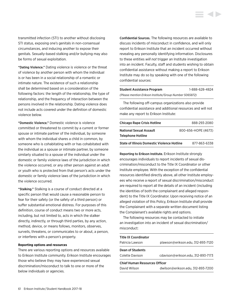transmitted infection (STI) to another without disclosing STI status, exposing one's genitals in non-consensual circumstances, and inducing another to expose their genitals. Sexually-based stalking and/or bullying may also be forms of sexual exploitation.

"Dating Violence." Dating violence is violence or the threat of violence by another person with whom the individual is or has been in a social relationship of a romantic or intimate nature. The existence of such a relationship shall be determined based on a consideration of the following factors: the length of the relationship, the type of relationship, and the frequency of interaction between the persons involved in the relationship. Dating violence does not include acts covered under the definition of domestic violence below.

"Domestic Violence." Domestic violence is violence committed or threatened to commit by a current or former spouse or intimate partner of the individual, by someone with whom the individual shares a child in common, by someone who is cohabitating with or has cohabitated with the individual as a spouse or intimate partner, by someone similarly situated to a spouse of the individual under the domestic or family violence laws of the jurisdiction in which the violence occurred, or any other person against an adult or youth who is protected from that person's acts under the domestic or family violence laws of the jurisdiction in which the violence occurred.

"Stalking." Stalking is a course of conduct directed at a specific person that would cause a reasonable person to fear for their safety (or the safety of a third person) or suffer substantial emotional distress. For purposes of this definition, course of conduct means two or more acts, including, but not limited to, acts in which the stalker directly, indirectly, or through third parties, by any action, method, device, or means follows, monitors, observes, surveils, threatens, or communicates to or about, a person, or interferes with a person's property.

#### **Reporting options and resources**

There are various reporting options and resources available to Erikson Institute community. Erikson Institute encourages those who believe they may have experienced sexual discrimination/misconduct to talk to one or more of the below individuals or agencies.

Confidential Sources. The following resources are available to discuss incidents of misconduct in confidence, and will only report to Erikson Institute that an incident occurred without revealing any personally identifying information. Disclosures to these entities *will not* trigger an Institute investigation into an incident. Faculty, staff and students wishing to obtain confidential assistance without making a report to Erikson Institute may do so by speaking with one of the following confidential sources:

| <b>Student Assistance Program</b>                       | 1-888-628-4824 |
|---------------------------------------------------------|----------------|
| (Please mention Erikson Institute/Group Number 5065872) |                |

The following off-campus organizations also provide confidential assistance and additional resources and will not make any report to Erikson Institute:

| <b>Chicago Rape Crisis Hotline</b>          | 888-293-2080        |
|---------------------------------------------|---------------------|
| National Sexual Assault                     | 800-656-HOPE (4673) |
| Telephone Hotline                           |                     |
| State of Illinois Domestic Violence Hotline | 877-863-6338        |

Reporting to Erikson Institute. Erikson Institute strongly encourages individuals to report incidents of sexual discrimination/misconduct to the Title IX Coordinator or other Institute employee. With the exception of the confidential resources identified directly above, all other Institute employees who receive a report of sexual discrimination/misconduct are required to report all the details of an incident (including the identities of both the complainant and alleged respondent) to the Title IX Coordinator. Upon receiving notice of an alleged violation of this Policy, Erikson Institute shall provide the Complainant with a separate written document listing the Complainant's available rights and options.

The following resources may be contacted to initiate an investigation into an incident of sexual discrimination/ misconduct:

| <b>Title IX Coordinator</b>          |                                    |
|--------------------------------------|------------------------------------|
| Patricia Lawson                      | plawson@erikson.edu, 312-893-7120  |
| Dean of Students                     |                                    |
| Colette Davison                      | cdavison@erikson.edu, 312-893-7173 |
| <b>Chief Human Resources Officer</b> |                                    |
| David Wilson                         | dwilson@erikson.edu, 312-893-7200  |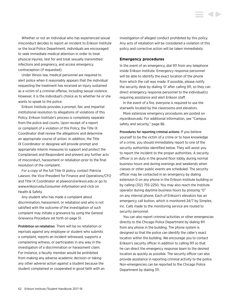Whether or not an individual who has experienced sexual misconduct decides to report an incident to Erikson Institute or the local Police Department, individuals are encouraged to seek immediate medical attention in order to treat physical injuries, test for and treat sexually transmitted infections and pregnancy, and access emergency contraception (if requested).

Under Illinois law, medical personnel are required to alert police when it reasonably appears that the individual requesting the treatment has received an injury sustained as a victim of a criminal offense, including sexual violence. However, it is the individual's choice as to whether he or she wants to speak to the police.

Erikson Institute provides a prompt, fair, and impartial institutional resolution to allegations of violations of this Policy. Erikson Institute's process is completely separate from the police and courts. Upon receipt of a report or complaint of a violation of this Policy, the Title IX Coordinator shall review the allegations and determine an appropriate course of action. In addition, the Title IX Coordinator or designee will provide prompt and appropriate interim measures to support and protect the Complainant and Respondent and prevent any further acts of misconduct, harassment or retaliation prior to the final resolution of the complaint.

For a copy of the full Title IX policy, contact Patricia Lawson, the Vice-President for Finance and Operations/CFO and Title IX Coordinator at plawson@erikson.edu or go to *[www.erikson.edu/consumer-information](http://www.erikson.edu/consumer-information)* and click on Health & Safety.

Any student who has made a complaint about discrimination, harassment, or retaliation and who is not satisfied with the outcome of the investigation of such complaint may initiate a grievance by using the General Grievance Procedure set forth on page 51.

Prohibition on retaliation: There will be no retaliation or reprisals against any employee or student who submits a complaint, reports an incident witnessed, supports a complaining witness, or participates in any way in the investigation of a discrimination or harassment claim. For instance, a faculty member would be prohibited from making any adverse academic decision or taking any other adverse action against a student because the student complained or cooperated in good faith with an investigation of alleged conduct prohibited by this policy. Any acts of retaliation will be considered a violation of this policy and corrective action will be taken immediately.

#### **Emergency procedures**

In the event of an emergency, dial 911 from any telephone inside Erikson Institute. Emergency response personnel will be able to identify the exact location of the phone from which the call was made. If possible, please notify the security desk by dialing '0' after calling 911, so they can direct emergency response personnel to the individual(s) requiring assistance and alert Erikson staff.

In the event of a fire, everyone is required to use the stairwells located by the classrooms and elevators.

More extensive emergency procedures are posted on *my.erikson.edu*. For additional information, see "Campus safety and security," page 86.

Procedures for reporting criminal actions: If you believe yourself to be the victim of a crime or to have knowledge of a crime, you should immediately report to one of the security authorities identified below. They will assist you to report the incident to the proper authorities. A security officer is on duty in the ground floor lobby during normal business hours and during evenings and weekends when classes or other public events are scheduled. The security officer may be contacted in an emergency by dialing extension 0 on any phone in the Erikson Institute building or by calling (312) 755-2250. You may also reach the Institute operator during daytime business hours by pressing "0" on any internal phone. Each of Erikson's elevators has an emergency call button, which is monitored 24/7 by Simplex, Inc. Calls made to the monitoring service are routed to security personnel.

You can also report criminal activities or other emergencies directly to the Chicago Police Department by dialing 911 from any phone in the building. The phone system is designed so that the police can identify the caller's exact location within the building. We encourage you to contact Erikson's security officer in addition to calling 911 so that he can direct the emergency response team to the desired location as quickly as possible. The security officer can also provide assistance in reporting criminal activity to the police. Non-emergencies can be reported to the Chicago Police Department by dialing 311.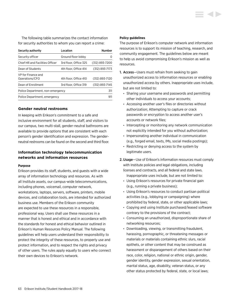The following table summarizes the contact information for security authorities to whom you can report a crime:

| Security authority                   | Location              | <b>Number</b>  |
|--------------------------------------|-----------------------|----------------|
| Security officer                     | Ground floor lobby    | O              |
| Chief HR and Facilities Officer      | 3rd floor, Office 325 | (312) 893-7200 |
| Dean of Students                     | 4th floor. Office 414 | (312) 893-7173 |
| VP for Finance and<br>Operations/CFO | 4th floor. Office 410 | (312) 893-7120 |
| Dean of Enrollment                   | 3rd floor, Office 319 | (312) 893-7145 |
| Police Department, non-emergency     |                       | 311            |
| Police Department, emergency         |                       | 911            |

## **Gender neutral restrooms**

In keeping with Erikson's commitment to a safe and inclusive environment for all students, staff, and visitors to our campus, two multi-stall, gender-neutral bathrooms are available to provide options that are consistent with each person's gender identification and expression. The genderneutral restrooms can be found on the second and third floor.

## **Information technology telecommunication networks and information resources**

#### **Purpose**

Erikson provides its staff, students, and guests with a wide array of information technology and resources. As with all Institute assets, our campus-wide telecommunications, including phones, voicemail, computer network, workstations, laptops, servers, software, printers, mobile devices, and collaboration tools, are intended for authorized business use. Members of the Erikson community are expected to use these resources in a responsible, professional way. Users shall use these resources in a manner that is honest and ethical and in accordance with the standards for honest and ethical behavior outlined in Erikson's Human Resources Policy Manual. The following guidelines will help users understand their responsibility to protect the integrity of these resources, to properly use and protect information, and to respect the rights and privacy of other users. The rules apply equally to users who connect their own devices to Erikson's network.

#### **Policy guidelines**

The purpose of Erikson's computer network and information resources is to support its mission of teaching, research, and community engagement. The guidelines below are meant to help us avoid compromising Erikson's mission as well as resources.

- 1. Access—Users must refrain from seeking to gain unauthorized access to information resources or enabling unauthorized access by others. Inappropriate uses include, but are not limited to:
	- Sharing your username and passwords and permitting other individuals to access your accounts;
	- Accessing another user's files or directories without authorization; Attempting to capture or crack passwords or encryption to access another user's accounts or network files;
	- Intercepting or monitoring any network communication not explicitly intended for you without authorization;
	- Impersonating another individual in communication (e.g., forged email, texts, IMs, social media postings);
	- Restricting or denying access to the system by legitimate users.
- 2.Usage—Use of Erikson's information resources must comply with Institute policies and legal obligations, including licenses and contracts, and all federal and state laws. Inappropriate uses include, but are not limited to:
	- Using Erikson's resources for private financial gain (e.g., running a private business);
	- Using Erikson's resources to conduct partisan political activities (e.g., lobbying or campaigning) where prohibited by federal, state, or other applicable laws;
	- Copying and using Institute purchased/leased software contrary to the provisions of the contract;
	- Consuming an unauthorized, disproportionate share of networking resources;
	- Downloading, viewing, or transmitting fraudulent, harassing, pornographic, or threatening messages or materials or materials containing ethnic slurs, racial epithets, or other content that may be construed as harassment or disparagement of others based on their race, color, religion, national or ethnic origin, gender, gender identity, gender expression, sexual orientation, marital status, age, disability, veteran status, or any other status protected by federal, state, or local laws;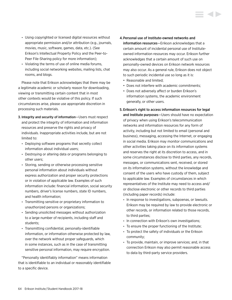- Using copyrighted or licensed digital resources without appropriate permission and/or attribution (e.g., journals, movies, music, software, games, data, etc.). (See Erikson's Intellectual Property Policy and the Peer-to-Peer File-Sharing policy for more information);
- Violating the terms of use of online media forums, including social networking websites, mailing lists, chat rooms, and blogs.

Please note that Erikson acknowledges that there may be a legitimate academic or scholarly reason for downloading, viewing or transmitting certain content that in most other contexts would be violative of this policy. If such circumstances arise, please use appropriate discretion in processing such materials.

- 3. Integrity and security of information—Users must respect and protect the integrity of information and information resources and preserve the rights and privacy of individuals. Inappropriate activities include, but are not limited to:
	- Deploying software programs that secretly collect information about individual users;
	- Destroying or altering data or programs belonging to other users;
	- Storing, sending or otherwise processing sensitive personal information about individuals without express authorization and proper security protections or in violation of applicable law. Examples of such information include: financial information, social security numbers, driver's license numbers, state ID numbers, and health information;
	- Transmitting sensitive or proprietary information to unauthorized persons or organizations;
	- Sending unsolicited messages without authorization to a large number of recipients, including staff and students;
	- Transmitting confidential, personally-identifiable information, or information otherwise protected by law, over the network without proper safeguards, which in some instances, such as in the case of transmitting sensitive personal information, may require encryption.

"Personally identifiably information" means information that is identifiable to an individual or reasonably identifiable to a specific device.

- 4.Personal use of Institute-owned networks and information resources—Erikson acknowledges that a certain amount of incidental personal use of Instituteowned information resources may occur. Erikson further acknowledges that a certain amount of such use on personally-owned devices on Erikson network resources may also occur. As a general rule, Erikson does not object to such periodic incidental use so long as it is:
	- Reasonable and limited;
	- Does not interfere with academic commitments;
	- Does not adversely affect or burden Erikson's information systems, the academic environment generally, or other users.

# 5. Erikson's right to access information resources for legal and Institute purposes—Users should have no expectation of privacy when using Erikson's telecommunication networks and information resources for any form of activity, including but not limited to email (personal and business), messaging, accessing the Internet, or engaging in social media. Erikson may monitor communications and other activities taking place on its information systems and reserves the right at its discretion to access, and in some circumstances disclose to third parties, any records, messages, or communications sent, received, or stored on its information systems, without the knowledge and consent of the users who have custody of them, subject to applicable law. Examples of circumstances in which representatives of the Institute may need to access and/ or disclose electronic or other records to third parties (including paper records) include:

- In response to investigations, subpoenas, or lawsuits. Erikson may be required by law to provide electronic or other records, or information related to those records, to third parties;
- In connection with Erikson's own investigations;
- To ensure the proper functioning of the Institute;
- To protect the safety of individuals or the Erikson community;
- To provide, maintain, or improve services; and, in that connection Erikson may also permit reasonable access to data by third-party service providers.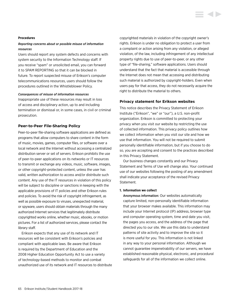#### **Procedures**

## *Reporting concerns about or possible misuse of information resources*

Users should report any system defects and concerns with system security to the Information Technology staff. If you receive "spam" or unsolicited email, you can forward it to SPAM REPORTING so that it can be blocked in future. To report suspected misuse of Erikson's computer telecommunications resources, users should follow the procedures outlined in the Whistleblower Policy.

#### *Consequences of misuse of information resources*

Inappropriate use of these resources may result in loss of access and disciplinary action, up to and including termination or dismissal or, in some cases, in civil or criminal prosecution.

#### **Peer-to-Peer File-Sharing Policy**

Peer-to-peer file-sharing software applications are defined as programs that allow computers to share content in the form of music, movies, games, computer files, or software over a local network and the Internet without accessing a centralized distribution server or set of servers. Erikson prohibits the use of peer-to-peer applications on its networks or IT resources to transmit or exchange any videos, music, software, images, or other copyright-protected content, unless the user has valid, written authorization to access and/or distribute such content. Any use of the IT resources in violation of this policy will be subject to discipline or sanctions in keeping with the applicable provisions of IT policies and other Erikson rules and policies. To avoid the risk of copyright infringement, as well as possible exposure to viruses, unexpected material, or spyware, users should obtain materials through the many authorized Internet services that legitimately distribute copyrighted works online, whether music, ebooks, or motion pictures. For a list of authorized services, please contact the library staff.

Erikson expects that any use of its network and IT resources will be consistent with Erikson's policies and compliant with applicable laws. Be aware that Erikson is required by the Department of Education and the 2008 Higher Education Opportunity Act to use a variety of technology-based methods to monitor and combat unauthorized use of its network and IT resources to distribute copyrighted materials in violation of the copyright owner's rights. Erikson is under no obligation to protect a user from a complaint or action arising from any violation, or alleged violation, of the law, including infringement of any intellectual property rights due to use of peer-to-peer, or any other type of "file-sharing," software applications. Users should understand that the fact that material is accessible through the Internet does not mean that accessing and distributing such material is authorized by copyright-holders. Even when users pay for that access, they do not necessarily acquire the right to distribute the material to others.

#### **Privacy statement for Erikson websites**

This notice describes the Privacy Statement of Erikson Institute ("Erikson", "we" or "our"), a U.S. non-profit organization. Erikson is committed to protecting your privacy when you visit our website by restricting the use of collected information. This privacy policy outlines how we collect information when you visit our site and how we use that information. You will not be required to submit personally identifiable information, but if you choose to do so, you are accepting and consent to the practices described in this Privacy Statement.

Our business changes constantly and our Privacy Statement and Terms of Use will change also. Your continued use of our websites following the posting of any amendment shall indicate your acceptance of the revised Privacy Statement.

#### **1. Information we collect**

Anonymous information: Our websites automatically capture limited, non-personally identifiable information that your browser makes available. This information may include your Internet protocol (IP) address, browser type and computer operating system, time and date you visit, the pages you access, and the address of the page that directed you to our site. We use this data to understand patterns of site activity and to improve the site so it is more useful for you. This information is not linked in any way to your personal information. Although we cannot guarantee impenetrability of our servers, we have established reasonable physical, electronic, and procedural safeguards for all of the information we collect online.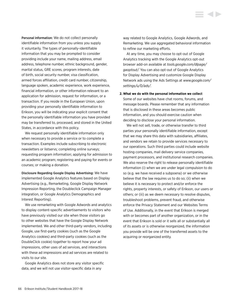Personal information: We do not collect personally identifiable information from you unless you supply it voluntarily. The types of personally-identifiable information that you may be prompted to consider providing include your name, mailing address, email address, telephone number, ethnic background, gender, marital status, GRE scores, program interests, date of birth, social security number, visa classification, armed forces affiliation, credit card number, citizenship, language spoken, academic experience, work experience, financial information, or other information relevant to an application for admission, request for information, or a transaction. If you reside in the European Union, upon providing your personally identifiable information to Erikson, you will be indicating your explicit consent that the personally identifiable information you have provided may be transferred to, processed, and stored in the United States, in accordance with this policy.

We request personally identifiable information only when necessary to provide a service or to complete a transaction. Examples include subscribing to electronic newsletters or listservs; completing online surveys; requesting program information; applying for admission to an academic program; registering and paying for events or courses; or making a donation.

Disclosure Regarding Google Display Advertising: We have implemented Google Analytics features based on Display Advertising (e.g., Remarketing, Google Display Network Impression Reporting, the Doubleclick Campaign Manager integration, or Google Analytics Demographics and Interest Reporting).

We use remarketing with Google Adwords and analytics to display content-specific advertisements to visitors who have previously visited our site when those visitors go to other websites that have the Google Display Network implemented. We and other third-party vendors, including Google, use first-party cookies (such as the Google Analytics cookies) and third-party cookies (such as the DoubleClick cookie) together to report how your ad impressions, other uses of ad services, and interactions with these ad impressions and ad services are related to visits to our site.

Google Analytics does not store any visitor specific data, and we will not use visitor-specific data in any

way related to Google Analytics, Google Adwords, and Remarketing. We use aggregated behavioral information to refine our marketing efforts.

At any time, you may choose to opt-out of Google Analytics tracking with the Google Analytics opt-out browser add-on available at *[tools.google.com/dlpage/](tools.google.com/dlpage/gaoptout) [gaoptout](tools.google.com/dlpage/gaoptout)/.* You can also opt-out of Google Analytics for Display Advertising and customize Google Display Network ads using the Ads Settings at *[www.google.com/](www.google.com/settings/u/0/ads) [settings/u/0/ads](www.google.com/settings/u/0/ads)/.*

#### **2. What we do with the personal information we collect**

Some of our websites have chat rooms, forums, and message boards. Please remember that any information that is disclosed in these areas becomes public information, and you should exercise caution when deciding to disclose your personal information.

We will not sell, trade, or otherwise transfer to third parties your personally identifiable information, except that we may share this data with subsidiaries, affiliates, and vendors we retain to provide services necessary to our operations. Such third parties could include website hosting companies, mail delivery service companies, payment processors, and institutional research companies. We also reserve the right to release personally identifiable information (i) when we are under legal compulsion to do so (e.g. we have received a subpoena) or we otherwise believe that the law requires us to do so; (ii) when we believe it is necessary to protect and/or enforce the rights, property interests, or safety of Erikson, our users or others; or (iii) as we deem necessary to resolve disputes, troubleshoot problems, prevent fraud, and otherwise enforce the Privacy Statement and our Websites Terms of Use. Additionally, in the event that Erikson is merged with or becomes part of another organization, or in the event that Erikson is sold or it sells all or substantially all of its assets or is otherwise reorganized, the information you provide will be one of the transferred assets to the acquiring or reorganized entity.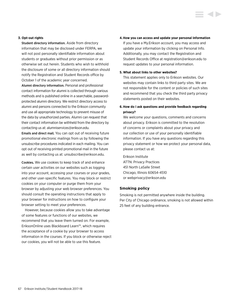### **3. Opt-out rights**

Student directory information. Aside from directory information that may be disclosed under FERPA, we will not post personally identifiable information about students or graduates without prior permission or as otherwise set out herein. Students who wish to withhold the disclosure of some or all directory information should notify the Registration and Student Records office by October 1 of the academic year concerned.

Alumni directory information. Personal and professional contact information for alumni is collected through various methods and is published online in a searchable, passwordprotected alumni directory. We restrict directory access to alumni and persons connected to the Erikson community and use all appropriate technology to prevent misuse of the data by unauthorized parties. Alumni can request that their contact information be withheld from the directory by contacting us at: alumniservices@erikson.edu.

Emails and direct mail*.* You can opt out of receiving future promotional electronic mailings from us by following the unsubscribe procedures indicated in each mailing. You can opt out of receiving printed promotional mail in the future as well by contacting us at: unsubscribe@erikson.edu.

Cookies*.* We use cookies to keep track of and enhance certain user activities on our websites such as logging into your account, accessing your courses or your grades, and other user-specific features. You may block or restrict cookies on your computer or purge them from your browser by adjusting your web browser preferences. You should consult the operating instructions that apply to your browser for instructions on how to configure your browser setting to meet your preferences.

However, because cookies allow you to take advantage of some features or functions of our websites, we recommend that you leave them turned on. For example, EriksonOnline uses Blackboard Learn™, which requires the acceptance of a cookie by your browser to access information in the courses. If you block or otherwise reject our cookies, you will not be able to use this feature.

#### **4.How you can access and update your personal information**

If you have a My.Erikson account, you may access and update your information by clicking on Personal Info. Additionally, you may contact the Registration and Student Records Office at registration@erikson.edu to request updates to your personal information.

#### **5. What about links to other websites?**

This statement applies only to Erikson websites. Our websites may contain links to third party sites. We are not responsible for the content or policies of such sites and recommend that you check the third party privacy statements posted on their websites.

## **6. How do I ask questions and provide feedback regarding privacy?**

We welcome your questions, comments and concerns about privacy. Erikson is committed to the resolution of concerns or complaints about your privacy and our collection or use of your personally identifiable information. If you have any questions regarding this privacy statement or how we protect your personal data, please contact us at:

Erikson Institute ATTN: Privacy Practices 451 North LaSalle Street Chicago, Illinois 60654-4510 or webprivacy@erikson.edu

#### **Smoking policy**

Smoking is not permitted anywhere inside the building. Per City of Chicago ordinance, smoking is not allowed within 25 feet of any building entrance.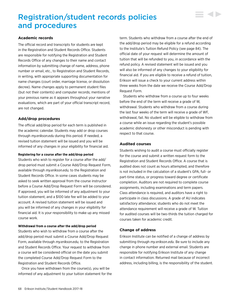# Registration/student records policies and procedures

## **Academic records**

The official record and transcripts for students are kept in the Registration and Student Records Office. Students are responsible for notifying the Registration and Student Records Office of any changes to their name and contact information by submitting change of name, address, phone number or email, etc., to Registration and Student Records, in writing, with appropriate supporting documentation for name changes (court order, marriage license, or dissolution decree). Name changes apply to permanent student files (but not their contents) and computer records; mentions of your previous name as it appears throughout your narrative evaluations, which are part of your official transcript record, are not changed.

## **Add/drop procedures**

The official add/drop period for each term is published in the academic calendar. Students may add or drop courses through *my.erikson.edu* during this period. If needed, a revised tuition statement will be issued and you will be informed of any changes in your eligibility for financial aid.

#### **Registering for a course after the add/drop period**

Students who wish to register for a course after the add/ drop period must submit a Course Add/Drop Request Form, available through *my.erikson.edu,* to the Registration and Student Records Office. In some cases students may be asked to seek written approval from the course instructor before a Course Add/Drop Request Form will be considered. If approved, you will be informed of any adjustment to your tuition statement, and a \$100 late fee will be added to your account. A revised tuition statement will be issued and you will be informed of any changes in your eligibility for financial aid. It is your responsibility to make up any missed course work.

#### **Withdrawal from a course after the add/drop period**

Students who wish to withdraw from a course after the add/drop period must submit a Course Add/Drop Request Form, available through *my.erikson.edu,* to the Registration and Student Records Office. Your request to withdraw from a course will be considered official on the date you submit the completed Course Add/Drop Request Form to the Registration and Student Records Office.

Once you have withdrawn from the course(s), you will be informed of any adjustment to your tuition statement for the term. Students who withdraw from a course after the end of the add/drop period may be eligible for a refund according to the Institute's Tuition Refund Policy (see page 84). The official date of your request will determine the amount of tuition that will be refunded to you, in accordance with the refund policy. A revised statement will be issued and you will also be informed of any changes to your eligibility for financial aid. If you are eligible to receive a refund of tuition, Erikson will issue a check to your current address within three weeks from the date we receive the Course Add/Drop Request Form.

▄▗▎▖

Students who withdraw from a course up to four weeks before the end of the term will receive a grade of W, withdrawal. Students who withdraw from a course during the last four weeks of the term will receive a grade of WF, withdrawal, fail. No student will be eligible to withdraw from a course while an issue regarding the student's possible academic dishonesty or other misconduct is pending with respect to that course.

## **Audited courses**

Students wishing to audit a course must officially register for the course and submit a written request form to the Registration and Student Records Office. A course that is audited does not count as hours attempted, and therefore is not included in the calculation of a student's GPA, full- or part-time status, or progress toward degree or certificate completion. Auditors are not required to complete course assignments, including examinations and term papers. Class attendance is required, and auditors have a right to participate in class discussions. A grade of AU indicates satisfactory attendance; students who do not meet the attendance requirement will receive a grade of W. Tuition for audited courses will be two-thirds the tuition charged for courses taken for academic credit.

## **Change of address**

Erikson Institute can be notified of a change of address by submitting through *my.erikson.edu*. Be sure to include any change in phone number and external email. Students are responsible for notifying Erikson Institute of any change in contact information. Returned mail because of incorrect address, including billing, is the responsibility of the student.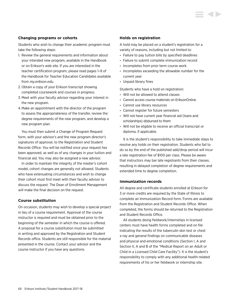## **Changing programs or cohorts**

Students who wish to change their academic program must take the following steps:

- 1. Review the general requirements and information about your intended new program, available in the Handbook or on Erikson's web site. If you are interested in the teacher certification program, please read pages 1–8 of the Handbook for Teacher Education Candidates available from *my.erikson.edu.*
- 2. Obtain a copy of your Erikson transcript showing completed coursework and courses in progress.
- 3. Meet with your faculty advisor regarding your interest in the new program.
- 4.Make an appointment with the director of the program to assess the appropriateness of the transfer, review the degree requirements of the new program, and develop a new program plan.

You must then submit a Change of Program Request form, with your advisor's and the new program director's signatures of approval, to the Registration and Student Records Office. You will be notified once your request has been approved, as well as of any changes in your tuition and financial aid. You may also be assigned a new advisor.

In order to maintain the integrity of the master's cohort model, cohort changes are generally not allowed. Students who have extenuating circumstances and wish to change their cohort must first meet with their faculty advisor to discuss the request. The Dean of Enrollment Management will make the final decision on the request.

## **Course substitution**

On occasion, students may wish to develop a special project in lieu of a course requirement. Approval of the course instructor is required and must be obtained prior to the beginning of the semester in which the course is offered. A proposal for a course substitution must be submitted in writing and approved by the Registration and Student Records office. Students are still responsible for the material presented in the course. Contact your advisor and the course instructor if you have any questions.

### **Holds on registration**

A hold may be placed on a student's registration for a variety of reasons, including but not limited to:

- Failure to pay tuition bills by specified deadlines
- Failure to submit complete immunization record
- Incompletes from prior term course work
- Incompletes exceeding the allowable number for the current year
- Unpaid library fines

Students who have a hold on registration:

- Will not be allowed to attend classes
- Cannot access course materials on EriksonOnline
- Cannot use library resources
- Cannot register for future semesters
- Will not have current year financial aid (loans and scholarships) disbursed to them
- Will not be eligible to receive an official transcript or diploma, if applicable.

It is the student's responsibility to take immediate steps to resolve any holds on their registration. Students who fail to do so by the end of the published add/drop period will incur a late registration fee of \$100 per class. Please be aware that instructors may bar late registrants from their classes, resulting in delayed completion of degree requirements and extended time to degree completion.

#### **Immunization records**

All degree and certificate students enrolled at Erikson for 3 or more credits are required by the State of Illinois to complete an Immunization Record form. Forms are available from the Registration and Student Records Office. When completed, the forms should be returned to the Registration and Student Records Office.

All students doing fieldwork/internships in licensed centers must have health forms completed and on file indicating the results of the tuberculin skin test or chest x-ray and general findings on communicable diseases and physical and emotional conditions (Section I, A and Section II, A and B of the "Medical Report on an Adult or Child in a Licensed Child Care Facility"). It is the student's responsibility to comply with any additional health-related requirements of his or her fieldwork or internship site.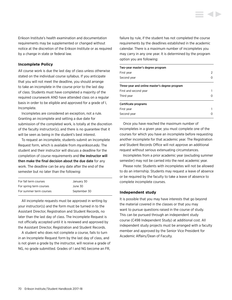Erikson Institute's health examination and documentation requirements may be supplemented or changed without notice at the discretion of the Erikson Institute or as required by a change in state or federal law.

## **Incomplete Policy**

All course work is due the last day of class unless otherwise stated on the individual course syllabus. If you anticipate that you will not meet the deadline, you should arrange to take an incomplete in the course prior to the last day of class. Students must have completed a majority of the required coursework AND have attended class on a regular basis in order to be eligible and approved for a grade of I, Incomplete.

Incompletes are considered an exception, not a rule. Granting an incomplete and setting a due date for submission of the completed work, is totally at the discretion of the faculty instructor(s), and there is no guarantee that it will be seen as being in the student's best interest.

To request an incomplete, students submit an Incomplete Request form, which is available from *my.erikson.edu*. The student and their instructor will discuss a deadline for the completion of course requirements and the instructor will then make the final decision about the due date for any work. The deadline can be any date after the end of the semester but no later than the following:

| For fall term courses   | January 30   |
|-------------------------|--------------|
| For spring term courses | June 30      |
| For summer term courses | September 30 |

All incomplete requests must be approved in writing by your instructor(s) and the form must be turned in to the Assistant Director, Registration and Student Records, no later than the last day of class. The Incomplete Request is not officially accepted until it is reviewed and approved by the Assistant Director, Registration and Student Records.

A student who does not complete a course, fails to turn in an Incomplete Request form by the last day of class, and is not given a grade by the instructor, will receive a grade of NG, no grade submitted. Grades of I and NG become an FR,

failure by rule, if the student has not completed the course requirements by the deadlines established in the academic calendar. There is a maximum number of incompletes you may carry in any one year. It is determined by the program option you are following:

| Two-year master's degree program              |   |  |
|-----------------------------------------------|---|--|
| First vear                                    | 2 |  |
| Second year                                   | 0 |  |
| Three-year and online master's degree program |   |  |
| First and second year                         |   |  |
| Third year                                    | O |  |
| Certificate programs                          |   |  |
| First vear                                    |   |  |
| Second year                                   |   |  |

Once you have reached the maximum number of incompletes in a given year, you must complete one of the courses for which you have an incomplete before requesting another incomplete for that academic year. The Registration and Student Records Office will not approve an additional request without serious extenuating circumstances.

Incompletes from a prior academic year (excluding summer semester) may not be carried into the next academic year.

Please note: Students with incompletes will not be allowed to do an internship. Students may request a leave of absence or be required by the faculty to take a leave of absence to complete incomplete courses.

#### **Independent study**

It is possible that you may have interests that go beyond the material covered in the classes or that you may want to pursue questions raised in the course of study. This can be pursued through an independent study course (C498 Independent Study) at additional cost. All independent study projects must be arranged with a faculty member and approved by the Senior Vice President for Academic Affairs/Dean of Faculty.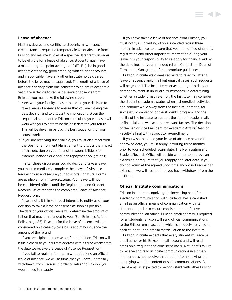#### **Leave of absence**

Master's degree and certificate students may, in special circumstances, request a temporary leave of absence from Erikson and resume studies at a specified later term. In order to be eligible for a leave of absence, students must have a minimum grade point average of 2.67 (B–), be in good academic standing, good standing with student accounts, and if applicable, have any other Institute holds cleared before the leave may be approved. The length of a leave of absence can vary from one semester to an entire academic year. If you decide to request a leave of absence from Erikson, you must take the following steps:

- 1. Meet with your faculty advisor to discuss your decision to take a leave of absence to ensure that you are making the best decision and to discuss the implications. Given the sequential nature of the Erikson curriculum, your advisor will work with you to determine the best date for your return. This will be driven in part by the best sequencing of your course work.
- 2. If you are receiving financial aid, you must also meet with the Dean of Enrollment Management to discuss the impact of this decision on your financial responsibilities (for example, balance due and loan repayment obligations).

If after these discussions you do decide to take a leave, you must immediately complete the Leave of Absence Request form and secure your advisor's signature. Forms are available from *my.erikson.edu*. Your leave will not be considered official until the Registration and Student Records Office receives the completed Leave of Absence Request form.

Please note: It is in your best interests to notify us of your decision to take a leave of absence as soon as possible. The date of your official leave will determine the amount of tuition that may be refunded to you. (See Erikson's Refund Policy, page 85). Reasons for the leave of absence will be considered on a case-by-case basis and may influence the amount of the refund.

If you are eligible to receive a refund of tuition, Erikson will issue a check to your current address within three weeks from the date we receive the Leave of Absence Request form.

If you fail to register for a term without taking an official leave of absence, we will assume that you have unofficially withdrawn from Erikson. In order to return to Erikson, you would need to reapply.

If you have taken a leave of absence from Erikson, you must notify us in writing of your intended return three months in advance, to ensure that you are notified of priority registration and other important information during your leave. It is your responsibility to re-apply for financial aid by the deadlines for your intended return. Contact the Dean of Enrollment Management for appropriate guidelines.

Erikson Institute welcomes requests to re-enroll after a leave of absence and, in all but unusual cases, such requests will be granted. The Institute reserves the right to deny or defer enrollment in unusual circumstances. In determining whether a student may re-enroll, the Institute may consider the student's academic status when last enrolled, activities and conduct while away from the Institute, potential for successful completion of the student's program, and the ability of the Institute to support the student academically or financially, as well as other relevant factors. The decision of the Senior Vice President for Academic Affairs/Dean of Faculty is final with respect to re-enrollment.

If you wish to extend your leave of absence beyond the approved date, you must apply in writing three months prior to your scheduled return date. The Registration and Student Records Office will decide whether to approve an extension or require that you reapply at a later date. If you do not return at the agreed upon time and do not request an extension, we will assume that you have withdrawn from the Institute.

## **Official Institute communications**

Erikson Institute, recognizing the increasing need for electronic communication with students, has established email as an official means of communication with its students. In order to ensure consistent and effective communication, an official Erikson email address is required for all students. Erikson will send official communications to the Erikson email account, which is uniquely assigned to each student upon official matriculation at the Institute.

Erikson Institute expects that every student will receive email at her or his Erikson email account and will read email on a frequent and consistent basis. A student's failure to receive and read Institute communications in a timely manner does not absolve that student from knowing and complying with the content of such communications. All use of email is expected to be consistent with other Erikson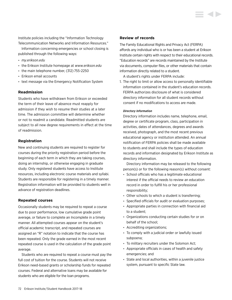Institute policies including the "Information Technology Telecommunication Networks and Information Resources."

Information concerning emergencies or school closing is published through the following ways:

- *my.erikson.edu*
- the Erikson Institute homepage at *<www.erikson.edu>*
- the main telephone number, (312) 755-2250
- Erikson email accounts
- text message via the Emergency Notification System

## **Readmission**

Students who have withdrawn from Erikson or exceeded the term of their leave of absence must reapply for admission if they wish to resume their studies at a later time. The admission committee will determine whether or not to readmit a candidate. Readmitted students are subject to all new degree requirements in effect at the time of readmission.

## **Registration**

New and continuing students are required to register for courses during the priority registration period before the beginning of each term in which they are taking courses, doing an internship, or otherwise engaging in graduate study. Only registered students have access to Institute resources, including electronic course materials and syllabi. Students are responsible for registering in a timely manner. Registration information will be provided to students well in advance of registration deadlines.

## **Repeated courses**

Occasionally students may be required to repeat a course due to poor performance, low cumulative grade point average, or failure to complete an Incomplete in a timely manner. All attempted courses appear on the student's official academic transcript, and repeated courses are assigned an "R" notation to indicate that the course has been repeated. Only the grade earned in the most recent repeated course is used in the calculation of the grade point average.

Students who are required to repeat a course must pay the full cost of tuition for the course. Students will not receive Erikson need-based grants or scholarship funds for repeated courses. Federal and alternative loans may be available for students who are eligible for the loan programs.

## **Review of records**

The Family Educational Rights and Privacy Act (FERPA) affords any individual who is or has been a student at Erikson Institute certain rights with respect to their educational records. "Education records" are records maintained by the Institute via documents, computer files, or other materials that contain information directly related to a student.

A student's rights under FERPA include:

1. The right to limit or allow access to personally identifiable information contained in the student's education records. FERPA authorizes disclosure of what is considered directory information for all student records without consent if no modifications to access are made.

#### *Directory Information*

Directory information includes name, telephone, email, degree or certificate program, class, participation in activities, dates of attendances, degrees and awards received, photograph, and the most recent previous educational agency or institution attended. An annual notification of FERPA policies shall be made available to students and shall include the types of education records and information designated by Erikson Institute as directory information.

 Directory information may be released to the following person(s) or for the following reason(s) without consent:

- School officials who has a legitimate educational interest if the official needs to review an education record in order to fulfill his or her professional responsibility;
- Other schools to which a student is transferring;
- Specified officials for audit or evaluation purposes;
- Appropriate parties in connection with financial aid to a student;
- Organizations conducting certain studies for or on behalf of the school;
- Accrediting organizations;
- To comply with a judicial order or lawfully issued subpoena;
- To military recruiters under the Solomon Act;
- Appropriate officials in cases of health and safety emergencies; and
- State and local authorities, within a juvenile justice system, pursuant to specific State law.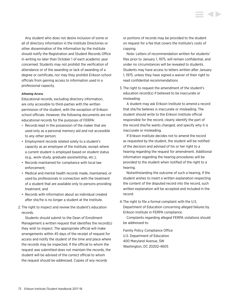Any student who does not desire inclusion of some or all of directory information in the Institute Directories or other dissemination of the information by the Institute should notify the Registration and Student Records Office in writing no later than October 1 of each academic year concerned. Students may not prohibit the verification of attendance or of the awarding or lack of awarding of a degree or certificate, nor may they prohibit Erikson school officials from gaining access to information used in a professional capacity.

### *Allowing Access*

Educational records, excluding directory information, are only accessible to third-parties with the written permission of the student, with the exception of Erikson school officials. However, the following documents are not educational records for the purposes of FERPA:

- Records kept in the possession of the maker that are used only as a personal memory aid and not accessible to any other person;
- Employment records related solely to a student's capacity as an employee of the Institute, except where a current student is employed based on student status (e.g., work-study, graduate assistantship, etc.);
- Records maintained for compliance with local law enforcement;
- Medical and mental health records made, maintained, or used by professionals in connection with the treatment of a student that are available only to persons providing treatment; and
- Records with information about an individual created after she/he is no longer a student at the Institute.
- 2. The right to inspect and review the student's education records.

 Students should submit to the Dean of Enrollment Management a written request that identifies the record(s) they wish to inspect. The appropriate official will make arrangements within 45 days of the receipt of request for access and notify the student of the time and place where the records may be inspected. If the official to whom the request was submitted does not maintain the records, the student will be advised of the correct official to whom the request should be addressed. Copies of any records

or portions of records may be provided to the student on request for a fee that covers the Institute's costs of copying.

 Note: Letters of recommendation written for students' files prior to January 1, 1975, will remain confidential, and under no circumstances will be revealed to students. Students may have access to letters written after January 1, 1975, unless they have signed a waiver of their right to read confidential recommendations

3. The right to request the amendment of the student's education record(s) if believed to be inaccurate or misleading.

 A student may ask Erikson Institute to amend a record that she/he believes is inaccurate or misleading. The student should write to the Erikson Institute official responsible for the record, clearly identify the part of the record she/he wants changed, and specify why it is inaccurate or misleading.

 If Erikson Institute decides not to amend the record as requested by the student, the student will be notified of the decision and advised of his or her right to a hearing regarding the request for amendment. Additional information regarding the hearing procedures will be provided to the student when notified of the right to a hearing.

 Notwithstanding the outcome of such a hearing, if the student wishes to insert a written explanation respecting the content of the disputed record into the record, such written explanation will be accepted and included in the record.

4. The right to file a formal complaint with the U.S. Department of Education concerning alleged failures by Erikson Institute in FERPA compliance.

 Complaints regarding alleged FERPA violations should be addressed to:

Family Policy Compliance Office U.S. Department of Education 400 Maryland Avenue, SW Washington, DC 20202-4605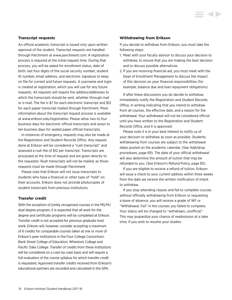## **Transcript requests**

An official academic transcript is issued only upon written approval of the student. Transcript requests are handled through Parchment at *<www.parchment.com>*. A registration process is required at the initial request time. During that process, you will be asked for enrollment status, date of birth, last four digits of the social security number, student ID number, email address, and electronic signature to keep on file for current and future requests. A username and login is created at registration, which you will use for any future requests. All requests will require the address/addresses to which the transcripts should be sent, whether through mail or e-mail. The fee is \$7 for each electronic transcript and \$12 for each paper transcript mailed through Parchment. More information about the transcript request process is available at *<www.erikson.edu/registration>*. Please allow two to four business days for electronic official transcripts and seven to ten business days for sealed paper official transcripts.

In instances of emergency, requests may also be made at the Registration and Student Records Office. Any request done at Erikson will be considered a "rush transcript" and assessed a rush fee of \$12 per transcript. Transcripts are processed at the time of request and are given directly to the requestor. Rush transcripts will not be mailed, as those requests must be made through Parchment.

Please note that Erikson will not issue transcripts to students who have a financial or other type of "hold" on their accounts. Erikson does not provide photocopies of student transcripts from previous institutions.

## **Transfer credit**

With the exception of jointly recognized courses in the MS/MJ dual degree program, it is expected that all work for the degree and certificate programs will be completed at Erikson. Transfer credit is not accepted for previous graduate level work. Erikson will, however, consider accepting a maximum of 6 credits for comparable courses taken at one or more of Erikson's peer institutions in the Four College Consortium: Bank Street College of Education, Wheelock College and Pacific Oaks College. Transfer of credits from these institutions will be considered on a case-by-case basis and will require a full evaluation of the course syllabus for which transfer credit is requested. Approved transfer credits received from Erikson's educational partners are recorded and calculated in the GPA.

#### **Withdrawing from Erikson**

If you decide to withdraw from Erikson, you must take the following steps:

- 1. Meet with your faculty advisor to discuss your decision to withdraw, to ensure that you are making the best decision and to discuss possible alternatives.
- 2. If you are receiving financial aid, you must meet with the Dean of Enrollment Management to discuss the impact of this decision on your financial responsibilities (for example, balance due and loan repayment obligations)

If after these discussions you do decide to withdraw, immediately notify the Registration and Student Records Office, in writing indicating that you intend to withdraw from all courses, the effective date, and a reason for the withdrawal. Your withdrawal will not be considered official until you have written to the Registration and Student Records Office, and it is approved.

Please note it is in your best interest to notify us of your decision to withdraw as soon as possible. Students withdrawing from courses are subject to the withdrawal dates posted on the academic calendar. (See Add/drop procedures, page 69). The date of your official withdrawal will also determine the amount of tuition that may be refunded to you. (See Erikson's Refund Policy, page 85).

If you are eligible to receive a refund of tuition, Erikson will issue a check to your current address within three weeks from the date we receive the written notification of intent to withdraw.

If you stop attending classes and fail to complete courses without officially withdrawing from Erikson or requesting a leave of absence, you will receive a grade of WF or "Withdrawal, Fail" in the courses you failed to complete. Your status will be changed to "withdrawn, unofficial." This may jeopardize your chance of readmission at a later time, if you wish to resume your studies.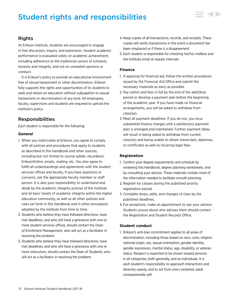# Student rights and responsibilities



## Rights

At Erikson Institute, students are encouraged to engage in free discussion, inquiry, and expression. Student academic performance is evaluated solely on academic achievement, including adherence to the traditional canons of scholarly honesty and integrity, and not on unrelated opinions or conduct.

It is Erikson's policy to provide an educational environment free of sexual harassment or other discrimination. Erikson fully supports the rights and opportunities of its students to seek and obtain an education without subjugation to sexual harassment or discrimination of any kind. All employees, faculty, supervisors and students are required to uphold the Institute's policy.

## Responsibilities

Each student is responsible for the following:

## **General**

- 1. When you matriculate at Erikson, you agree to comply with all policies and procedures that apply to students as described in this Handbook and other sources, including but not limited to course syllabi, *my.erikson*, EriksonOnline, emails, mailing, etc. You also agree to fulfill all understandings and agreements with the student services offices and faculty. If you have questions or concerns, ask the appropriate faculty member or staff person. It is also your responsibility to understand and abide by the academic integrity policies of the Institute and all basic tenets of academic integrity within the higher education community, as well as all other policies and rules set forth in this Handbook and in other procedures adopted by the Institute from time to time.
- 2. Students who believe they have followed directions, have met deadlines, and who still have a grievance with one or more student services offices, should contact the Dean of Enrollment Management, who will act as a facilitator in resolving the problem.
- 3. Students who believe they have followed directions, have met deadlines, and who still have a grievance with one or more instructors, should contact the Dean of Students, who will act as a facilitator in resolving the problem.
- 4. Keep copies of all transactions, records, and receipts. These copies will verify transactions in the event a document has been misplaced or if there is a disagreement.
- 5. Each student is responsible for checking her/his mailbox and the Institute email at regular intervals.

## **Finance**

- 1. If applying for financial aid, follow the written procedures issued by the Financial Aid Office and submit the necessary materials as early as possible.
- 2. Pay tuition and fees in full by the end of the add/drop period or develop a payment plan before the beginning of the academic year. If you have made no financial arrangements, you will be asked to withdraw from class(es).
- 3. Meet all payment deadlines. If you do not, you incur substantial finance charges until a satisfactory payment plan is arranged and maintained. Further payment delay will result in being asked to withdraw from current class(es) and being unable to obtain transcripts, diplomas, or certificates as well as incurring legal fees.

## **Registration**

- 1. Confirm your degree requirements and schedule by reviewing this Handbook, degree planning worksheets, and by consulting your advisor. These materials contain most of the information needed to facilitate smooth planning.
- 2. Register for classes during the published priority registration period.
- 3. Complete drops, adds, and changes of class by the published deadlines.
- 4. For exceptions, make an appointment to see your advisor. Students unsure about who advises them should contact the Registration and Student Records Office.

## **Student conduct**

1. Erikson's anti-bias commitment applies to all areas of discrimination, including those based on race, color, religion, national origin, sex, sexual orientation, gender identity, gender expression, marital status, age, disability, or veteran status. Respect is expected to be shown toward persons in all categories, both generally, and as individuals. It is each student's responsibility to approach interactions and diversity openly, and to act from one's centered, adult compassionate self.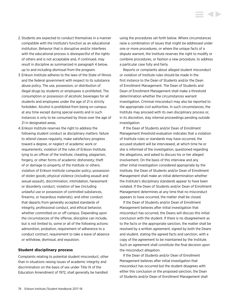- 2. Students are expected to conduct themselves in a manner compatible with the Institute's function as an educational institution. Behavior that is disruptive and/or interferes with the educational process is disrespectful of the rights of others and is not acceptable and, if continued, may result in discipline as summarized in paragraph 4 below, up to and including dismissal from the program.
- 3. Erikson Institute adheres to the laws of the State of Illinois and the federal government with respect to its substance abuse policy. The use, possession, or distribution of illegal drugs by students or employees is prohibited. The consumption or possession of alcoholic beverages for all students and employees under the age of 21 is strictly forbidden. Alcohol is prohibited from being on-campus at any time except during special events and in such instances is only to be consumed by those over the age of 21 in designated areas.
- 4. Erikson Institute reserves the right to address the following student conduct as disciplinary matters: failure to attend classes regularly, make satisfactory progress toward a degree, or neglect of academic work or requirements; violation of the rules of Erikson Institute; lying to an officer of the Institute; cheating, plagiarism, forgery, or other forms of academic dishonesty; theft of or damage to property of the Institute or others; violation of Erikson Institute computer policy; possession of stolen goods; physical violence (including assault and sexual assault), discrimination, intimidation, harassment or disorderly conduct; violation of law (including unlawful use or possession of controlled substances, firearms, or hazardous materials); and other conduct that departs from generally accepted standards of integrity, professional conduct, and ethical behavior, whether committed on or off campus. Depending upon the circumstances of the offense, discipline can include, but is not limited to, some or all of the following actions: admonition, probation, requirement of adherence to a conduct contract, requirement to take a leave of absence or withdraw, dismissal, and expulsion.

### **Student disciplinary process**

Complaints relating to potential student misconduct, other than in situations raising issues of academic integrity and discrimination on the basis of sex under Title IX of the Education Amendment of 1972, shall generally be handled

using the procedures set forth below. Where circumstances raise a combination of issues that might be addressed under one or more procedures, or where the unique facts of a dispute warrant, the Institute reserves the right to modify or combine procedures, or fashion a new procedure, to address a particular case fully and fairly.

**KID** 

Reports or complaints about alleged student misconduct or violation of Institute rules should be made in the first instance to the Dean of Students and/or the Dean of Enrollment Management. The Dean of Students and Dean of Enrollment Management shall make a threshold determination whether the circumstances warrant investigation. Criminal misconduct may also be reported to the appropriate civil authorities. In such circumstances, the Institute may proceed with its own disciplinary process or, in its discretion, stay internal proceedings pending outside investigation.

If the Dean of Students and/or Dean of Enrollment Management threshold evaluation indicates that a violation of Institute rules or standards may have occurred, the accused student will be interviewed, at which time he or she is informed of the investigation, questioned regarding the allegations, and asked to discuss his or her alleged involvement. On the basis of this interview and any other initial investigation considered appropriate by the Institute, the Dean of Students and/or Dean of Enrollment Management shall make an initial determination whether the Institute's disciplinary standards appear to have been violated. If the Dean of Students and/or Dean of Enrollment Management determines at any time that no misconduct appears to have occurred, the matter shall be closed.

If the Dean of Students and/or Dean of Enrollment Management believes after initial investigation that misconduct has occurred, the Deans will discuss this initial conclusion with the student. If there is no disagreement as to the facts or the appropriate sanction, the matter shall be resolved by a written agreement, signed by both the Deans and student, stating the agreed facts and sanction, with a copy of the agreement to be maintained by the Institute. Such an agreement shall constitute the final decision upon the misconduct allegation.

If the Dean of Students and/or Dean of Enrollment Management believes after initial investigation that misconduct has occurred but the student disagrees with either this conclusion or the proposed sanction, the Dean of Students and/or Dean of Enrollment Management shall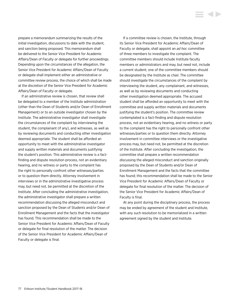prepare a memorandum summarizing the results of the initial investigation, discussions to date with the student, and sanction being proposed. This memorandum shall be delivered to the Senior Vice President for Academic Affairs/Dean of Faculty or delegate for further proceedings. Depending upon the circumstances of the allegation, the Senior Vice President for Academic Affairs/Dean of Faculty or delegate shall implement either an administrative or committee review process, the choice of which shall be made at the discretion of the Senior Vice President for Academic Affairs/Dean of Faculty or delegate.

If an administrative review is chosen, that review shall be delegated to a member of the Institute administration (other than the Dean of Students and/or Dean of Enrollment Management) or to an outside investigator chosen by the Institute. The administrative investigator shall investigate the circumstances of the complaint by interviewing the student, the complainant (if any), and witnesses, as well as by reviewing documents and conducting other investigation deemed appropriate. The student shall be afforded an opportunity to meet with the administrative investigator and supply written materials and documents justifying the student's position. This administrative review is a factfinding and dispute resolution process, not an evidentiary hearing, and no witness or party to the complaint has the right to personally confront other witnesses/parties or to question them directly. Attorney involvement in interviews or in the administrative investigative process may, but need not, be permitted at the discretion of the Institute. After concluding the administrative investigation, the administrative investigator shall prepare a written recommendation discussing the alleged misconduct and sanction proposed by the Dean of Students and/or Dean of Enrollment Management and the facts that the investigator has found. This recommendation shall be made to the Senior Vice President for Academic Affairs/Dean of Faculty or delegate for final resolution of the matter. The decision of the Senior Vice President for Academic Affairs/Dean of Faculty or delegate is final.

If a committee review is chosen, the Institute, through its Senior Vice President for Academic Affairs/Dean of Faculty or delegate, shall appoint an *ad hoc* committee of three members to investigate the complaint. The committee members should include Institute faculty members or administrators and may, but need not, include a current student; one of the committee members should be designated by the Institute as chair. The committee should investigate the circumstances of the complaint by interviewing the student, any complainant, and witnesses, as well as by reviewing documents and conducting other investigation deemed appropriate. The accused student shall be afforded an opportunity to meet with the committee and supply written materials and documents justifying the student's position. The committee review contemplated is a fact-finding and dispute resolution process, not an evidentiary hearing, and no witness or party to the complaint has the right to personally confront other witnesses/parties or to question them directly. Attorney involvement in committee interviews or the investigative process may, but need not, be permitted at the discretion of the Institute. After concluding the investigation, the committee shall prepare a written recommendation discussing the alleged misconduct and sanction originally proposed by the Dean of Students and/or Dean of Enrollment Management and the facts that the committee has found; this recommendation shall be made to the Senior Vice President for Academic Affairs/Dean of Faculty or delegate for final resolution of the matter. The decision of the Senior Vice President for Academic Affairs/Dean of Faculty is final.

At any point during the disciplinary process, the process may be ended by agreement of the student and Institute, with any such resolution to be memorialized in a written agreement signed by the student and Institute.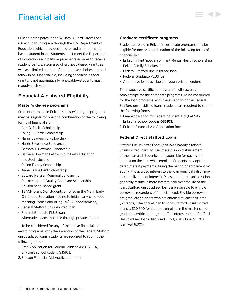# Financial aid

Erikson participates in the William D. Ford Direct Loan (Direct Loan) program through the U.S. Department of Education, which provides need-based and non-needbased student loans. Students must meet the Department of Education's eligibility requirements in order to receive student loans. Erikson also offers need-based grants as well as a limited number of competitive scholarships and fellowships. Financial aid, including scholarships and grants, is not automatically renewable—students must reapply each year.

## Financial Aid Award Eligibility

## **Master's degree programs**

Students enrolled in Erikson's master's degree programs may be eligible for one or a combination of the following forms of financial aid:

- Cari B. Sacks Scholarship
- Irving B. Harris Scholarship
- Harris Leadership Fellowship
- Harris Excellence Scholarship
- Barbara T. Bowman Scholarship
- Barbara Bowman Fellowship in Early Education and Social Justice
- Pelino Family Scholarship
- Anne Searle Bent Scholarship
- Edward Neisser Memorial Scholarship
- Partnership for Quality Childcare Scholarship
- Erikson need-based grant
- TEACH Grant (for students enrolled in the MS in Early Childhood Education leading to initial early childhood teaching license and bilingual/ESL endorsement)
- Federal Stafford unsubsidized loan
- Federal Graduate PLUS loan
- Alternative loans available through private lenders

To be considered for any of the above financial aid award programs, with the exception of the Federal Stafford unsubsidized loans, students are required to submit the following forms:

- 1. Free Application for Federal Student Aid (FAFSA). Erikson's school code is G35103.
- 2. Erikson Financial Aid Application form

## **Graduate certificate programs**

Student enrolled in Erikson's certificate programs may be eligible for one or a combination of the following forms of financial aid:

- Erikson Infant Specialist/Infant Mental Health scholarships
- Pelino Family Scholarships
- Federal Stafford unsubsidized loan
- Federal Graduate PLUS loan
- Alternative loans available through private lenders

The respective certificate program faculty awards scholarships for the certificate programs. To be considered for the loan programs, with the exception of the Federal Stafford unsubsidized loans, students are required to submit the following forms:

- 1. Free Application for Federal Student Aid (FAFSA). Erikson's school code is **G35103.**
- 2. Erikson Financial Aid Application form

## **Federal Direct Stafford Loans**

Stafford Unsubsidized Loans (non-need based): Stafford unsubsidized loans accrue interest upon disbursement of the loan and students are responsible for paying the interest on the loan while enrolled. Students may opt to defer interest payments during the period of enrollment by adding the accrued interest to the loan principal (also known as capitalization of interest). Please note that capitalization generally results in more interest paid over the life of the loan. Stafford unsubsidized loans are available to eligible borrowers regardless of financial need. Eligible borrowers are graduate students who are enrolled at least half-time (3 credits). The annual loan limit on Stafford unsubsidized loans is \$20,500 for students enrolled in the master's and graduate certificate programs. The interest rate on Stafford Unsubsidized loans disbursed July 1, 2017–June 30, 2018 is a fixed 6.00%.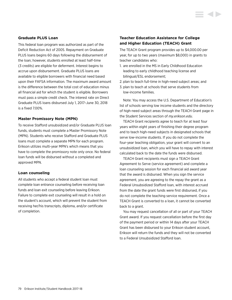## **Graduate PLUS Loan**

This federal loan program was authorized as part of the Deficit Reduction Act of 2005. Repayment on Graduate PLUS loans begins 60 days following the disbursement of the loan; however, students enrolled at least half-time (3 credits) are eligible for deferment. Interest begins to accrue upon disbursement. Graduate PLUS loans are available to eligible borrowers with financial need based upon their FAFSA information. The maximum award amount is the difference between the total cost of education minus all financial aid for which the student is eligible. Borrowers must pass a simple credit check. The interest rate on Direct Graduate PLUS loans disbursed July 1, 2017–June 30, 2018 is a fixed 7.00%.

## **Master Promissory Note (MPN)**

To receive Stafford unsubsidized and/or Graduate PLUS loan funds, students must complete a Master Promissory Note (MPN). Students who receive Stafford and Graduate PLUS loans must complete a separate MPN for each program. Erikson utilizes multi-year MPN's which means that you have to complete the promissory note only once. No federal loan funds will be disbursed without a completed and approved MPN.

#### **Loan counseling**

All students who accept a federal student loan must complete loan entrance counseling before receiving loan funds and loan exit counseling before leaving Erikson. Failure to complete exit counseling will result in a hold on the student's account, which will prevent the student from receiving her/his transcripts, diploma, and/or certificate of completion.

## **Teacher Education Assistance for College and Higher Education (TEACH) Grant**

The TEACH Grant program provides up to \$4,000.00 per year, for up to two years (maximum \$8,000) in grants to teacher candidates who:

- 1. are enrolled in the MS in Early Childhood Education leading to early childhood teaching license and bilingual/ESL endorsement;
- 2. plan to teach full-time in high-need subject areas; and
- 3. plan to teach at schools that serve students from low-income families.

Note: You may access the U.S. Department of Education's list of schools serving low income students and the directory of high-need subject areas through the TEACH Grant page in the Student Services section of *my.erikson.edu*.

TEACH Grant recipients agree to teach for at least four years within eight years of finishing their degree program and to teach high-need subjects in designated schools that serve low-income students. If you do not complete the four-year teaching obligation, your grant will convert to an unsubsidized loan, which you will have to repay with interest calculated back to the date the funds were disbursed.

TEACH Grant recipients must sign a TEACH Grant Agreement to Serve (service agreement) and complete a loan counseling session for each financial aid award year that the award is disbursed. When you sign the service agreement, you are agreeing to the repay the grant as a Federal Unsubsidized Stafford loan, with interest accrued from the date the grant funds were first disbursed, if you do not complete the teaching service requirement. Once a TEACH Grant is converted to a loan, it cannot be converted back to a grant.

You may request cancellation of all or part of your TEACH Grant award. If you request cancellation before the first day of the payment period or within 14 days after your TEACH Grant has been disbursed to your Erikson student account, Erikson will return the funds and they will not be converted to a Federal Unsubsidized Stafford loan.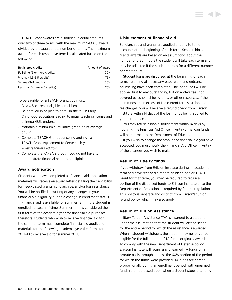TEACH Grant awards are disbursed in equal amounts over two or three terms, with the maximum \$4,000 award divided by the appropriate number of terms. The maximum award for each respective term is calculated based on the following:

| <b>Registered credits</b>                  | Amount of award |
|--------------------------------------------|-----------------|
| Full-time (6 or more credits)              | 100%            |
| 3/ <sub>4</sub> -time (4.5–5.5 credits)    | 75%             |
| $\frac{1}{2}$ -time (3–4 credits)          | 50%             |
| Less than $\frac{1}{2}$ -time (<3 credits) | 25%             |

To be eligible for a TEACH Grant, you must:

- Be a U.S. citizen or eligible non-citizen
- Be enrolled in or plan to enroll in the MS in Early Childhood Education leading to initial teaching license and bilingual/ESL endorsement
- Maintain a minimum cumulative grade point average of 3.25
- Complete TEACH Grant counseling and sign a TEACH Grant Agreement to Serve each year at *<www.teach-ats.ed.gov>*
- Complete the FAFSA although you do not have to demonstrate financial need to be eligible

## **Award notification**

Students who have completed all financial aid application materials will receive an award letter detailing their eligibility for need-based grants, scholarships, and/or loan assistance. You will be notified in writing of any changes in your financial aid eligibility due to a change in enrollment status.

Financial aid is available for summer term if the student is enrolled at least half-time. Summer term is considered the first term of the academic year for financial aid purposes; therefore, students who wish to receive financial aid for the summer term must complete financial aid application materials for the following academic year (i.e. forms for 2017–18 to receive aid for summer 2017).

## **Disbursement of financial aid**

Scholarships and grants are applied directly to tuition accounts at the beginning of each term. Scholarship and grants awards are based on an assumption about the number of credit hours the student will take each term and may be adjusted if the student enrolls for a different number of credit hours.

Student loans are disbursed at the beginning of each term, assuming all necessary paperwork and entrance counseling have been completed. The loan funds will be applied first to any outstanding tuition and/or fees not covered by scholarships, grants, or other resources. If the loan funds are in excess of the current term's tuition and fee charges, you will receive a refund check from Erikson Institute within 14 days of the loan funds being applied to your tuition account.

You may refuse a loan disbursement within 14 days by notifying the Financial Aid Office in writing. The loan funds will be returned to the Department of Education.

If you wish to change the amount of financial aid you have accepted, you must notify the Financial Aid Office in writing of the changes you wish to make.

## **Return of Title IV funds**

If you withdraw from Erikson Institute during an academic term and have received a federal student loan or TEACH Grant for that term, you may be required to return a portion of the disbursed funds to Erikson Institute or to the Department of Education as required by federal regulation. This policy is separate and distinct from Erikson's tuition refund policy, which may also apply.

## **Return of Tuition Assistance**

Military Tuition Assistance (TA) is awarded to a student under the assumption that the student will attend school for the entire period for which the assistance is awarded. When a student withdraws, the student may no longer be eligible for the full amount of TA funds originally awarded. To comply with the new Department of Defense policy, Erikson Institute will return any unearned TA funds on a prorate basis through at least the 60% portion of the period for which the funds were provided. TA funds are earned proportionally during an enrollment period, with unearned funds returned based upon when a student stops attending.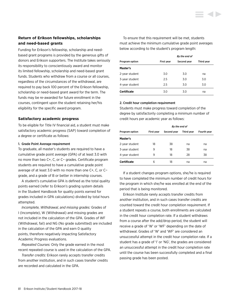## **Return of Erikson fellowships, scholarships and need-based grants**

Funding for Erikson's fellowship, scholarship and needbased grant programs is provided by the generous gifts of donors and Erikson supporters. The Institute takes seriously its responsibility to conscientiously award and monitor its limited fellowship, scholarship and need-based grant funds. Students who withdraw from a course or all courses, regardless of the circumstances of the withdrawal, are required to pay back 100 percent of the Erikson fellowship, scholarship or need-based grant award for the term. The funds may be re-awarded for future enrollment in the courses, contingent upon the student retaining her/his eligibility for the specific award program.

## **Satisfactory academic progress**

To be eligible for Title IV financial aid, a student must make satisfactory academic progress (SAP) toward completion of a degree or certificate as follows:

#### 1. Grade Point Average requirement

To graduate, all master's students are required to have a cumulative grade point average (GPA) of at least 3.0 with no more than two C+, C, or C− grades. Certificate program students are required to have a cumulative grade point average of at least 3.0 with no more than one C+, C, or C− grade, and a grade of B or better in internship courses.

A student's cumulative GPA is defined as the total quality points earned (refer to Erikson's grading system details in the Student Handbook for quality points earned for grades included in GPA calculations) divided by total hours attempted.

*Incomplete, Withdrawal, and missing grades:* Grades of I (Incomplete), W (Withdrawal) and missing grades are not included in the calculation of the GPA. Grades of WF (Withdrawal, fail) and NG (No grade submitted) are included in the calculation of the GPA and earn 0 quality points, therefore negatively impacting Satisfactory Academic Progress evaluations.

*Repeated Courses:* Only the grade earned in the most recent repeated course is used in the calculation of the GPA.

*Transfer credits:* Erikson rarely accepts transfer credits from another institution, and in such cases transfer credits are recorded and calculated in the GPA.

To ensure that this requirement will be met, students must achieve the minimum cumulative grade point averages below according to the student's program length:

|                    | By the end of     |             |            |
|--------------------|-------------------|-------------|------------|
| Program option     | <b>First year</b> | Second year | Third year |
| Master's           |                   |             |            |
| 2-year student     | 3.0               | 3.0         | na         |
| 3-year student     | 2.5               | 3.0         | 3.0        |
| 4-year student     | 2.5               | 3.0         | 3.0        |
| <b>Certificate</b> | 3.0               | 3.0         | na         |

#### 2. Credit hour completion requirement

Students must make progress toward completion of the degree by satisfactorily completing a minimum number of credit hours per academic year as follows:

|                       | By the end of |             |            |             |
|-----------------------|---------------|-------------|------------|-------------|
| <b>Program option</b> | First year    | Second year | Third year | Fourth year |
| Master's              |               |             |            |             |
| 2-year student        | 18            | 38          | na         | na          |
| 3-year student        | 9             | 18          | 38         | na          |
| 4-year student        | 9             | 18          | 28         | 38          |
| <b>Certificate</b>    | 6             | 18          | na         | na          |

If a student changes program options, she/he is required to have completed the minimum number of credit hours for the program in which she/he was enrolled at the end of the period that is being monitored.

Erikson Institute rarely accepts transfer credits from another institution, and in such cases transfer credits are counted toward the credit hour completion requirement. If a student repeats a course, both enrollments are calculated in the credit hour completion rate. If a student withdraws from a course after the add/drop period, the student will receive a grade of 'W' or 'WF' depending on the date of withdrawal. Grades of 'W' and 'WF' are considered an unsuccessful attempt in the credit hour completion rate. If a student has a grade of 'I' or 'NG', the grades are considered an unsuccessful attempt in the credit hour completion rate until the course has been successfully completed and a final passing grade has been posted.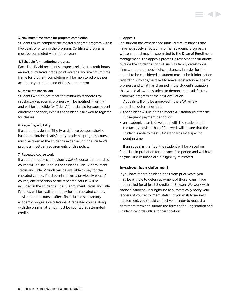### 3. Maximum time frame for program completion

Students must complete the master's degree program within five years of entering the program. Certificate programs must be completed within three years.

## 4. Schedule for monitoring progress

Each Title IV aid recipient's progress relative to credit hours earned, cumulative grade point average and maximum time frame for program completion will be monitored once per academic year at the end of the summer term.

## 5. Denial of financial aid

Students who do not meet the minimum standards for satisfactory academic progress will be notified in writing and will be ineligible for Title IV financial aid for subsequent enrollment periods, even if the student is allowed to register for classes.

## 6. Regaining eligibility

If a student is denied Title IV assistance because she/he has not maintained satisfactory academic progress, courses must be taken at the student's expense until the student's progress meets all requirements of this policy.

## 7. Repeated course work

If a student retakes a previously *failed* course, the repeated course will be included in the student's Title IV enrollment status and Title IV funds will be available to pay for the repeated course. If a student retakes a previously *passed* course, one repetition of the repeated course will be included in the student's Title IV enrollment status and Title IV funds will be available to pay for the repeated course.

All repeated courses affect financial aid satisfactory academic progress calculations. A repeated course along with the original attempt must be counted as attempted credits.

### 8. Appeals

If a student has experienced unusual circumstances that have negatively affected his or her academic progress, a written appeal may be submitted to the Dean of Enrollment Management. The appeals process is reserved for situations outside the student's control, such as family catastrophe, illness, and other special circumstances. In order for the appeal to be considered, a student must submit information regarding why she/he failed to make satisfactory academic progress and what has changed in the student's situation that would allow the student to demonstrate satisfactory academic progress at the next evaluation.

Appeals will only be approved if the SAP review committee determines that:

- the student will be able to meet SAP standards after the subsequent payment period; or
- an academic plan is developed with the student and the faculty advisor that, if followed, will ensure that the student is able to meet SAP standards by a specific point in time.

If an appeal is granted, the student will be placed on financial aid probation for the specified period and will have her/his Title IV financial aid eligibility reinstated.

## **In-school loan deferment**

If you have federal student loans from prior years, you may be eligible to defer repayment of those loans if you are enrolled for at least 3 credits at Erikson. We work with National Student Clearinghouse to automatically notify your lenders of your enrollment status. If you wish to request a deferment, you should contact your lender to request a deferment form and submit the form to the Registration and Student Records Office for certification.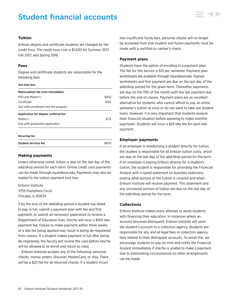# Student financial accounts



## **Tuition**

Erikson degree and certificate students are charged by the credit hour. The credit hour cost is \$1,030 for Summer 2017, Fall 2017, and Spring 2018.

## **Fees**

Degree and certificate students are responsible for the following fees.

## *One time fees*

| Matriculation fee (non-refundable)   |       |
|--------------------------------------|-------|
| PhD and Master's                     | \$200 |
| Certificate                          | \$150 |
| Due with enrollment into the program |       |
| Application for degree conferral fee |       |
| Master's                             | \$175 |
| Due with graduation application      |       |
|                                      |       |

#### *Recurring fee*

| <b>Student services fee</b> | \$600 |
|-----------------------------|-------|
|                             |       |

### **Making payments**

Unless otherwise noted, tuition is due on the last day of the add/drop period for each term. Online credit card payments can be made through *my.erikson.edu*. Payments may also be mailed to the tuition payment lock box:

Erikson Institute 3755 Paysphere Circle Chicago, IL 60674

If by the end of the add/drop period a student has failed to pay in full, submit a payment plan with fee and first payment, or submit all necessary paperwork to receive a Department of Education loan, she/he will incur a \$100 late payment fee. Failure to make payment within three weeks of a late fee being applied may result in being de-registered from classes. If a student makes payment in full after being de-registered, the faculty will review the case before she/he will be allowed to re-enroll and return to class.

Erikson Institute accepts any of the following: personal checks, money orders, Discover, MasterCard, or Visa. There will be a \$25 fee for all returned checks. If a student incurs

two insufficient funds fees, personal checks will no longer be accepted from that student and future payments must be made with a certified or cashier's check.

## **Payment plans**

Students have the option of enrolling in a payment plan. The fee for this service is \$15 per semester. Payment plan worksheets are available through *my.erikson.edu*. Signed worksheets and first payment are due on the last day of the add/drop period for the given term. Thereafter, payments are due on the 15th of the month with the last payment due before the end of classes. Payment plans are an excellent alternative for students who cannot afford to pay an entire semester's tuition at once or do not want to take out student loans. However, it is very important that students analyze their financial situation before agreeing to make monthly payments. Students will incur a \$25 late fee for each late payment.

### **Employer payments**

If an employer is reimbursing a student directly for tuition, the student is responsible for all Erikson tuition costs, which are due on the last day of the add/drop period for the term. If an employer is paying Erikson directly for a student's tuition, the student is responsible for providing the Financial Analyst with a typed statement on business stationery stating what portion of the tuition is covered and when Erikson Institute will receive payment. This statement and any uncovered portion of tuition are due on the last day of the add/drop period for the term.

## **Collections**

Erikson Institute makes every attempt to assist students with financing their education. In instances where an account becomes delinquent, Erikson Institute will send the student's account to a collection agency. Students are responsible for any and all legal fees or collection agency fees related to their delinquent accounts. To avoid this, we encourage students to pay on time and notify the Financial Analyst immediately if she/he is unable to make a payment due to extenuating circumstances so other arrangements can be made.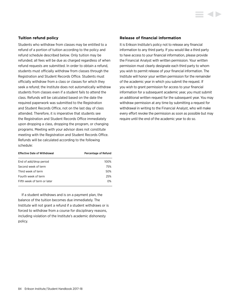## **Tuition refund policy**

Students who withdraw from classes may be entitled to a refund of a portion of tuition according to the policy and refund schedule described below. Only tuition may be refunded; all fees will be due as charged regardless of when refund requests are submitted. In order to obtain a refund, students must officially withdraw from classes through the Registration and Student Records Office. Students must officially withdraw from a class or classes for which they seek a refund; the Institute does not automatically withdraw students from classes even if a student fails to attend the class. Refunds will be calculated based on the date the required paperwork was submitted to the Registration and Student Records Office, not on the last day of class attended. Therefore, it is imperative that students see the Registration and Student Records Office immediately upon dropping a class, dropping the program, or changing programs. Meeting with your advisor does not constitute meeting with the Registration and Student Records Office. Refunds will be calculated according to the following schedule:

| <b>Effective Date of Withdrawal</b> | Percentage of Refund |
|-------------------------------------|----------------------|
| End of add/drop period              | 100%                 |
| Second week of term                 | 75%                  |
| Third week of term                  | 50%                  |
| Fourth week of term                 | 25%                  |
| Fifth week of term or later         | 0%                   |

If a student withdraws and is on a payment plan, the balance of the tuition becomes due immediately. The Institute will not grant a refund if a student withdraws or is forced to withdraw from a course for disciplinary reasons, including violation of the Institute's academic dishonesty policy.

### **Release of financial information**

It is Erikson Institute's policy not to release any financial information to any third party. If you would like a third party to have access to your financial information, please provide the Financial Analyst with written permission. Your written permission must clearly designate each third party to whom you wish to permit release of your financial information. The Institute will honor your written permission for the remainder of the academic year in which you submit the request. If you wish to grant permission for access to your financial information for a subsequent academic year, you must submit an additional written request for the subsequent year. You may withdraw permission at any time by submitting a request for withdrawal in writing to the Financial Analyst, who will make every effort revoke the permission as soon as possible but may require until the end of the academic year to do so.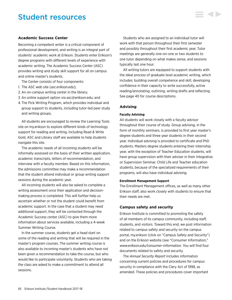## Student resources

## **Academic Success Center**

Becoming a competent writer is a critical component of professional development, and writing is an integral part of students' academic work at Erikson. Students enter Erikson's degree programs with different levels of experience with academic writing. The Academic Success Center (ASC) provides writing and study skill support for all on campus and online master's students.

The Center consists of four components:

- 1. The ASC web site (*asc.erikson.edu*);
- 2. An on-campus writing center in the library;
- 3. An online support option via asc@erikson.edu; and
- 4. The Pick Writing Program, which provides individual and group support to students, including tutor-led peer study and writing groups.

All students are encouraged to review the Learning Tools site on my.erikson to explore different kinds of technology support for reading and writing, including Read & Write Gold. ASC and Library staff are available to help students navigate this site.

The academic needs of all incoming students will be informally assessed on the basis of their written application, academic transcripts, letters of recommendation, and interview with a faculty member. Based on this information, the admissions committee may make a recommendation that the student attend individual or group writing support sessions during the academic year.

All incoming students will also be asked to complete a writing assessment once their application and decisionmaking process is completed. This will further help us ascertain whether or not the student could benefit from academic support. In the case that a student may need additional support, they will be contacted through the Academic Success center (ASC) to give them more information about services available, including a 4-week Summer Writing Course.

In the summer course, students get a head start on some of the reading and writing that will be required in the master's program courses. The summer writing course is also available to incoming master's students who have not been given a recommendation to take the course, but who would like to participate voluntarily. Students who are taking the class are asked to make a commitment to attend all sessions.

Students who are assigned to an individual tutor will work with that person throughout their first semester and possibly throughout their first academic year. Tutor meetings are generally one-on-one or two students to one tutor depending on what makes sense, and sessions typically last one hour.

All writing tutors are equipped to support students with the ideal process of graduate level academic writing, which includes: building overall competence and skill, developing confidence in their capacity to write successfully, active reading/annotating, outlining, writing drafts and reflecting. See page 40 for course descriptions.

## **Advising**

## **Faculty Advising**

All students will work closely with a faculty advisor throughout their course of study. Group advising, in the form of monthly seminars, is provided to first year master's degree students and three year students in their second year. Individual advising is provided to certificate and PhD students. Masters degree students entering their internship year, with the exception of Teacher Education students, will have group supervision with their adviser in their Integrative or Supervision Seminar. Child Life and Teacher education students, because of the specialized requirements of their programs, will also have individual advising.

#### **Enrollment Management Support**

The Enrollment Management offices, as well as many other Erikson staff, also work closely with students to ensure that their needs are met.

### **Campus safety and security**

Erikson Institute is committed to promoting the safety of all members of its campus community, including staff, students, and visitors. Toward this end, we post information related to campus safety and security on the campus portal, my.erikson (click on "Campus Safety and Security") and on the Erikson website (see "Consumer Information," *[www.erikson.edu/consumer-information](http://www.erikson.edu/consumer-information)*. You will find four documents related to safety and security.

The *Annual Security Report* includes information concerning current policies and procedures for campus security in compliance with the Clery Act of 1998, as amended. These policies and procedures cover important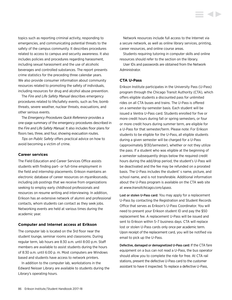topics such as reporting criminal activity, responding to emergencies, and communicating potential threats to the safety of the campus community. It describes procedures related to access to campus and security awareness. It also includes policies and procedures regarding harassment, including sexual harassment and the use of alcoholic beverages and controlled substances. The report presents crime statistics for the preceding three calendar years. We also provide consumer information about community resources related to promoting the safety of individuals, including resources for drug and alcohol abuse prevention.

The *Fire and Life Safety Manual* describes emergency procedures related to life/safety events, such as fire, bomb threats, severe weather, nuclear threats, evacuations, and other serious events.

The *Emergency Procedures Quick Reference* provides a one-page summary of the emergency procedures described in the *Fire and Life Safety Manual.* It also includes floor plans for floors two, three, and four, showing evacuation routes.

*Tips on Public Safety* offers practical advice on how to avoid becoming a victim of crime.

#### **Career services**

The Field Education and Career Services Office assists students with finding part- or full-time employment in the field and internship placements. Erikson maintains an electronic database of career resources on *my.erikson.edu*, including job postings that we receive from organizations seeking to employ early childhood professionals and resources on resume writing and interviewing. In addition, Erikson has an extensive network of alumni and professional contacts, whom students can contact as they seek jobs. Networking events are held at various times during the academic year.

### **Computer and Internet access at Erikson**

The computer lab is located on the 3rd floor near the student lounge, seminar rooms and classrooms. During regular term, lab hours are 8:30 a.m. until 8:00 p.m. Staff members are available to assist students during the hours of 8:30 a.m. until 6:00 p. m. Most computers are Windows based and students have access to network printers.

In addition to the computer lab, workstations in the Edward Neisser Library are available to students during the Library's operating hours.

Network resources include full access to the Internet via a secure network, as well as online library services, printing, career resources, and online course areas.

Students requiring tutoring in computer skills and online resources should refer to the section on the library.

User IDs and passwords are obtained from the Network Administrator.

#### **CTA U-Pass**

Erikson Institute participates in the University Pass (U-Pass) program through the Chicago Transit Authority (CTA), which offers eligible students a discounted pass for unlimited rides on all CTA buses and trains. The U-Pass is offered on a semester-by-semester basis. Each student will be issued a Ventra U-Pass card. Students enrolled for five or more credit hours during fall or spring semesters, or four or more credit hours during summer term, are eligible for a U-Pass for that semester/term. Please note: For Erikson students to be eligible for the U-Pass, all eligible students during a given semester will be charged for a U-Pass (approximately \$130/semester), whether or not they utilize the pass. If a student who was eligible at the beginning of a semester subsequently drops below the required credit hours during the add/drop period, the student's U-Pass will be deactivated and the fee may be refunded on a prorated basis. The U-Pass includes the student' s name, picture, and school name, and is not transferable. Additional information about the U-Pass program is available on the CTA web site at *<www.transitchicago.com/upass>*.

Lost or stolen U-Pass card: You may apply for a replacement U-Pass by contacting the Registration and Student Records Office that serves as Erikson's U-Pass Coordinator. You will need to present your Erikson student ID and pay the \$50 replacement fee. A replacement U-Pass will be issued and sent to Erikson within 5–7 business days. CTA will replace lost or stolen U-Pass cards only once per academic term. Upon receipt of the replacement card, you will be notified via email to pick up the U-Pass.

Defective, damaged or demagnetized U-Pass card: If the CTA fare equipment on a bus can not read a U-Pass, the bus operator should allow you to complete the ride for free. At CTA rail stations, present the defective U-Pass card to the customer assistant to have it inspected. To replace a defective U-Pass,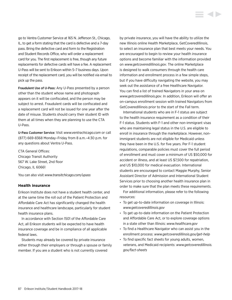go to Ventra Customer Service at 165 N. Jefferson St., Chicago, IL, to get a form stating that the card is defective and a 7-day pass. Bring the defective card and form to the Registration and Student Records Office, who will order a replacement card for you. The first replacement is free, though any future replacements for defective cards will have a fee. A replacement U-Pass will be sent to Erikson within 5–7 business days. Upon receipt of the replacement card, you will be notified via email to pick up the pass.

Fraudulent Use of U-Pass: Any U-Pass presented by a person other than the student whose name and photograph appears on it will be confiscated, and the person may be subject to arrest. Fraudulent cards will be confiscated and a replacement card will not be issued for one year after the date of misuse. Students should carry their student ID with them at all times when they are planning to use the CTA U-Pass.

U-Pass Customer Service: Visit *<www.ventrachicago.com>* or call (877) 669-8368 Monday–Friday from 8 a.m.–4:30 p.m. for any questions about Ventra U-Pass.

CTA General Offices: Chicago Transit Authority 567 W. Lake Street, 2nd floor Chicago, IL 60661

You can also visit *<www.transitchicago.com/upass>*

## **Health insurance**

Erikson Institute does not have a student health center, and at the same time the roll out of the Patient Protection and Affordable Care Act has significantly changed the health insurance and healthcare landscape, particularly for student health insurance plans.

In accordance with Section 1501 of the Affordable Care Act, all Erikson students will be expected to have health insurance coverage and be in compliance of all applicable federal laws.

Students may already be covered by private insurance either through their employers or through a spouse or family member. If you are a student who is not currently covered

by private insurance, you will have the ability to utilize the new Illinois online Health Marketplace, GetCoveredIllinois, to select an insurance plan that best meets your needs. You are encouraged to begin to review your health insurance options and become familiar with the information provided on *<www.getcoveredillinois.gov>*. The online Marketplace is designed to walk consumers through the health care information and enrollment process in a few simple steps, but if you have difficulty navigating the website, you may seek out the assistance of a free Healthcare Navigator. You can find a list of trained Navigators in your area on *<www.getcoveredillinois.gov>*. In addition, Erikson will offer an on-campus enrollment session with trained Navigators from GetCoveredIllinois prior to the start of the Fall term.

International students who are in F-1 status are subject to the health insurance requirement as a condition of their F-1 status. Students with F-1 and other non-immigrant visas who are maintaining legal status in the U.S. are eligible to enroll in insurance through the marketplace. However, nonimmigrant students are not eligible for Medicaid unless they have been in the U.S. for five years. Per F-1 student regulations, comparable policies must cover the full period of enrollment and must cover a minimum of US \$50,000 for accident or illness, and at least US \$7,500 for repatriation, and US \$10,000 for medical evacuation. International students are encouraged to contact Maggie Murphy, Senior Assistant Director of Admission and International Student Services prior to choosing another health insurance plan in order to make sure that the plan meets these requirements.

For additional information, please refer to the following resources:

- To get up-to-date information on coverage in Illinois: *[www.getcoveredillinois.gov](http://www.getcoveredillinois.gov)*
- To get up-to-date information on the Patient Protection and Affordable Care Act, or to explore coverage options in a state other than Illinois: *[www.healthcare.gov](http://www.healthcare.gov)*
- To find a Healthcare Navigator who can assist you in the enrollment process: *[www.getcoveredillinois.gov/get-help](http://www.getcoveredillinois.gov/get-help)*
- To find specific fact sheets for young adults, women, veterans, and Medicaid recipients: *[www.getcoveredillinois.](http://www.getcoveredillinois.gov/fact-sheets) [gov/fact-sheets](http://www.getcoveredillinois.gov/fact-sheets)*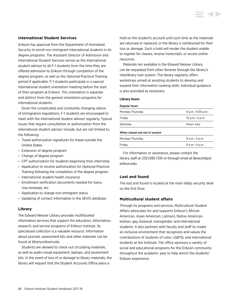## **International Student Services**

Erikson has approval from the Department of Homeland Security to enroll non-immigrant international students in its degree programs. The Assistant Director of Admission and International Student Services serves as the international student advisor to all F-1 students from the time they are offered admission to Erikson through completion of the degree program, as well as the Optional Practical Training period if applicable. F-1 students participate in a special international student orientation meeting before the start of their program at Erikson. This orientation is separate and distinct from the general orientation programs for international students.

Given the complicated and constantly changing nature of immigration regulations, F-1 students are encouraged to meet with the international student advisor regularly. Typical issues that require consultation or authorization from the international student advisor include, but are not limited to, the following:

- Travel authorization signatures for travel outside the United States
- Extension of degree program
- Change of degree program
- CPT authorization for students beginning their internship
- Application to receive authorization for Optional Practical Training following the completion of the degree program
- International student health insurance
- Enrollment verification documents needed for loans, visa renewals, etc.
- Application to change non-immigrant status
- Updating of contact information in the SEVIS database

## **Library**

The Edward Neisser Library provides multifaceted information services that support the education, information, research, and service programs of Erikson Institute. Its specialized collection is a valuable resource. Information about journals, assessment kits and other materials can be found at *<library.erikson.edu>*.

Students are allowed to check out circulating materials, as well as audio-visual equipment, laptops, and assessment kits. In the event of loss of or damage to library materials, the library will request that the Student Accounts Office place a

hold on the student's account until such time as the materials are returned or replaced, or the library is reimbursed for their loss or damage. Such a hold will render the student unable to register for classes, receive transcripts, or access online resources.

Materials not available in the Edward Neisser Library can be requested from other libraries through the library's interlibrary loan system. The library regularly offers workshops aimed at assisting students to develop and expand their information seeking skills. Individual guidance is also provided as necessary.

#### **Library hours**

#### Regular hours

| Monday-Thursday                 | 8 a.m. - 9:30 p.m. |
|---------------------------------|--------------------|
| Friday                          | 10 a.m. - 4 p.m.   |
| Saturdav                        | Hours vary         |
| When classes are not in session |                    |
| Monday-Thursday                 | 9 a.m. - 5 p.m.    |

Friday 9 a.m.–4 p.m. For information or assistance, please contact the

library staff at (312) 893-7210 or through email at libraryhelp@ erikson.edu.

## **Lost and found**

The lost and found is located at the main lobby security desk on the first floor.

## **Multicultural student affairs**

Through its programs and services, Multicultural Student Affairs advocates for and supports Erikson's African American, Asian American, Latina/o, Native American, lesbian, gay, bisexual, transgender, and international students. It also partners with faculty and staff to create an inclusive environment that recognizes and values the contributions of students of color, LGBTQ, and international students at the Institute. The office sponsors a variety of social and educational programs for the Erikson community throughout the academic year to help enrich the students' Erikson experience.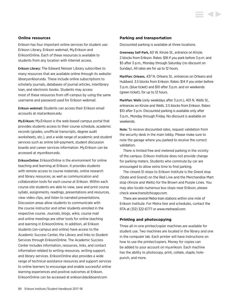## **Online resources**

Erikson has four important online services for student use: Erikson Library, Erikson webmail, My.Erikson and EriksonOnline. Each of these resources is available to students from any location with Internet access.

Erikson Library: The Edward Neisser Library subscribes to many resources that are available online through its website: *<library.erikson.edu>.* These include online subscriptions to scholarly journals, databases of journal articles, interlibrary loan, and electronic books. Students may access most of these resources from off-campus by using the same username and password used for Erikson webmail.

Erikson webmail: Students can access their Erikson email accounts at *<mail.erikson.edu>.*

My.Erikson: My.Erikson is the web-based campus portal that provides students access to their course schedule, academic records (grades, unofficial transcripts, degree audit worksheets, etc.), and a wide range of academic and student services such as online bill-payment, student discussion boards and career services information. My.Erikson can be accessed at *my.erikson.edu*.

EriksonOnline: EriksonOnline is the environment for online teaching and learning at Erikson. It provides students with remote access to course materials, online research and library resources, as well as communication and collaboration tools for each course at Erikson. Within each course site students are able to view, save and print course syllabi, assignments, readings, presentations and resources, view video clips, and listen to narrated presentations. Discussion areas allow students to communicate with the course instructor and other students enrolled in the respective course. Journals, blogs, wikis, course mail and online meetings are other tools for online teaching and learning in EriksonOnline. In addition, all Erikson students (on-campus and online) have access to the Academic Success Center, the Library and links to Student Services through EriksonOnline. The Academic Success Center includes information, resources, links, and contact information related to writing resources, writing support, and library services. EriksonOnline also provides a wide range of technical assistance resources and support services to online learners to encourage and enable successful online learning experiences and positive outcomes at Erikson. EriksonOnline can be accessed at *[erikson.blackboard.com.](http://erikson.blackboard.com)*

#### **Parking and transportation**

Discounted parking is available at three locations.

Greenway Self-Park, 60 W. Kinzie St., entrance on Kinzie. 2 blocks from Erikson. Rates: \$18 if you park before 3 p.m. and \$5 after 3 p.m., Monday through Saturday (no discount on Sunday). All rates are for up to 12 hours.

MartParc Orleans, 437 N. Orleans St., entrances on Orleans and Hubbard. 3.5 blocks from Erikson. Rates: \$14 if you enter before 3 p.m. (blue ticket) and \$10 after 3 p.m. and on weekends (green ticket), for up to 12 hours.

MartParc Wells (only weekdays after 3 p.m.), 401 N. Wells St., entrances on Kinzie and Wells. 2.5 blocks from Erikson. Rates: \$10 after 3 p.m. Discounted parking is available only after 3 p.m., Monday through Friday. No discount is available on weekends.

Note: To receive discounted rates, request validation from the security desk in the main lobby. Please make sure to note the garage where you parked to receive the correct validation.

There is limited free and metered parking in the vicinity of the campus. Erikson Institute does not provide change for parking meters. Students who commute by car are encouraged to allow extra time to find parking.

The closest El stops to Erikson Institute is the Grand stop (State and Grand) on the Red Line and the Merchandise Mart stop (Kinzie and Wells) for the Brown and Purple Lines. You may also locate numerous bus stops near Erikson, please check *[www.transitchicago.com.](www.transitchicago.com)*

There are several Metra train stations within one mile of Erikson Institute. For Metra fare and schedules, contact the RTA at (312) 322-6777 or *<www.metrarail.com>.*

#### **Printing and photocopying**

Three all-in-one printer/copier machines are available for student use. Two machines are located in the library and one in the computer lab. Each printer will have instructions on how to use the printer/copiers. Money for copies can be added to your account on my.erikson. Each machine has the ability to photocopy, print, collate, staple, holepunch, and more.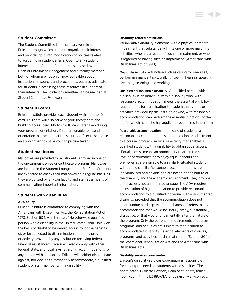## **Student Committee**

The Student Committee is the primary vehicle at Erikson through which students organize their interests and provide input into modification of policies related to academic or student affairs. Open to any student interested, the Student Committee is advised by the Dean of Enrollment Management and a faculty member, both of whom are not only knowledgeable about institutional resources and procedures, but also advocate for students in accessing these resources in support of their interests. The Student Committee can be reached at StudentCommittee@erikson.edu.

## **Student ID cards**

Erikson Institute provides each student with a photo ID card. This card will also serve as your library card and building access card. Photos for ID cards are taken during your program orientation. If you are unable to attend orientation, please contact the security officer to schedule an appointment to have your ID picture taken.

## **Student mailboxes**

Mailboxes are provided for all students enrolled in one of the on-campus degree or certificate programs. Mailboxes are located in the Student Lounge on the 3rd floor. Students are expected to check their mailboxes on a regular basis, as they are utilized by Erikson faculty and staff as a means of communicating important information.

### **Students with disabilities**

### **ADA policy**

Erikson Institute is committed to complying with the Americans with Disabilities Act, the Rehabilitation Act of 1973, Section 504, which states: "No otherwise qualified person with a disability in the United States…shall, solely on the basis of disability, be denied access to, or the benefits of, or be subjected to discrimination under any program or activity provided by any institution receiving federal financial assistance." Erikson will also comply with other federal, state, and local laws regarding accommodations for any person with a disability. Erikson will neither discriminate against, nor decline to reasonably accommodate, a qualified student or staff member with a disability.

#### **Disability-related definitions**

Person with a disability: Someone with a physical or mental impairment that substantially limits one or more major life activities; who has a record of such an impairment; or who is regarded as having such an impairment. (Americans with Disabilities Act of 1990).

**STATE** 

Major Life Activity: A function such as caring for one's self, performing manual tasks, walking, seeing, hearing, speaking, breathing, learning, and working.

Qualified person with a disability: A qualified person with a disability is an individual with a disability who, with reasonable accommodation, meets the essential eligibility requirements for participation in academic programs or activities provided by the Institute or who, with reasonable accommodation, can perform the essential functions of the job for which he or she has applied or been hired to perform.

Reasonable accommodation: In the case of students, a reasonable accommodation is a modification or adjustment to a course, program, service, or activity that enables a qualified student with a disability to obtain equal access. "Equal access" means an opportunity to attain the same level of performance or to enjoy equal benefits and privileges as are available to a similarly situated student without a disability. Reasonable accommodations are individualized and flexible and are based on the nature of the disability and the academic environment. They provide equal access, not an unfair advantage. The ADA requires an institution of higher education to provide reasonable accommodation to a qualified individual with a documented disability, provided that the accommodation does not create undue hardship. An "undue hardship" refers to any accommodation that would be unduly costly, substantially disruptive, or that would fundamentally alter the nature of the program. Only the peripheral requirements of courses, programs, and activities are subject to modification to accommodate a disability. Essential elements of courses, programs, and activities must remain intact (Section 504 of the Vocational Rehabilitation Act and the Americans with Disabilities Act)

### **Disability services coordinator**

Erikson's disability services coordinator is responsible for serving the needs of students with disabilities. The coordinator is Colette Davison, Dean of students, fourth floor, Room 414, (312) 893-7173 or cdavison@erikson.edu.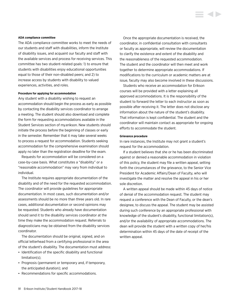#### **ADA compliance committee**

The ADA compliance committee works to meet the needs of our students and staff with disabilities, inform the Institute of disability issues, and acquaint our faculty and staff with the available services and process for receiving services. This committee has two student-related goals: 1) to ensure that students with disabilities enjoy educational opportunities equal to those of their non-disabled peers; and 2) to increase access by students with disability to valued experiences, activities, and roles.

#### **Procedure for applying for accommodation**

Any student with a disability wishing to request an accommodation should begin the process as early as possible by contacting the disability services coordinator to arrange a meeting. The student should also download and complete the form for requesting accommodations available in the Student Services section of my.erikson. New students should initiate the process before the beginning of classes or early in the semester. Remember that it may take several weeks to process a request for accommodation. Students seeking accommodation for the comprehensive examination should apply no later than the registration deadline for the exam.

Requests for accommodation will be considered on a case-by-case basis. What constitutes a "disability" or a "reasonable accommodation" may vary from individual to individual.

The Institute requires appropriate documentation of the disability and of the need for the requested accommodation. The coordinator will provide guidelines for appropriate documentation. In most cases, such documentation and/or assessments should be no more than three years old. In rare cases, additional documentation or second opinions may be requested. Students who already have documentation should send it to the disability services coordinator at the time they make the accommodation request. Referrals to diagnosticians may be obtained from the disability services coordinator.

The documentation should be original, signed, and on official letterhead from a certifying professional in the area of the student's disability. The documentation must address:

- Identification of the specific disability and functional limitation(s);
- Prognosis (permanent or temporary and, if temporary, the anticipated duration); and
- Recommendations for specific accommodations.

Once the appropriate documentation is received, the coordinator, in confidential consultation with consultants or faculty as appropriate, will review the documentation to clarify the existence and extent of the disability and the reasonableness of the requested accommodation. The student and the coordinator will then meet and work together to determine appropriate accommodations. If modifications to the curriculum or academic matters are at issue, faculty may also become involved in these discussions.

Students who receive an accommodation for Erikson courses will be provided with a letter explaining all approved accommodations. It is the responsibility of the student to forward the letter to each instructor as soon as possible after receiving it. The letter does not disclose any information about the nature of the student's disability. That information is kept confidential. The student and the coordinator will maintain contact as appropriate for ongoing efforts to accommodate the student.

#### **Grievance procedure**

In rare instances, the Institute may not grant a student's request for the accommodation.

If a student believes that she or he has been discriminated against or denied a reasonable accommodation in violation of this policy, the student may file a written appeal, setting forth the circumstances of the grievance, to the Senior Vice President for Academic Affairs/Dean of Faculty, who will investigate the matter and resolve the appeal in his or her sole discretion.

A written appeal should be made within 45 days of notice of denial of the accommodation request. The student may request a conference with the Dean of Faculty, or the dean's designee, to discuss the appeal. The student may be assisted during such conference by an appropriate professional with knowledge of the student's disability, functional limitation(s), and/or the availability of appropriate accommodations. The dean will provide the student with a written copy of her/his determination within 45 days of the date of receipt of the written appeal.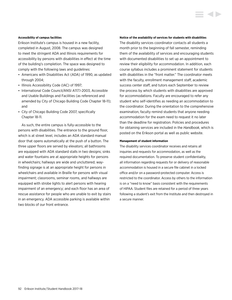#### **Accessibility of campus facilities**

Erikson Institute's campus is housed in a new facility, completed in August, 2008. The campus was designed to meet the stringent ADA and Illinois requirements for accessibility by persons with disabilities in effect at the time of the building's completion. The space was designed to comply with the following laws and guidelines:

- Americans with Disabilities Act (ADA) of 1990, as updated through 2004;
- Illinois Accessibility Code (IAC) of 1997;
- International Code Council/ANSI A117.1-2003, Accessible and Usable Buildings and Facilities (as referenced and amended by City of Chicago Building Code Chapter 18-11); and
- City of Chicago Building Code 2007, specifically Chapter 18-11.

As such, the entire campus is fully-accessible to the persons with disabilities. The entrance to the ground floor, which is at street level, includes an ADA standard manual door that opens automatically at the push of a button. The three upper floors are served by elevators; all bathrooms are equipped with ADA standard stalls in two designs; sinks and water fountains are at appropriate heights for persons in wheelchairs; hallways are wide and uncluttered; wayfinding signage is at an appropriate height for persons in wheelchairs and available in Braille for persons with visual impairment; classrooms, seminar rooms, and hallways are equipped with strobe lights to alert persons with hearing impairment of an emergency; and each floor has an area of rescue assistance for people who are unable to exit by stairs in an emergency. ADA accessible parking is available within two blocks of our front entrance.

#### **Notice of the availability of services for students with disabilities**

The disability services coordinator contacts all students a month prior to the beginning of fall semester, reminding them of the availability of services and encouraging students with documented disabilities to set up an appointment to review their eligibility for accommodation. In addition, each course syllabus includes a prominent statement for students with disabilities in the "front matter." The coordinator meets with the faculty, enrollment management staff, academic success center staff, and tutors each September to review the process by which students with disabilities are approved for accommodations. Faculty are encouraged to refer any student who self-identifies as needing an accommodation to the coordinator. During the orientation to the comprehensive examination, faculty remind students that anyone needing accommodation for the exam need to request it no later than the deadline for registration. Policies and procedures for obtaining services are included in the *Handbook*, which is posted on the Erikson portal as well as public website.

#### **Management of student information**

The disability services coordinator receives and retains all inquiries and requests for accommodation, as well as the required documentation. To preserve student confidentiality, all information regarding requests for or delivery of reasonable accommodation is housed in a secure file cabinet in a locked office and/or on a password-protected computer. Access is restricted to the coordinator. Access by others to the information is on a "need to know" basis consistent with the requirements of HIPAA. Student files are retained for a period of three years following a student's exit from the Institute and then destroyed in a secure manner.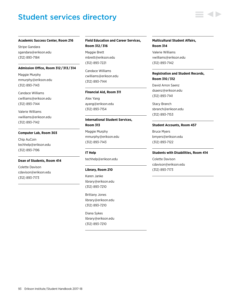# Student services directory

#### **Academic Success Center, Room 216**

Stripe Gandara sgandara@erikson.edu (312) 893-7184

#### **Admission Office, Room 312 / 313 / 314**

Maggie Murphy mmurphy@erikson.edu (312) 893-7143

Candace Williams cwilliams@erikson.edu (312) 893-7144

Valerie Williams vwilliams@erikson.edu (312) 893-7142

#### **Computer Lab, Room 303**

Chip AuCoin techhelp@erikson.edu (312) 893-7196

#### **Dean of Students, Room 414**

Colette Davison cdavison@erikson.edu (312) 893-7173

## **Field Education and Career Services, Room 312 / 316**

Maggie Brett mbrett@erikson.edu (312) 893-7221

Candace Williams cwilliams@erikson.edu (312) 893-7144

#### **Financial Aid, Room 311**

Alex Yang ayang@erikson.edu (312) 893-7154

## **International Student Services, Room 313**

Maggie Murphy mmurphy@erikson.edu (312) 893-7143

**IT Help** techhelp@erikson.edu

#### **Library, Room 210**

Karen Janke library@erikson.edu (312) 893-7210

Brittany Jones library@erikson.edu (312) 893-7210

Diana Sykes library@erikson.edu (312) 893-7210

## **Multicultural Student Affairs, Room 314**

Valerie Williams vwilliams@erikson.edu (312) 893-7142

## **Registration and Student Records, Room 310 / 312**

David Arron Saenz dsaenz@erikson.edu (312) 893-7141

Stacy Branch sbranch@erikson.edu (312) 893-7153

#### **Student Accounts, Room 457**

Bruce Myers bmyers@erikson.edu (312) 893-7122

#### **Students with Disabilities, Room 414**

Colette Davison cdavison@erikson.edu (312) 893-7173

93 Erikson Institute/Student Handbook 2017-18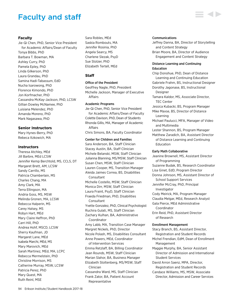## Faculty and staff

## **Faculty**

Jie-Qi Chen, PhD, Senior Vice President for Academic Affairs/Dean of Faculty Tonya Bibbs, PhD Barbara T. Bowman, MA Ashley Curry, PhD Pamela Epley, PhD Linda Gilkerson, PhD Laura Grandau, PhD Samina Hadi-Tabassum, EdD Nucha Isarowong, PhD Florence Kimondo, PhD Jon Korfmacher, PhD Cassandra McKay-Jackson, PhD, LCSW Gillian Dowley McNamee, PhD Luisiana Melendez, PhD Amanda Moreno, PhD Mark Nagasawa, PhD

## **Senior Instructors**

Mary Hynes-Berry, PhD Rebeca Itzkowich, MA

### **Instructors**

Theresa Atchley, MEd Jill Barbre, MEd LCSW Jennifer Kemp Berchtold, MS, CCLS, DT Margaret Brett, AM, LCSW Sandy Carrillo, MS Patricia Chamberlain, MS Charles Chang, MA Amy Clark, MA Terra Ellingson, MA Andria Goss, MS, MSW Melinda Gronen, MA, LCSW Rebecca Halperin, MS Carey Halsey, MS Robyn Hart, MEd Mary Claire Heffron, PhD Carri Hill, PhD Andrea Hohf, MSCD, LCSW Sherry Kaufman, JD Margaret Lane, MEd Isabela Marchi, MEd, MS Mary Marovich, MEd Sarah Martinez, MEd, MA, LCPC Rebecca Mermelstein, PhD Christine Morrison, MS Catherine Murray, MSW, LCSW Patricia Perez, PhD Mary Quest, MA Ruth Reinl, MSE

Sara Robles, MEd Saskia Rombouts, MA Jennifer Rosinia, PhD Angela Searcy, MS Charlene Slezak, PsyD Sue Stolzer, PhD Elizabeth Tertell, MEd

## **Staff**

#### Office of the President

Geoffrey Nagle, PhD, President Michelle Jackson, Manager of Executive Affairs

#### Academic Programs

Jie-Qi Chen, PhD, Senior Vice President for Academic Affairs/Dean of Faculty Colette Davison, PhD, Dean of Students Rhonda Gillis, MA, Manager of Academic Affairs Chris Simons, BA, Faculty Coordinator

## Center for Children and Families

Sara Anderson, BA, Staff Clinician Stacey Austin, BA, Staff Clinician Michele Belanski, MSW, Staff Clinician Julianna Blanning, MS/MSW, Staff Clinician Susan Chen, MSW, Staff Clinician Lauren Cooper, MS, Transition Manager Aleida Jaimes Correa, BS, Disabilities **Consultant** Michelle Costello, MSW, Staff Clinician Monica Dirr, MSW, Staff Clinician Laura Fraint, PsyD, Staff Clinician Fraeda Friedman, PhD, Disabilities Consultant Yvette Gonzalez, PhD, Clinical Psychologist Ruchira Gulati, MS, Staff Clinician Zachary Kulhan, BA, Administrative Coordinator Amy Labb, MA, Transition Case Manager Margret Nickels, PhD, Director Nicole Polash, MS, Disabilities Consultant Anne Powers, MEd, Coordinator of Intervention Services Emma Retzlaff, BA, Billing Coordinator Jean Rounds, MSW, Staff Clinician Marian Slahor, BA, Business Manager Elizabeth Stoltenberg, MS/MSW, Staff Clinician Cassandra Ward, MS, Staff Clinician Frank Zator, BA, Patient Account Representative

#### Communications

Jeffrey Danna, BA, Director of Storytelling and Content Strategy Brian Moore, BA, Director of Audience Engagement and Content Strategy

### Distance Learning and Continuing Education

Chip Donohue, PhD, Dean of Distance Learning and Continuing Education Gabriele Frahm, BS, Instructional Designer Dorothy Jagonase, BS, Instructional Designer Tamara Kaldor, MS, Associate Director, TEC Center Jessica Kubacki, BS, Program Manager Mike Maxse, BS, Director of Distance Learning Michael Paulucci, MFA, Manager of Video and Multimedia Lester Shannon, BS, Program Manager Matthew Zaradich, BA, Assistant Director of Distance Learning and Continuing Education Early Math Collaborative Jeanine Brownell, MS, Assistant Director of Programming Suzanne Budak, BS, Research Coordinator Lisa Ginet, EdD, Program Director Donna Johnson, MS, Assistant Director of School Support Services Jennifer McCray, PhD, Principal Investigator Cody Meirick, MA, Program Manager Claudia Melgar, MEd, Research Analyst Gala Pierce, MEd Administrative Coordinator Erin Reid, PhD, Assistant Director of Research Enrollment Management Stacy Branch, BS, Assistant Director, Registration and Student Records Michel Frendian, EdM, Dean of Enrollment Management Maggie Murphy, BA, Senior Assistant

Director of Admission and International Student Services

David Arron Saenz, MPA, Director, Registration and Student Records

Candace Williams, MS, MSW, Associate Director, Admission and Career Services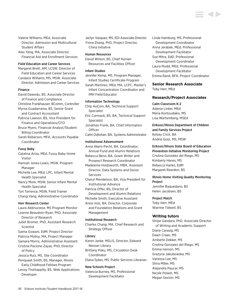Valerie Williams, MEd, Associate Director, Admission and Multicultural Student Affairs

Alex Yang, MA, Associate Director, Financial Aid and Enrollment Services

#### Field Education and Career Services

Margaret Brett, AM, LCSW, Director of Field Education and Career Services Candace Williams, MS, MSW, Associate Director, Admission and Career Services

#### Finance

David Dawodu, BS, Associate Director of Finance and Compliance Christine Frankhauser, BComm, Controller Myrna Guadarrama, BS, Senior Grant and Contract Accountant Patricia Lawson, BS, Vice President for Finance and Operations/CFO Bruce Myers, Financial Analyst/Student Billing Coordinator Sarah Roberson, MFA, Accounts Payable Coordinator

#### Fussy Baby

Catalina Ariza, MEd, Fussy Baby Home Visitor

Hannah Jones-Lewis, MSW, Program Manager

Michelle Lee, MEd, LPC, Infant Mental Health Specialist

Nancy Mork, MSW, Senior Infant Mental Health Specialist

Tori Torrence, MSW, Field Trainer Chang Vang, Administrative Coordinator

#### Herr Research Center

Laura Abbruzzese, MS Program Monitor Leanne Beaudoin-Ryan, PhD, Associate

Director of Research Juliet Bromer, PhD, Assistant Research **Scientist** 

Saima Gowani, EdM, Project Director

Patricia Molloy, MA, Project Manager

Samara Morris, Administrative Assistant Cristina Pacione-Zayas, PhD, Director

of Policy

Jessica Ruiz, MS, Site Coordinator Penquaet Smith, BS, Manager, Illinois

Early Childhood Fellows Program Lenoy Thottappilly, BS, Web Applications

Developer

Jaclyn Vasquez, MS, EDI Associate Director Yinna Zhang, PhD, Project Director, China Initiative

## Human Resources

David Wilson, BS, Chief Human Resources and Facilities Officer

#### Infant Studies

Jennifer Kemp, MS, Program Manager, Infant Studies Certificate Program

Sarah Martinez, MEd, MA, LCPC, Master's Infant Concentration Coordinator and IMH Field Educator

#### Information Technology

Chip AuCoin, BA, Technical Support Specialist

Eric Cormack, BS, BA, Technical Support Specialist

Jonathan Frank, BA, Chief Information **Officer** 

Cathi Odtohan, BA, Systems Administrator

#### Institutional Advancement

Anna Akers-Pecht, BA, Coordinator, Annual Fund and Alumni Relations

Rebecca Beno, BA, Grant Writer and Prospect Research Coordinator

Madeleine Holdsworth, MBA, Assistant Director, Data Systems and Donor Services

Cheryl Mendelson, BA, Vice President for Institutional Advance

Patricia Offer, BS, Director of

Development and Alumni Relations Michelle Smith, Executive Assistant

Anne Volz, BA, Director, Corporate and Foundation Relations and Grant Management

#### Institutional Research

Charles Chang, MA, Chief Research and Strategy Officer

#### Library

Karen Janke, MSLIS, Director, Edward Neisser Library Brittany Poku, MS, Circulation Desk

Coordinator

Diana Sykes, MS, Public Services Librarian

## New Schools Project

Valencia Burney, MS, Professional Development Facilitator

Linda Hamburg, MS, Professional Development Coordinator Anna Jerabek, MEd, Professional Development Facilitator Sue Mitra, EdD, Professional Development Coordinator Laura Mudd, MEd, Professional Development Facilitator

Emma Rand, BFA, Project Coordinator

#### **Senior Research Associate**

Toby Herr, MEd

## **Research/Project Associates**

#### Calm Classroom K-2

Adenia Linker, MEd Maria Kontoudakis, MS Lisa Wartemberg, MSEd

Erikson/Illinois Department of Children and Family Services Project Kelsey Crick, BA Andria Goss, MS, MSW

Erikson/Illinois State Board of Education Prevention Initiative Monitoring Project Cristina Gonzalez del Riego, MS Kimberly Hanes, MS Rebecca Harles, EdM Margaret Reardon, BS

## Illinois Home Visiting Quality Monitoring Project

Jennifer Baquedano, BS Helen Jacobsen, BS

#### Project Match

Toby Herr, MEd Warrine Tidwell, BS

#### **Writing tutors**

Stripe Gandara, PhD, Associate Director of Writing and Academic Support Diane Carasig, MS Dawn Craan, MS Amberle Dekker, MS Cristina Gonzalez del Riego, MS Emma Iverson, MS Grazyna Jakubowska, MS Vanessa Lee, MS Shira Miller, MS Alejandra Paucar, MS Nicole Polash, MS Megan Sexton, MS